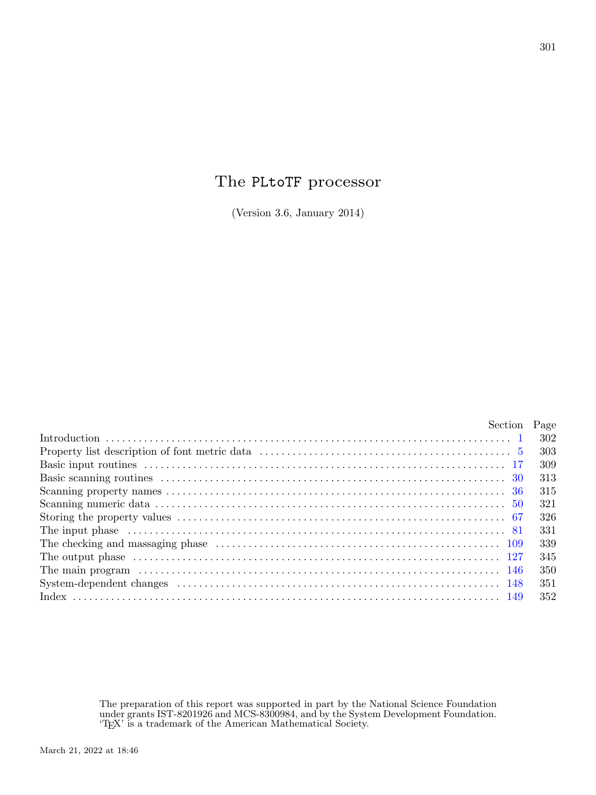## The PLtoTF processor

(Version 3.6, January 2014)

| Section Page                                                                                                                                  |       |
|-----------------------------------------------------------------------------------------------------------------------------------------------|-------|
|                                                                                                                                               | -302  |
|                                                                                                                                               |       |
|                                                                                                                                               | - 309 |
|                                                                                                                                               | - 313 |
|                                                                                                                                               | - 315 |
|                                                                                                                                               | -321  |
|                                                                                                                                               | - 326 |
|                                                                                                                                               | -331  |
|                                                                                                                                               | -339  |
|                                                                                                                                               | - 345 |
|                                                                                                                                               | 350   |
| $\text{System-dependent changes} \quad \ldots \quad \ldots \quad \ldots \quad \ldots \quad \ldots \quad \ldots \quad \ldots \quad \text{148}$ | -351  |
|                                                                                                                                               | 352   |

The preparation of this report was supported in part by the National Science Foundation under grants IST-8201926 and MCS-8300984, and by the System Development Foundation. 'TEX' is a trademark of the American Mathematical Society.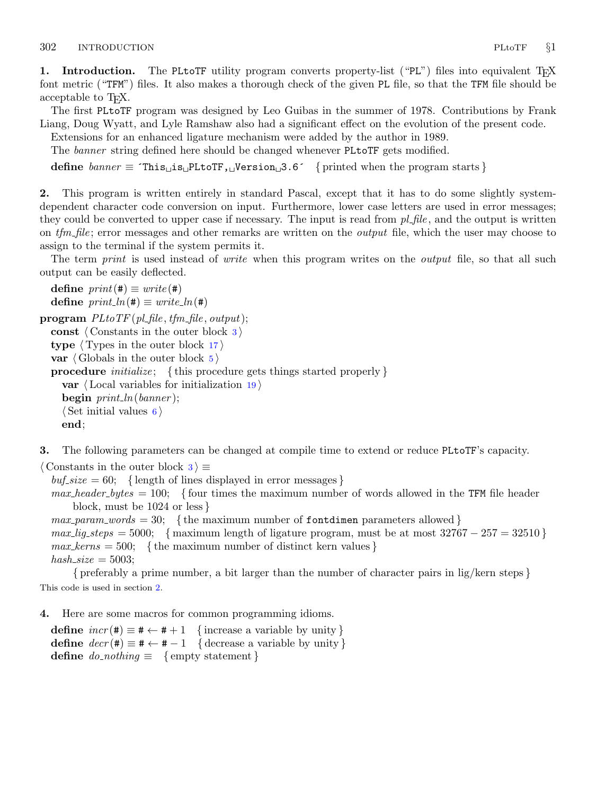<span id="page-1-0"></span>1. Introduction. The PLtoTF utility program converts property-list ("PL") files into equivalent T<sub>E</sub>X font metric ("TFM") files. It also makes a thorough check of the given PL file, so that the TFM file should be acceptable to T<sub>EX</sub>.

The first PLtoTF program was designed by Leo Guibas in the summer of 1978. Contributions by Frank Liang, Doug Wyatt, and Lyle Ramshaw also had a significant effect on the evolution of the present code.

Extensions for an enhanced ligature mechanism were added by the author in 1989.

The banner string defined here should be changed whenever PLtoTF gets modified.

define  $\text{banner} \equiv \text{This} \text{dis} \text{PltoTF}, \text{Uversion} \text{3.6'}$  { printed when the program starts }

2. This program is written entirely in standard Pascal, except that it has to do some slightly systemdependent character code conversion on input. Furthermore, lower case letters are used in error messages; they could be converted to upper case if necessary. The input is read from  $pl$ -file, and the output is written on  $tfm_file$ ; error messages and other remarks are written on the *output* file, which the user may choose to assign to the terminal if the system permits it.

The term *print* is used instead of *write* when this program writes on the *output* file, so that all such output can be easily deflected.

define  $print(\textbf{\#}) \equiv write(\textbf{\#})$ define  $print\_ln(\texttt{\#}) \equiv write\_ln(\texttt{\#})$ program  $PLtoTF(pl$ -file, tfm-file, output); const  $\langle$  Constants in the outer block 3 $\rangle$ type  $\langle$  Types in the outer block [17](#page-8-0) $\rangle$ var  $\langle$  Globals in the outer block [5](#page-2-0) $\rangle$ **procedure** *initialize*; {this procedure gets things started properly } var  $\langle$  Local variables for initialization [19](#page-8-0) $\rangle$  $beginingscriptstyle}$  begin print\_ln(banner);  $\langle$  Set initial values [6](#page-2-0)  $\rangle$ end;

3. The following parameters can be changed at compile time to extend or reduce PLtoTF's capacity.

 $\langle$  Constants in the outer block 3  $\rangle \equiv$ 

 $\text{buf\_size} = 60; \text{ {length of lines displayed in error messages }}$ 

 $max\_header\_bytes = 100;$  { four times the maximum number of words allowed in the TFM file header block, must be 1024 or less }

 $max\_param\_words = 30;$  {the maximum number of fontdimen parameters allowed}

 $max\_lig\_steps = 5000;$  { maximum length of ligature program, must be at most  $32767 - 257 = 32510$  }  $max\_kerns = 500;$  {the maximum number of distinct kern values}  $hash\_size = 5003$ ;

{ preferably a prime number, a bit larger than the number of character pairs in lig/kern steps } This code is used in section 2.

4. Here are some macros for common programming idioms.

define  $incr(\#) \equiv # \leftarrow # + 1$  {increase a variable by unity } define  $decr(\texttt{#}) \equiv \texttt{#} \leftarrow \texttt{#} - 1$  { decrease a variable by unity } define  $do\_nothing \equiv \{$  empty statement  $\}$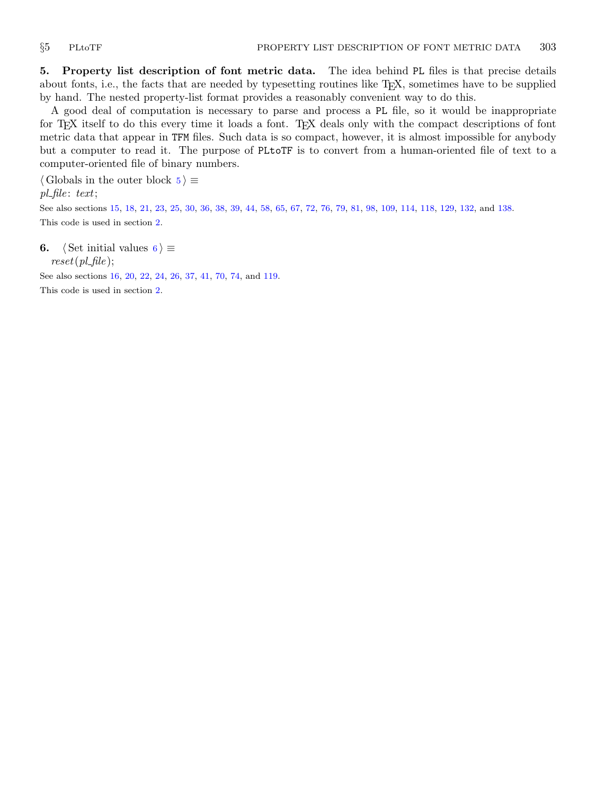<span id="page-2-0"></span>5. Property list description of font metric data. The idea behind PL files is that precise details about fonts, i.e., the facts that are needed by typesetting routines like TEX, sometimes have to be supplied by hand. The nested property-list format provides a reasonably convenient way to do this.

A good deal of computation is necessary to parse and process a PL file, so it would be inappropriate for TEX itself to do this every time it loads a font. TEX deals only with the compact descriptions of font metric data that appear in TFM files. Such data is so compact, however, it is almost impossible for anybody but a computer to read it. The purpose of PLtoTF is to convert from a human-oriented file of text to a computer-oriented file of binary numbers.

 $\langle$  Globals in the outer block 5 $\rangle \equiv$  $pl$ -file: text;

See also sections [15](#page-7-0), [18,](#page-8-0) [21](#page-9-0), [23](#page-9-0), [25,](#page-9-0) [30](#page-12-0), [36,](#page-14-0) [38,](#page-14-0) [39](#page-14-0), [44,](#page-16-0) [58,](#page-22-0) [65](#page-23-0), [67,](#page-25-0) [72](#page-26-0), [76](#page-27-0), [79,](#page-28-0) [81](#page-30-0), [98](#page-34-0), [109,](#page-38-0) [114,](#page-39-0) [118,](#page-40-0) [129,](#page-44-0) [132](#page-45-0), and [138.](#page-46-0) This code is used in section [2](#page-1-0).

6.  $\langle$  Set initial values 6  $\rangle \equiv$  $reset(pl$ -file);

See also sections [16](#page-7-0), [20,](#page-8-0) [22](#page-9-0), [24](#page-9-0), [26,](#page-9-0) [37](#page-14-0), [41,](#page-14-0) [70,](#page-25-0) [74](#page-26-0), and [119.](#page-40-0) This code is used in section [2](#page-1-0).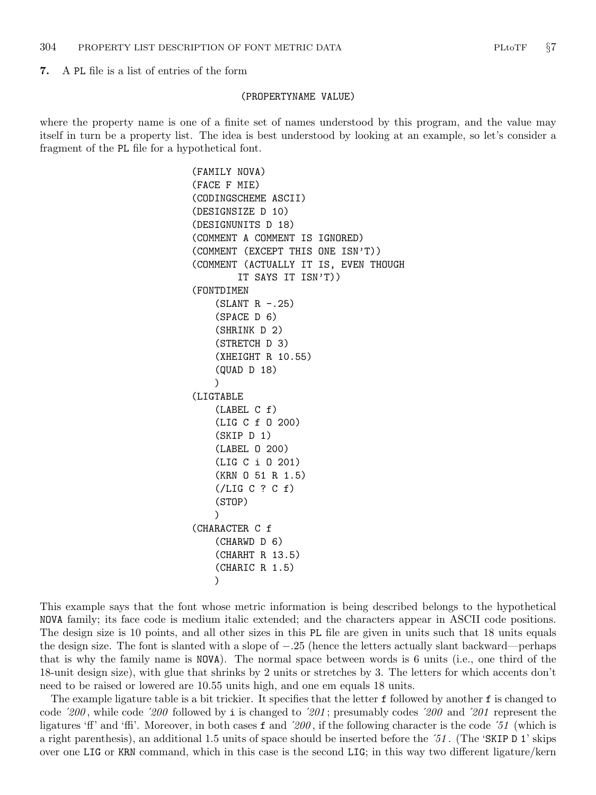## 7. A PL file is a list of entries of the form

## (PROPERTYNAME VALUE)

where the property name is one of a finite set of names understood by this program, and the value may itself in turn be a property list. The idea is best understood by looking at an example, so let's consider a fragment of the PL file for a hypothetical font.

```
(FAMILY NOVA)
(FACE F MIE)
(CODINGSCHEME ASCII)
(DESIGNSIZE D 10)
(DESIGNUNITS D 18)
(COMMENT A COMMENT IS IGNORED)
(COMMENT (EXCEPT THIS ONE ISN'T))
(COMMENT (ACTUALLY IT IS, EVEN THOUGH
        IT SAYS IT ISN'T))
(FONTDIMEN
    (SLANT R −.25)
    (SPACE D 6)
    (SHRINK D 2)
    (STRETCH D 3)
    (XHEIGHT R 10.55)
    (QUAD D 18)
    )
(LIGTABLE
    (LABEL C f)
    (LIG C f O 200)
    (SKIP D 1)
    (LABEL O 200)
    (LIG C i O 201)
    (KRN O 51 R 1.5)
    (/LIG C ? C f)
    (STOP)
    )
(CHARACTER C f
    (CHARWD D 6)
    (CHARHT R 13.5)
    (CHARIC R 1.5)
    )
```
This example says that the font whose metric information is being described belongs to the hypothetical NOVA family; its face code is medium italic extended; and the characters appear in ASCII code positions. The design size is 10 points, and all other sizes in this PL file are given in units such that 18 units equals the design size. The font is slanted with a slope of −.25 (hence the letters actually slant backward—perhaps that is why the family name is NOVA). The normal space between words is 6 units (i.e., one third of the 18-unit design size), with glue that shrinks by 2 units or stretches by 3. The letters for which accents don't need to be raised or lowered are 10.55 units high, and one em equals 18 units.

The example ligature table is a bit trickier. It specifies that the letter f followed by another f is changed to code  $200$ , while code  $200$  followed by i is changed to  $201$ ; presumably codes  $200$  and  $201$  represent the ligatures 'ff' and 'ffi'. Moreover, in both cases f and '200, if the following character is the code '51 (which is a right parenthesis), an additional 1.5 units of space should be inserted before the ´51 . (The 'SKIP D 1' skips over one LIG or KRN command, which in this case is the second LIG; in this way two different ligature/kern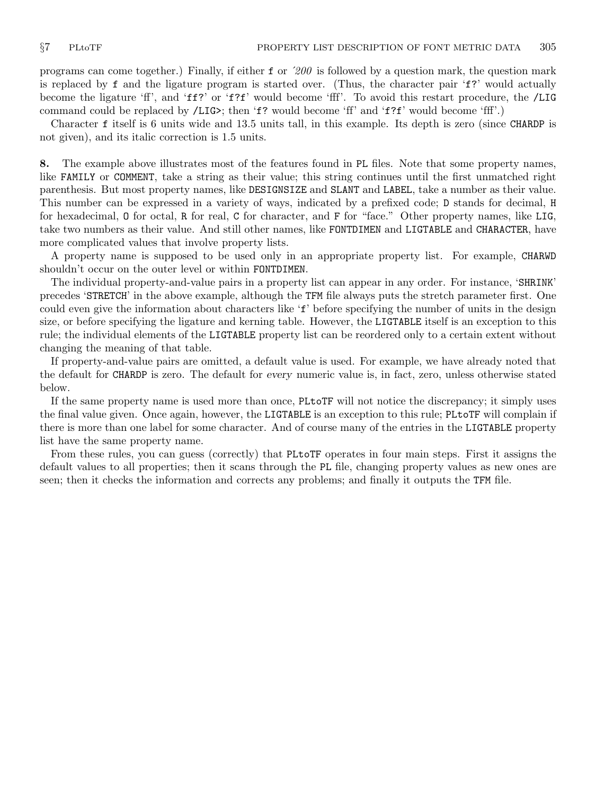programs can come together.) Finally, if either f or ´200 is followed by a question mark, the question mark is replaced by f and the ligature program is started over. (Thus, the character pair 'f?' would actually become the ligature 'ff', and 'ff?' or 'f?f' would become 'fff'. To avoid this restart procedure, the /LIG command could be replaced by /LIG>; then 'f? would become 'ff' and 'f?f' would become 'fff'.)

Character f itself is 6 units wide and 13.5 units tall, in this example. Its depth is zero (since CHARDP is not given), and its italic correction is 1.5 units.

8. The example above illustrates most of the features found in PL files. Note that some property names, like FAMILY or COMMENT, take a string as their value; this string continues until the first unmatched right parenthesis. But most property names, like DESIGNSIZE and SLANT and LABEL, take a number as their value. This number can be expressed in a variety of ways, indicated by a prefixed code; D stands for decimal, H for hexadecimal, O for octal, R for real, C for character, and F for "face." Other property names, like LIG, take two numbers as their value. And still other names, like FONTDIMEN and LIGTABLE and CHARACTER, have more complicated values that involve property lists.

A property name is supposed to be used only in an appropriate property list. For example, CHARWD shouldn't occur on the outer level or within FONTDIMEN.

The individual property-and-value pairs in a property list can appear in any order. For instance, 'SHRINK' precedes 'STRETCH' in the above example, although the TFM file always puts the stretch parameter first. One could even give the information about characters like 'f' before specifying the number of units in the design size, or before specifying the ligature and kerning table. However, the LIGTABLE itself is an exception to this rule; the individual elements of the LIGTABLE property list can be reordered only to a certain extent without changing the meaning of that table.

If property-and-value pairs are omitted, a default value is used. For example, we have already noted that the default for CHARDP is zero. The default for every numeric value is, in fact, zero, unless otherwise stated below.

If the same property name is used more than once, PLtoTF will not notice the discrepancy; it simply uses the final value given. Once again, however, the LIGTABLE is an exception to this rule; PLtoTF will complain if there is more than one label for some character. And of course many of the entries in the LIGTABLE property list have the same property name.

From these rules, you can guess (correctly) that PLtoTF operates in four main steps. First it assigns the default values to all properties; then it scans through the PL file, changing property values as new ones are seen; then it checks the information and corrects any problems; and finally it outputs the TFM file.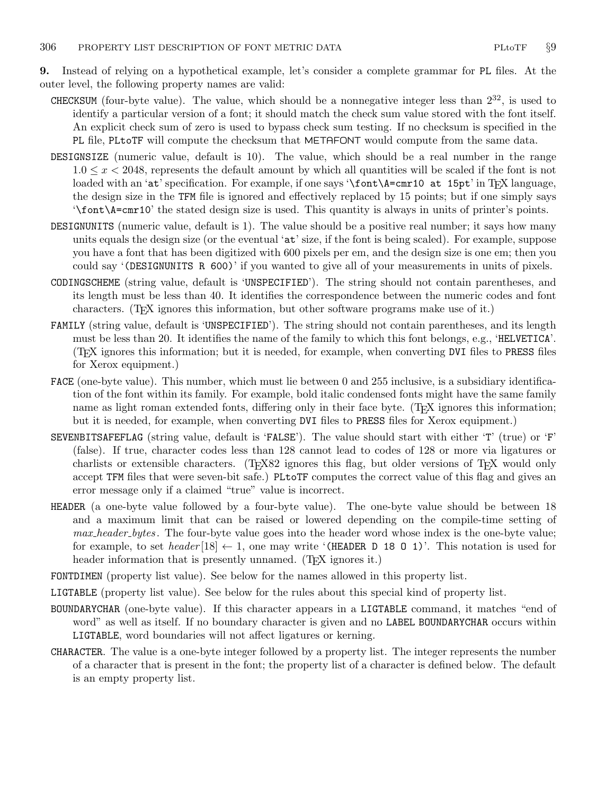- <span id="page-5-0"></span>9. Instead of relying on a hypothetical example, let's consider a complete grammar for PL files. At the outer level, the following property names are valid:
	- CHECKSUM (four-byte value). The value, which should be a nonnegative integer less than  $2^{32}$ , is used to identify a particular version of a font; it should match the check sum value stored with the font itself. An explicit check sum of zero is used to bypass check sum testing. If no checksum is specified in the PL file, PLtoTF will compute the checksum that METAFONT would compute from the same data.
	- DESIGNSIZE (numeric value, default is 10). The value, which should be a real number in the range  $1.0 \leq x \leq 2048$ , represents the default amount by which all quantities will be scaled if the font is not loaded with an 'at' specification. For example, if one says '\font\A=cmr10 at 15pt' in T<sub>E</sub>X language, the design size in the TFM file is ignored and effectively replaced by 15 points; but if one simply says '\font\A=cmr10' the stated design size is used. This quantity is always in units of printer's points.
	- DESIGNUNITS (numeric value, default is 1). The value should be a positive real number; it says how many units equals the design size (or the eventual 'at' size, if the font is being scaled). For example, suppose you have a font that has been digitized with 600 pixels per em, and the design size is one em; then you could say '(DESIGNUNITS R 600)' if you wanted to give all of your measurements in units of pixels.
	- CODINGSCHEME (string value, default is 'UNSPECIFIED'). The string should not contain parentheses, and its length must be less than 40. It identifies the correspondence between the numeric codes and font characters. (TEX ignores this information, but other software programs make use of it.)
	- FAMILY (string value, default is 'UNSPECIFIED'). The string should not contain parentheses, and its length must be less than 20. It identifies the name of the family to which this font belongs, e.g., 'HELVETICA'. (TEX ignores this information; but it is needed, for example, when converting DVI files to PRESS files for Xerox equipment.)
	- FACE (one-byte value). This number, which must lie between 0 and 255 inclusive, is a subsidiary identification of the font within its family. For example, bold italic condensed fonts might have the same family name as light roman extended fonts, differing only in their face byte. (T<sub>E</sub>X ignores this information; but it is needed, for example, when converting DVI files to PRESS files for Xerox equipment.)
	- SEVENBITSAFEFLAG (string value, default is 'FALSE'). The value should start with either 'T' (true) or 'F' (false). If true, character codes less than 128 cannot lead to codes of 128 or more via ligatures or charlists or extensible characters. (T<sub>EX82</sub> ignores this flag, but older versions of T<sub>EX</sub> would only accept TFM files that were seven-bit safe.) PLtoTF computes the correct value of this flag and gives an error message only if a claimed "true" value is incorrect.
	- HEADER (a one-byte value followed by a four-byte value). The one-byte value should be between 18 and a maximum limit that can be raised or lowered depending on the compile-time setting of max header bytes. The four-byte value goes into the header word whose index is the one-byte value; for example, to set header  $[18] \leftarrow 1$ , one may write '(HEADER D 18 0 1)'. This notation is used for header information that is presently unnamed. (T<sub>E</sub>X ignores it.)
	- FONTDIMEN (property list value). See below for the names allowed in this property list.
	- LIGTABLE (property list value). See below for the rules about this special kind of property list.
	- BOUNDARYCHAR (one-byte value). If this character appears in a LIGTABLE command, it matches "end of word" as well as itself. If no boundary character is given and no LABEL BOUNDARYCHAR occurs within LIGTABLE, word boundaries will not affect ligatures or kerning.
	- CHARACTER. The value is a one-byte integer followed by a property list. The integer represents the number of a character that is present in the font; the property list of a character is defined below. The default is an empty property list.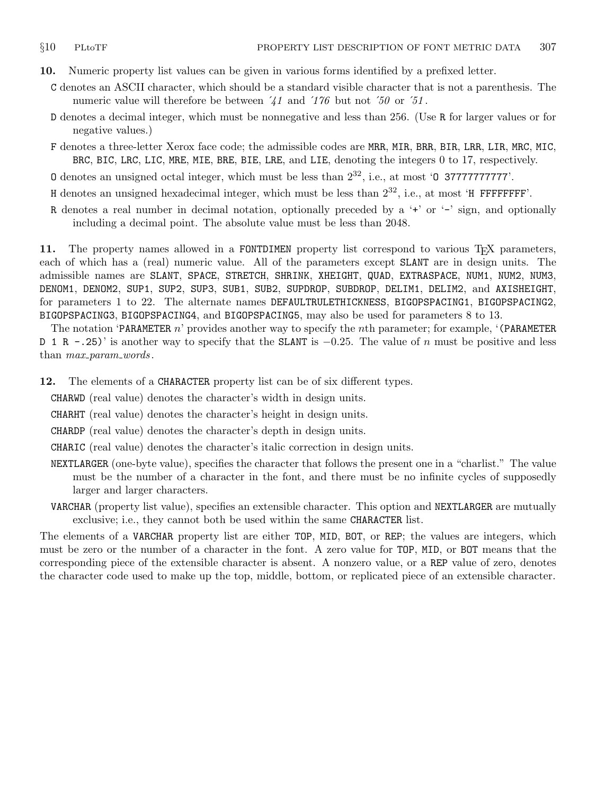<span id="page-6-0"></span>

- 10. Numeric property list values can be given in various forms identified by a prefixed letter.
	- C denotes an ASCII character, which should be a standard visible character that is not a parenthesis. The numeric value will therefore be between  $\angle 41$  and  $\angle 176$  but not  $\angle 50$  or  $\angle 51$ .
	- D denotes a decimal integer, which must be nonnegative and less than 256. (Use R for larger values or for negative values.)
	- F denotes a three-letter Xerox face code; the admissible codes are MRR, MIR, BRR, BIR, LRR, LIR, MRC, MIC, BRC, BIC, LRC, LIC, MRE, MIE, BRE, BIE, LRE, and LIE, denoting the integers 0 to 17, respectively.
	- O denotes an unsigned octal integer, which must be less than 232, i.e., at most 'O 37777777777'.
	- H denotes an unsigned hexadecimal integer, which must be less than  $2^{32}$ , i.e., at most 'H FFFFFFFF'.
	- R denotes a real number in decimal notation, optionally preceded by a '+' or '−' sign, and optionally including a decimal point. The absolute value must be less than 2048.

11. The property names allowed in a FONTDIMEN property list correspond to various TFX parameters, each of which has a (real) numeric value. All of the parameters except SLANT are in design units. The admissible names are SLANT, SPACE, STRETCH, SHRINK, XHEIGHT, QUAD, EXTRASPACE, NUM1, NUM2, NUM3, DENOM1, DENOM2, SUP1, SUP2, SUP3, SUB1, SUB2, SUPDROP, SUBDROP, DELIM1, DELIM2, and AXISHEIGHT, for parameters 1 to 22. The alternate names DEFAULTRULETHICKNESS, BIGOPSPACING1, BIGOPSPACING2, BIGOPSPACING3, BIGOPSPACING4, and BIGOPSPACING5, may also be used for parameters 8 to 13.

The notation 'PARAMETER n' provides another way to specify the nth parameter; for example, '(PARAMETER D 1 R −.25)' is another way to specify that the SLANT is  $-0.25$ . The value of n must be positive and less than *max\_param\_words*.

12. The elements of a CHARACTER property list can be of six different types.

CHARWD (real value) denotes the character's width in design units.

- CHARHT (real value) denotes the character's height in design units.
- CHARDP (real value) denotes the character's depth in design units.

CHARIC (real value) denotes the character's italic correction in design units.

- NEXTLARGER (one-byte value), specifies the character that follows the present one in a "charlist." The value must be the number of a character in the font, and there must be no infinite cycles of supposedly larger and larger characters.
- VARCHAR (property list value), specifies an extensible character. This option and NEXTLARGER are mutually exclusive; i.e., they cannot both be used within the same CHARACTER list.

The elements of a VARCHAR property list are either TOP, MID, BOT, or REP; the values are integers, which must be zero or the number of a character in the font. A zero value for TOP, MID, or BOT means that the corresponding piece of the extensible character is absent. A nonzero value, or a REP value of zero, denotes the character code used to make up the top, middle, bottom, or replicated piece of an extensible character.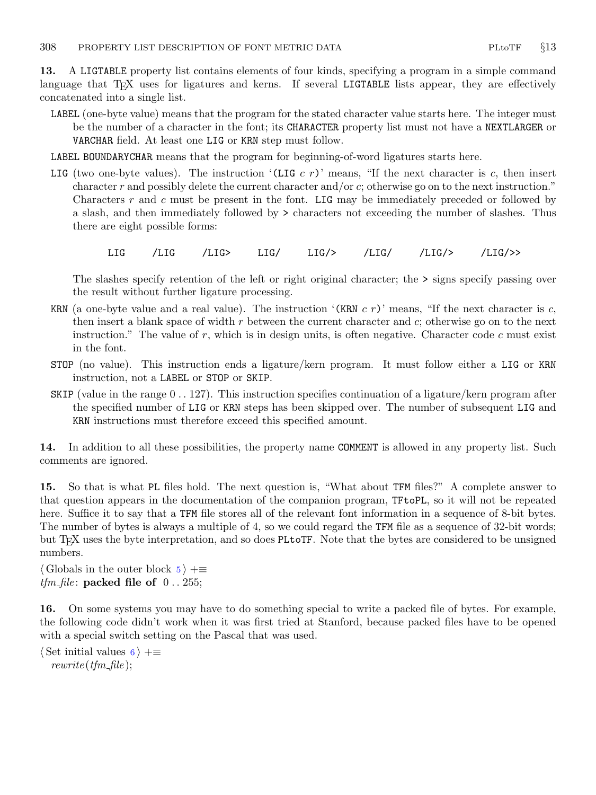<span id="page-7-0"></span>13. A LIGTABLE property list contains elements of four kinds, specifying a program in a simple command language that T<sub>EX</sub> uses for ligatures and kerns. If several LIGTABLE lists appear, they are effectively concatenated into a single list.

LABEL (one-byte value) means that the program for the stated character value starts here. The integer must be the number of a character in the font; its CHARACTER property list must not have a NEXTLARGER or VARCHAR field. At least one LIG or KRN step must follow.

LABEL BOUNDARYCHAR means that the program for beginning-of-word ligatures starts here.

LIG (two one-byte values). The instruction '(LIG  $c\ r$ )' means, "If the next character is c, then insert character r and possibly delete the current character and/or  $c$ ; otherwise go on to the next instruction." Characters  $r$  and  $c$  must be present in the font. LIG may be immediately preceded or followed by a slash, and then immediately followed by > characters not exceeding the number of slashes. Thus there are eight possible forms:

LIG /LIG /LIG> LIG/ LIG/> /LIG/ /LIG/> /LIG/>>

The slashes specify retention of the left or right original character; the > signs specify passing over the result without further ligature processing.

- KRN (a one-byte value and a real value). The instruction '(KRN  $c r$ )' means, "If the next character is c, then insert a blank space of width  $r$  between the current character and  $c$ ; otherwise go on to the next instruction." The value of  $r$ , which is in design units, is often negative. Character code  $c$  must exist in the font.
- STOP (no value). This instruction ends a ligature/kern program. It must follow either a LIG or KRN instruction, not a LABEL or STOP or SKIP.
- SKIP (value in the range 0 . . 127). This instruction specifies continuation of a ligature/kern program after the specified number of LIG or KRN steps has been skipped over. The number of subsequent LIG and KRN instructions must therefore exceed this specified amount.

14. In addition to all these possibilities, the property name COMMENT is allowed in any property list. Such comments are ignored.

15. So that is what PL files hold. The next question is, "What about TFM files?" A complete answer to that question appears in the documentation of the companion program, TFtoPL, so it will not be repeated here. Suffice it to say that a TFM file stores all of the relevant font information in a sequence of 8-bit bytes. The number of bytes is always a multiple of 4, so we could regard the TFM file as a sequence of 32-bit words; but TEX uses the byte interpretation, and so does PLtoTF. Note that the bytes are considered to be unsigned numbers.

 $\langle$  Globals in the outer block [5](#page-2-0)  $\rangle$  +≡  $t/m$ -file: packed file of  $0 \ldots 255$ ;

16. On some systems you may have to do something special to write a packed file of bytes. For example, the following code didn't work when it was first tried at Stanford, because packed files have to be opened with a special switch setting on the Pascal that was used.

```
\langle6 \rangle +≡
   rewrite (tfm_{\mathit{m}} - file);
```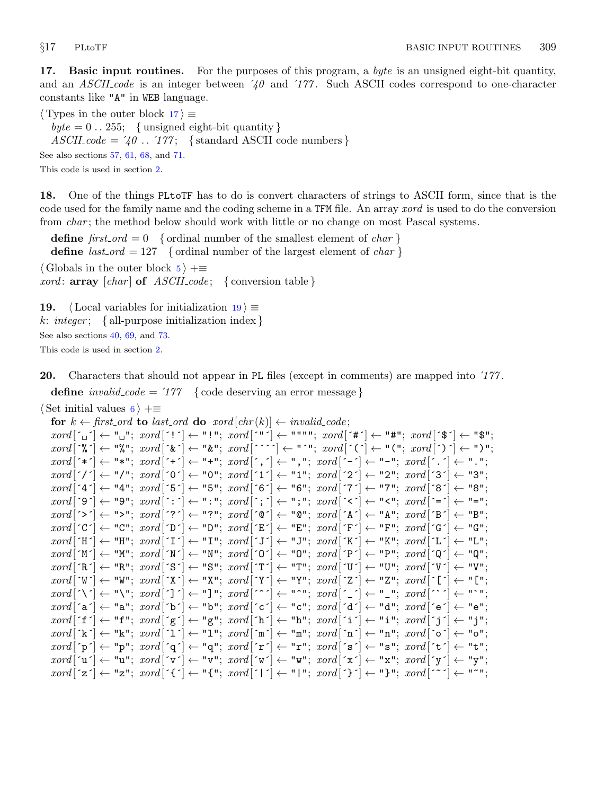<span id="page-8-0"></span>17. Basic input routines. For the purposes of this program, a byte is an unsigned eight-bit quantity, and an ASCII code is an integer between  $40$  and  $177$ . Such ASCII codes correspond to one-character constants like "A" in WEB language.

 $\langle$  Types in the outer block 17 $\rangle \equiv$  $byte = 0$ ... 255; {unsigned eight-bit quantity}  $ASCII\_code = 40$ ... '177; { standard ASCII code numbers } See also sections [57](#page-21-0), [61,](#page-22-0) [68](#page-25-0), and [71.](#page-26-0)

This code is used in section [2](#page-1-0).

18. One of the things PLtoTF has to do is convert characters of strings to ASCII form, since that is the code used for the family name and the coding scheme in a TFM file. An array xord is used to do the conversion from *char*; the method below should work with little or no change on most Pascal systems.

**define** first ord = 0 { ordinal number of the smallest element of *char* } **define** last ord = 127 { ordinal number of the largest element of *char* }  $\langle$  Globals in the outer block [5](#page-2-0)  $\rangle$  += *xord*: **array**  $[char]$  **of**  $ASCII_code; \{ conversion table \}$ 

19.  $\langle$  Local variables for initialization 19 $\rangle \equiv$ k: *integer*; { all-purpose initialization index } See also sections [40](#page-14-0), [69,](#page-25-0) and [73.](#page-26-0) This code is used in section [2](#page-1-0).

20. Characters that should not appear in PL files (except in comments) are mapped into  $177$ .

define *invalid\_code* =  $'177$  { code deserving an error message }

 $\langle$  Set initial values [6](#page-2-0)  $\rangle$  +≡

for  $k \leftarrow$  first\_ord to last\_ord do xord  $[chr(k)] \leftarrow invalid\_code;$ 

| $xord[\ulcorner\!\!\lrcorner\!\!\lrcorner\!\!\lrcorner\!\!\lrcorner\!\!\lrcorner\!\!\lrcorner\!\!\lrcorner\!\!\lrcorner\!\!\lrcorner\!\!\lrcorner\!\!\lrcorner\!\!\lrcorner\!\!\lrcorner\!\!\lrcorner\!\!\lrcorner\!\!\lrcorner\!\!\lrcorner\!\!\lrcorner\!\!\lrcorner\!\!\lrcorner\!\!\lrcorner\!\!\lrcorner\!\!\lrcorner\!\!\lrcorner\!\!\lrcorner\!\!\lrcorner\!\!\lrcorner\!\!\lrcorner\!\!\lrcorner\!\!\lrcorner\!\!\lrc$                                                                          |  |  |  |  |  |
|---------------------------------------------------------------------------------------------------------------------------------------------------------------------------------------------------------------------------------------------------------------------------------------------------------------------------------------------------------------------------------------------------------------------------------------------------------------------------------------------------------|--|--|--|--|--|
| $xord['\%'] \leftarrow "\""$ ; $xord['\&\text{'}] \leftarrow "\&\text{''}; xord['\text{''}'] \leftarrow "\text{''"}; xord['\text{'}] \leftarrow "\text{''"}; xord['\text{''}] \leftarrow "\text{''"}; xord['\text{''}']$                                                                                                                                                                                                                                                                                |  |  |  |  |  |
| $\text{word}[\mathcal{I}^*] \leftarrow \text{""}; \text{ } \text{word}[\mathcal{I}^*] \leftarrow \text{""}; \text{ } \text{word}[\mathcal{I}, \mathcal{I}] \leftarrow \text{""}; \text{ } \text{word}[\mathcal{I}^*] \leftarrow \text{""}; \text{ } \text{word}[\mathcal{I}^*] \leftarrow \text{""}; \text{ } \text{word}[\mathcal{I}, \mathcal{I}] \leftarrow \text{""};$                                                                                                                              |  |  |  |  |  |
| $xord\lceil 7\rceil \leftarrow "I"$ ; $xord\lceil 0 \rceil \leftarrow "0"$ ; $xord\lceil 1 \rceil \leftarrow "1"$ ; $xord\lceil 2 \rceil \leftarrow "2"$ ; $xord\lceil 3 \rceil \leftarrow "3"$ ;                                                                                                                                                                                                                                                                                                       |  |  |  |  |  |
| $xord[74]$ ← "4"; $xord[75']$ ← "5"; $xord[76']$ ← "6"; $xord[77']$ ← "7"; $xord[78']$ ← "8";                                                                                                                                                                                                                                                                                                                                                                                                           |  |  |  |  |  |
| $xord[59] \leftarrow "9"; xord[10] \leftarrow "10"; xord[10] \leftarrow "10"; xord[11] \leftarrow "11"; xord[110] \leftarrow "11"; xord[110] \leftarrow "11"; xord[110] \leftarrow "11"; xord[110] \leftarrow "110"; xord[110] \leftarrow "110"; xord[110] \leftarrow "110"; xord[110] \leftarrow "110"; xord[110] \leftarrow "110"; xord[110] \leftarrow "110"; xord[111] \leftarrow "111"; xord[111] \leftarrow "111"; xord[111]$                                                                     |  |  |  |  |  |
| $xord\lceil z\rceil \leftarrow ">$ ", $xord\lceil z\rceil \leftarrow "?"$ ; $xord\lceil \mathcal{C}\rceil \leftarrow "@"$ ; $xord\lceil A\rceil \leftarrow "A"$ ; $xord\lceil B\rceil \leftarrow "B"$ ;                                                                                                                                                                                                                                                                                                 |  |  |  |  |  |
| $xord[^{\circ}C^{\circ}] \leftarrow "C"; xord[^{\circ}D^{\circ}] \leftarrow "D"; xord[^{\circ}E^{\circ}] \leftarrow "E"; xord[^{\circ}F^{\circ}] \leftarrow "F"; xord[^{\circ}G^{\circ}] \leftarrow "G";$                                                                                                                                                                                                                                                                                               |  |  |  |  |  |
| $xord[^{\prime}H^{\prime}] \leftarrow "H"; xord[^{\prime}I^{\prime}] \leftarrow "I"; xord[^{\prime}J^{\prime}] \leftarrow "J"; xord[^{\prime}K^{\prime}] \leftarrow "K"; xord[^{\prime}L^{\prime}] \leftarrow "L";$                                                                                                                                                                                                                                                                                     |  |  |  |  |  |
| $xord \, [ 'M'] \leftarrow "M" ; xord \, [ 'N'] \leftarrow "N" ; xord \, [ 'O'] \leftarrow "O" ; xord \, [ 'P'] \leftarrow "P" ; xord \, [ 'Q'] \leftarrow "Q" ;$                                                                                                                                                                                                                                                                                                                                       |  |  |  |  |  |
| $xord \lceil^{\cdot} \mathbb{R}^{\cdot} \rceil \leftarrow "R"; xord \lceil^{\cdot} S \rceil \leftarrow "S"; xord \lceil^{\cdot} T \rceil \leftarrow "T"; xord \lceil^{\cdot} U' \rceil \leftarrow "U"; xord \lceil^{\cdot} V \rceil \leftarrow "V";$                                                                                                                                                                                                                                                    |  |  |  |  |  |
| $xord[{\lceil \mathbf{W} \rceil} \leftarrow \mathsf{WW}; xord[{\lceil \mathbf{X} \rceil} \leftarrow \mathsf{WX}'; xord[{\lceil \mathbf{Y} \rceil} \leftarrow \mathsf{WY}'; xord[{\lceil \mathbf{Z} \rceil}] \leftarrow \mathsf{WZ}'; xord[{\lceil \mathbf{L} \rceil}] \leftarrow \mathsf{UY};$                                                                                                                                                                                                          |  |  |  |  |  |
| $xord[\uparrow\uparrow] \leftarrow \ulcorner\uparrow\urcorner; xord[\uparrow\urcorner] \leftarrow \ulcorner\urcorner\urcorner; xord[\uparrow\uparrow\urcorner] \leftarrow \ulcorner\urcorner\urcorner; xord[\uparrow\urcorner] \leftarrow \ulcorner\urcorner\urcorner; xord[\uparrow\urcorner] \leftarrow \ulcorner\urcorner\urcorner; xord[\uparrow\urcorner] \leftarrow \ulcorner\urcorner\urcorner\urcorner\urcorner\right)$                                                                         |  |  |  |  |  |
| $xord[^{\frown}a^{\frown}] \leftarrow "a"; xord[^{\frown}b^{\frown}] \leftarrow "b"; xord[^{\frown}c^{\frown}] \leftarrow "c"; xord[^{\frown}d^{\frown}] \leftarrow "d"; xord[^{\frown}e^{\frown}] \leftarrow "e";$                                                                                                                                                                                                                                                                                     |  |  |  |  |  |
| $xord[$ $f] \leftarrow "f"; xord[$ $g'] \leftarrow "g"; xord[$ $h'] \leftarrow "h"; xord[$ $i] \leftarrow "i"; xord[$ $j \leftarrow "j";$                                                                                                                                                                                                                                                                                                                                                               |  |  |  |  |  |
| $xord[^{\sim} \kappa] \leftarrow "k"; xord[^{\sim} \right] \leftarrow "1"; xord[^{\sim} \kappa] \leftarrow "m"; xord[^{\sim} \right] \leftarrow "n"; xord[^{\sim} \right] \leftarrow "0";$                                                                                                                                                                                                                                                                                                              |  |  |  |  |  |
| $xord[$ $\lceil p' \rceil$ $\leftarrow$ "p"; $xord[$ $\lceil q' \rceil$ $\leftarrow$ "q"; $xord[$ $\lceil r' \rceil$ $\leftarrow$ "r"; $xord[$ $\lceil s' \rceil$ $\leftarrow$ "s"; $xord[$ $\lceil t' \rceil$ $\leftarrow$ "t";                                                                                                                                                                                                                                                                        |  |  |  |  |  |
| $xord[$ $\lceil u \rceil$ $\leftarrow$ $\lceil u \rceil$ ; $xord[$ $\lceil v \rceil$ $\leftarrow$ $\lceil v \rceil$ ; $xord[$ $\lceil w \rceil$ $\leftarrow$ $\lceil w \rceil$ ; $xord[$ $\lceil x \rceil$ $\leftarrow$ $\lceil x \rceil$ $\leftarrow$ $\lceil x \rceil$ $\leftarrow$ $\lceil v \rceil$ $\leftarrow$ $\lceil y \rceil$                                                                                                                                                                  |  |  |  |  |  |
| $xord[^{\sim}z] \leftarrow "z"; xord[^{\sim}z] \leftarrow "f"; xord[^{\sim}z] \leftarrow "l"; xord[^{\sim}z] \leftarrow "r"; xord[^{\sim}z] \leftarrow "r"; xord[^{\sim}z] \leftarrow "r"; xord[^{\sim}z] \leftarrow "r"; xord[^{\sim}z] \leftarrow "r"; xord[^{\sim}z] \leftarrow "r"; xord[^{\sim}z] \leftarrow "r"; xord[^{\sim}z] \leftarrow "r"; xord[^{\sim}z] \leftarrow "r"; xord[^{\sim}z] \leftarrow "r"; xord[^{\sim}z] \leftarrow "r"; xord[^{\sim}z] \leftarrow "r"; xord[^{\sim}z] \left$ |  |  |  |  |  |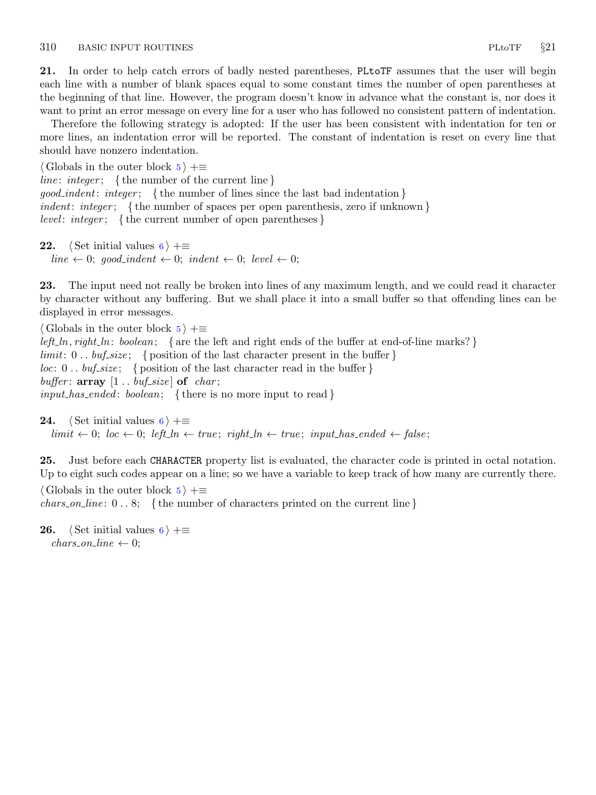<span id="page-9-0"></span>21. In order to help catch errors of badly nested parentheses, PLtoTF assumes that the user will begin each line with a number of blank spaces equal to some constant times the number of open parentheses at the beginning of that line. However, the program doesn't know in advance what the constant is, nor does it want to print an error message on every line for a user who has followed no consistent pattern of indentation.

Therefore the following strategy is adopted: If the user has been consistent with indentation for ten or more lines, an indentation error will be reported. The constant of indentation is reset on every line that should have nonzero indentation.

 $\langle$  Globals in the outer block [5](#page-2-0)  $\rangle$  +≡

*line: integer*; {the number of the current line }  $good\_indent:integer; \{ the number of lines since the last bad indentation \}$ *indent: integer*; { the number of spaces per open parenthesis, zero if unknown } level: integer; {the current number of open parentheses}

22.  $\langle$  Set initial values [6](#page-2-0)  $\rangle$  +≡ line ← 0; good\_indent ← 0; indent ← 0; level ← 0;

23. The input need not really be broken into lines of any maximum length, and we could read it character by character without any buffering. But we shall place it into a small buffer so that offending lines can be displayed in error messages.

 $\langle$  Globals in the outer block [5](#page-2-0)  $\rangle$  +≡ left ln, right ln: boolean; { are the left and right ends of the buffer at end-of-line marks?}  $limit: 0$ ..  $buf\_size: \{ position of the last character present in the buffer \}$  $loc: 0$ ..  $buf\_size$ ; { position of the last character read in the buffer } buffer:  $array [1..$  buf\_size of char;  $input\_has\_ended:boolean; \{ there is no more input to read \}$ 

24. (Set initial values [6](#page-2-0)) +≡  $limit \leftarrow 0; loc \leftarrow 0; left\_ln \leftarrow true; right\_ln \leftarrow true; input\_has\_ended \leftarrow false;$ 

25. Just before each CHARACTER property list is evaluated, the character code is printed in octal notation. Up to eight such codes appear on a line; so we have a variable to keep track of how many are currently there.

 $\langle$  Globals in the outer block [5](#page-2-0)  $\rangle$  +≡ *chars\_on\_line*:  $0 \ldots 8$ ; {the number of characters printed on the current line}

2[6](#page-2-0).  $\langle$  Set initial values 6  $\rangle$  +≡  $chars\_on\_line \leftarrow 0;$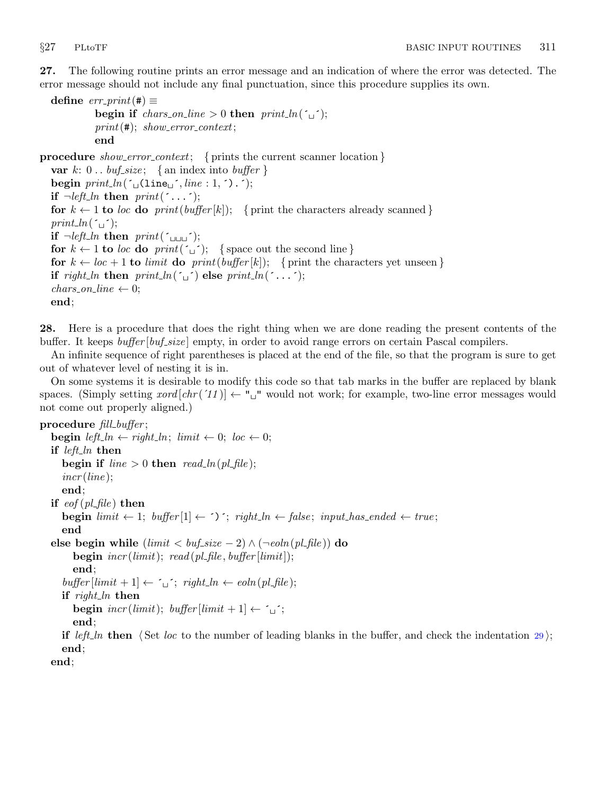<span id="page-10-0"></span>27. The following routine prints an error message and an indication of where the error was detected. The error message should not include any final punctuation, since this procedure supplies its own.

```
define err\_print(#) \equivbegin if chars_on_line > 0 then print\_ln(<sup>'</sup>
              print(\#); show_error\_context;end
procedure show error context; { prints the current scanner location }
  var k: 0.. buf\_size; { an index into buffer}
  begin print\_ln( (\lceil (line \lceil , line : 1, \lceil ). \lceil);
  if \neg left\_ln then print(\hat{\cdot} \dots \hat{\cdot});for k \leftarrow 1 to loc do print(buffer [k]); { print the characters already scanned }
  print\_ln(\lceil \sqcup \rceil);if \neg left\_ln then print('for k \leftarrow 1 to loc do print(\Delta); {space out the second line}
  for k \leftarrow loc + 1 to limit do print (buffer [k]); { print the characters yet unseen }
  if right ln then print\_ln(\tilde{\ } \cup \tilde{\ }) else print\_ln(\tilde{\ } \dots \tilde{\ });
  chars\_on\_line \leftarrow 0;end;
```
28. Here is a procedure that does the right thing when we are done reading the present contents of the buffer. It keeps  $buffer[buf\_size]$  empty, in order to avoid range errors on certain Pascal compilers.

An infinite sequence of right parentheses is placed at the end of the file, so that the program is sure to get out of whatever level of nesting it is in.

On some systems it is desirable to modify this code so that tab marks in the buffer are replaced by blank spaces. (Simply setting  $xord[chr(T1)] \leftarrow "^{\square}$ " would not work; for example, two-line error messages would not come out properly aligned.)

```
procedure fill_buffer;
  begin left_ln \leftarrow right_ln; limit \leftarrow 0; loc \leftarrow 0;
  if left_ln then
     begin if line > 0 then read ln (pl file);
     incr (line );
     end;
  if \epsilon eof (pl_file) then
     begin limit \leftarrow 1; buffer [1] \leftarrow \cap; right ln \leftarrow false; input has ended \leftarrow true;
     end
  else begin while (limit < but\_size - 2) \wedge (\neg \text{eoln}(pl\_file)) do
        begin \text{incr}(\text{limit}); \text{read}(pl\text{-file}, \text{buffer}[\text{limit}]);end;
     buffer|limit + 1| \leftarrow \sim \text{`s'}; right\_ln \leftarrow \text{'}= \text{`e} \cdot \text{`t}if right\_ln then
        begin \text{incr}(\text{limit}); \text{buffer}[\text{limit} + 1] \leftarrow \text{``} \cup \text{''};end;
     if left ln then \langle29\rangle;
     end;
```
end;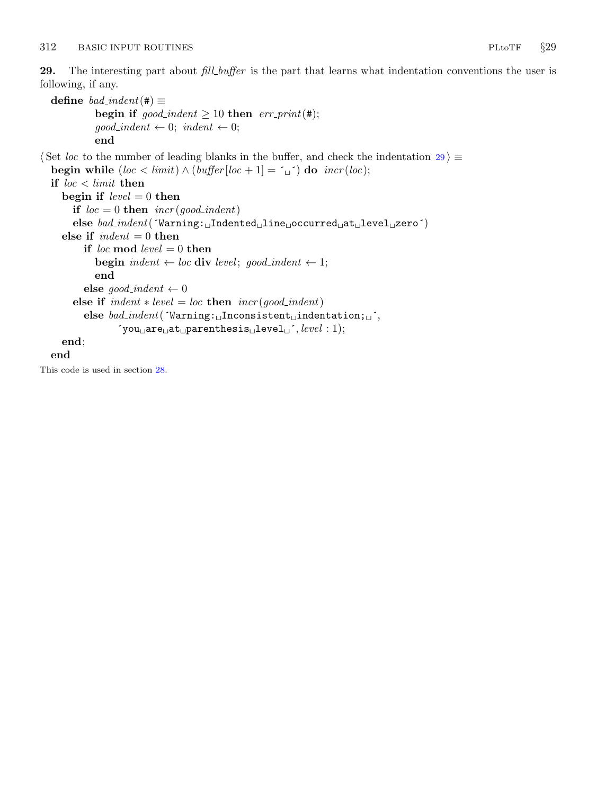<span id="page-11-0"></span>29. The interesting part about fill buffer is the part that learns what indentation conventions the user is following, if any.

```
define bad_indent(#) \equivbegin if good_indent \geq 10 then err_print(#);
             good\_indent \leftarrow 0; \text{indent in} \leftarrow 0;end
\text{Set} loc to the number of leading blanks in the buffer, and check the indentation 29 \equivbegin while (loc < limit) \wedge (buffer[loc + 1] = \neg \wedge) do incr(loc);if loc < limit then
     begin if level = 0 then
       if loc = 0 then incr(good\_indent)else \textit{bad\_indent}('Warning: Indented line occurred at level zero')
     else if \text{indent} = 0 then
          if loc mod level = 0 then
             begin indent \leftarrow loc div level; good_indent \leftarrow 1;
             end
          else good_indent \leftarrow 0else if indent * level = loc then incr(good\_indent)else \textit{bad} indent(´Warning: Inconsistent indentation; \textit{if},
                   \text{`you}\_\text{a}re\text{...}at\text{...}parenthesis\text{...}level\text{...}; level:1);
     end;
  end
This code is used in section 28.
```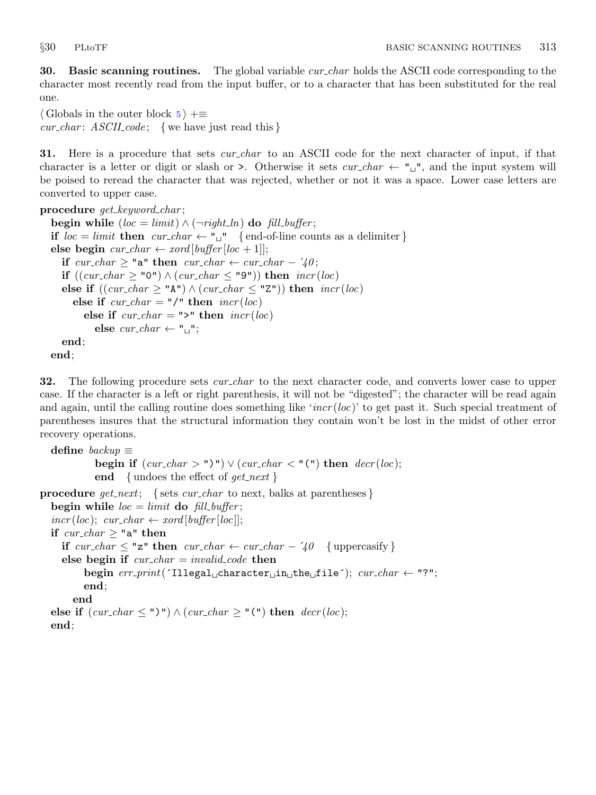<span id="page-12-0"></span>**30.** Basic scanning routines. The global variable *cur char* holds the ASCII code corresponding to the character most recently read from the input buffer, or to a character that has been substituted for the real one.

 $\langle$  Globals in the outer block [5](#page-2-0)  $\rangle$  +≡ cur\_char:  $ASCH\_{code}$ ; {we have just read this }

31. Here is a procedure that sets *cur\_char* to an ASCII code for the next character of input, if that character is a letter or digit or slash or >. Otherwise it sets  $cur_{char} \leftarrow " \cup",$  and the input system will be poised to reread the character that was rejected, whether or not it was a space. Lower case letters are converted to upper case.

procedure get\_keyword\_char; begin while  $(loc = limit) \wedge (\neg right\_ln)$  do fill\_buffer; if  $loc = limit$  then  $cur_{char} \leftarrow " \perp"$  {end-of-line counts as a delimiter} else begin  $cur\_char \leftarrow xord[buffer[loc + 1]]$ ; if  $cur\_char \geq "a"$  then  $cur\_char \leftarrow cur\_char - 70;$ if  $((cur\_char \geq "0") \wedge (cur\_char \leq "9")$  then  $incr(loc)$ else if  $((\text{cur\_char} \geq "A") \land (\text{cur\_char} \leq "Z")$ ) then  $\text{incr}(loc)$ else if  $cur\_char = "\prime"$  then  $incr(loc)$ else if  $cur\_char = ">"$  then  $incr(loc)$ else  $cur\_char \leftarrow "$ "; end; end;

**32.** The following procedure sets cur char to the next character code, and converts lower case to upper case. If the character is a left or right parenthesis, it will not be "digested"; the character will be read again and again, until the calling routine does something like ' $\text{incr}(loc)$ ' to get past it. Such special treatment of parentheses insures that the structural information they contain won't be lost in the midst of other error recovery operations.

```
define backup \equivbegin if (cur\_char > ")\") \vee (cur\_char < "("") then decr(loc);end { undoes the effect of get\_next }
procedure get next; { sets cur char to next, balks at parentheses }
  begin while loc = limit do fill buffer;
  incr(loc); cur\_char \leftarrow xord[buffer[loc]);if cur\_char \geq "a" then
    if cur_char \leq "z" then cur_char \leftarrow cur_char - '40 { uppercasify }
    else begin if cur\_char = invalid\_code then
          begin err\_print( [Illegal<sub>\cup</sub>character\cupin\cupthe\cupfile´); cur char \leftarrow "?";
         end;
       end
  else if (cur\_char \leq ")\") \wedge (cur\_char \geq "(") \ then \ der(loc);end;
```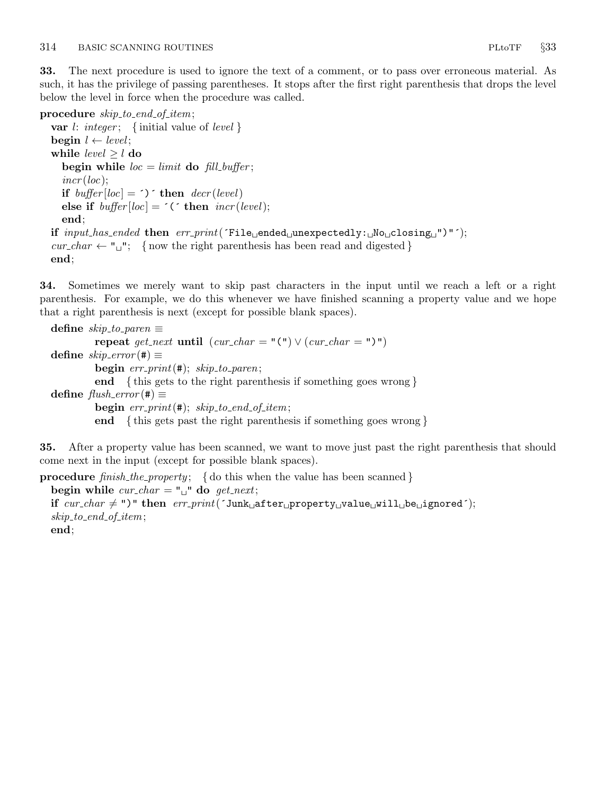<span id="page-13-0"></span>33. The next procedure is used to ignore the text of a comment, or to pass over erroneous material. As such, it has the privilege of passing parentheses. It stops after the first right parenthesis that drops the level below the level in force when the procedure was called.

```
procedure skip_to_end_of_item;
  var l: integer; { initial value of level }
  begin l \leftarrow level;while level \geq l do
    begin while loc = limit do fill buffer;
    incr(loc);if buffer[loc] = \cdot then decr(level)else if buffer[loc] = '('then incr(level);end;
  if input has ended then err\_print( File ended unexpectedly: _NN_{O_1}closing ")"^{\prime};
  cur_{char} \leftarrow "u"; {now the right parenthesis has been read and digested }
  end;
```
34. Sometimes we merely want to skip past characters in the input until we reach a left or a right parenthesis. For example, we do this whenever we have finished scanning a property value and we hope that a right parenthesis is next (except for possible blank spaces).

define  $skip\_to\_parent \equiv$ repeat get\_next until  $(cur\_char = "(") \vee (cur\_char = ")")$ define  $skip_error$  (#)  $\equiv$ begin  $err\_print(\#); skip\_to\_parent;$ end { this gets to the right parenthesis if something goes wrong } define  $\text{flush\_error}(\texttt{\#}) \equiv$ begin  $err\_print(\#);$  skip\_to\_end\_of\_item; end { this gets past the right parenthesis if something goes wrong }

35. After a property value has been scanned, we want to move just past the right parenthesis that should come next in the input (except for possible blank spaces).

**procedure** finish\_the\_property; { do this when the value has been scanned } begin while  $cur\_char = "u"$  do  $get\_next;$ if  $cur_{char} \neq$  ")" then  $err_{.}print('Junk_{1} \text{ after}_{1} property_{1} \text{ value}_{1} will_{1} \text{ be}_{1}$  ignored');  $skip_to$ <sub>-end-of-item</sub>; end;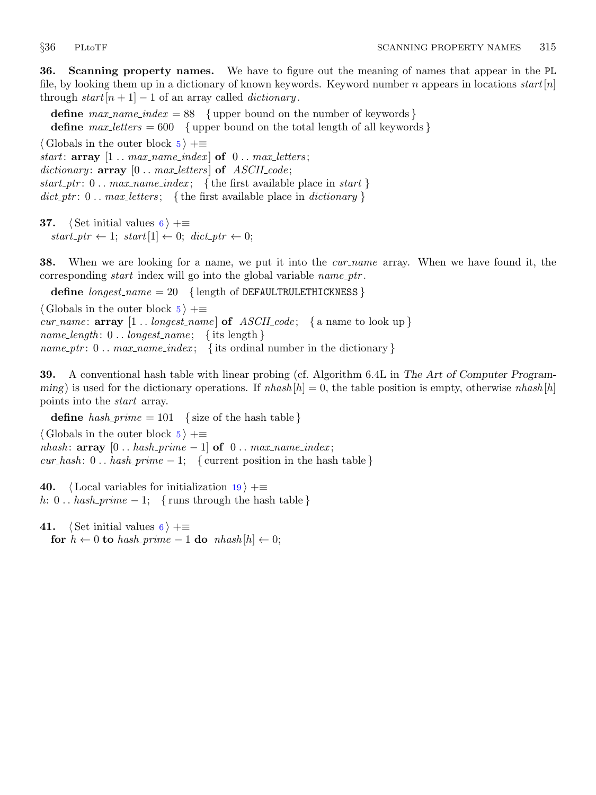<span id="page-14-0"></span>36. Scanning property names. We have to figure out the meaning of names that appear in the PL file, by looking them up in a dictionary of known keywords. Keyword number n appears in locations start  $[n]$ through  $start[n+1]-1$  of an array called *dictionary*.

define  $max_name_index = 88$  {upper bound on the number of keywords } define  $max\_letters = 600$  {upper bound on the total length of all keywords }

 $\langle$  Globals in the outer block [5](#page-2-0)  $\rangle$  +=

start:  $array \t[1 \dots max_name_index]$  of  $0 \dots max-letters$ ;

dictionary:  $array \t [0.. max\_letters]$  of  $ASCII\_code;$ 

start ptr:  $0 \ldots max_name_index;$  {the first available place in start}

 $dict\_ptr: 0...max\_letters; \{ the first available place in dictionary \}$ 

**37.**  $\langle$  Set initial values [6](#page-2-0)  $\rangle$  +≡  $start\_ptr \leftarrow 1; start[1] \leftarrow 0; dict\_ptr \leftarrow 0;$ 

**38.** When we are looking for a name, we put it into the *cur name* array. When we have found it, the corresponding *start* index will go into the global variable *name\_ptr*.

define  $longest_name = 20$  {length of DEFAULTRULETHICKNESS}

 $\langle$  Globals in the outer block [5](#page-2-0)  $\rangle$  += cur name:  $array [1..longest_name]$  of  $ASCII_code; \{a$  name to look up } name\_length:  $0$ .. longest\_name; {its length} name\_ptr:  $0 \ldots max_name_index;$  {its ordinal number in the dictionary }

**39.** A conventional hash table with linear probing (cf. Algorithm 6.4L in The Art of Computer Programming) is used for the dictionary operations. If  $nhash|h| = 0$ , the table position is empty, otherwise  $nhash|h|$ points into the start array.

**define** hash prime  $= 101$  { size of the hash table }  $\langle$  Globals in the outer block [5](#page-2-0)  $\rangle$  + $\equiv$ nhash:  $array [0..hash\_prime - 1]$  of  $0..max_name\_index;$  $cur\_hash: 0 \dots hash\_prime - 1; \{ current position in the hash table \}$ 

40. (Local variables for initialization  $19$ ) +≡ h: 0.. hash\_prime  $-1$ ; { runs through the hash table }

41. (Set initial values [6](#page-2-0)) +≡ for  $h \leftarrow 0$  to hash\_prime  $-1$  do nhash  $[h] \leftarrow 0$ ;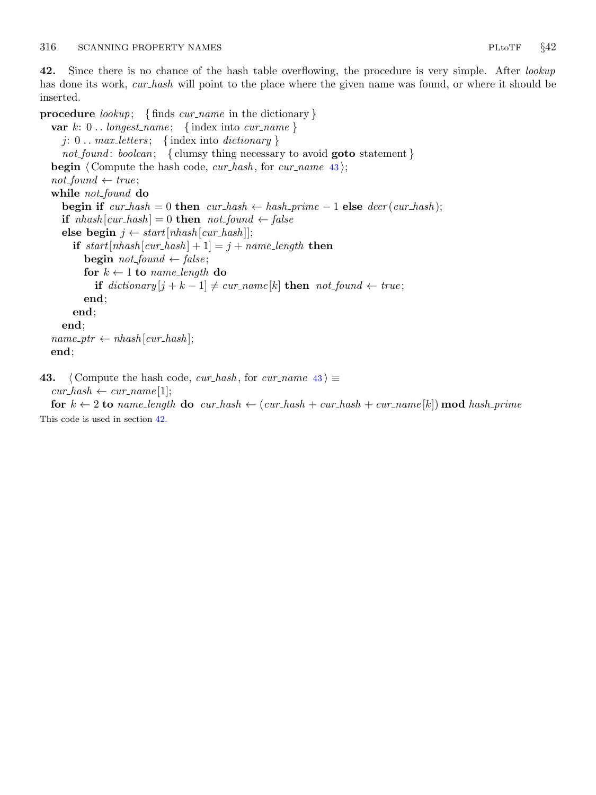<span id="page-15-0"></span>42. Since there is no chance of the hash table overflowing, the procedure is very simple. After *lookup* has done its work, *cur* hash will point to the place where the given name was found, or where it should be inserted.

procedure  $lookup$ ; {finds *cur\_name* in the dictionary } var  $k: 0$ ... longest\_name; {index into cur\_name} j: 0.. max-letters; {index into dictionary} not\_found: boolean; { clumsy thing necessary to avoid **goto** statement } **begin**  $\langle$  Compute the hash code, *cur\_hash*, for *cur\_name* 43 $\rangle$ ;  $not\_found \leftarrow true;$ while *not\_found* do begin if  $cur\_hash = 0$  then  $cur\_hash \leftarrow hash\_prime - 1$  else  $decr(cur\_hash)$ ; if  $nhash[cur\_hash] = 0$  then  $not\_found \leftarrow false$ else begin  $j \leftarrow start[{\text{nhash}}[{\text{cur\_hash}}]$ ; if  $start[nhash[cur\_hash] + 1] = j + name\_length$  then begin not\_found  $\leftarrow$  false; for  $k \leftarrow 1$  to name\_length do if dictionary  $[j + k - 1] \neq cur_name[k]$  then not found  $\leftarrow true$ ; end; end; end;  $name\_ptr \leftarrow nhash[cur\_hash];$ end;

43. (Compute the hash code, cur\_hash, for cur\_name  $43 \geq$  $cur\_hash \leftarrow cur\_name[1];$ 

for  $k \leftarrow 2$  to name\_length do cur\_hash  $\leftarrow$  (cur\_hash + cur\_hash + cur\_name[k]) mod hash\_prime This code is used in section 42.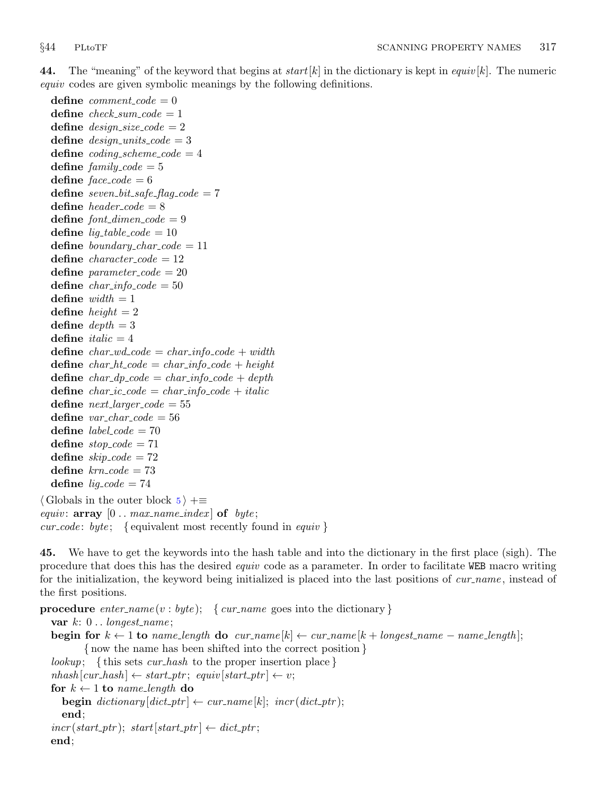<span id="page-16-0"></span>44. The "meaning" of the keyword that begins at start [k] in the dictionary is kept in equiv [k]. The numeric equiv codes are given symbolic meanings by the following definitions.

define  $comment\_code = 0$ define  $check\_sum\_code = 1$ define  $design\_size\_code = 2$ define  $design\_units\_code = 3$ define  $coding\_scheme\_code = 4$ define  $family\_code = 5$ define  $face\_code = 6$ define  $seven\_bit\_safe\_flag\_code = 7$ define header\_code  $= 8$ define  $font\_dimensione = 9$ define  $lig\_table\_code = 10$ define  $boundary\_char\_code = 11$ define *character\_code*  $= 12$ define  $parameter\_code = 20$ define  $char\_info\_code = 50$ define  $width = 1$ define  $height = 2$ define  $depth = 3$ define *italic*  $= 4$ define  $char_wd\_code = char\_info\_code + width$ define  $char\_ht\_code = char\_info\_code + height$ define  $char\_dp\_code = char\_info\_code + depth$ define  $char\_ic\_code = char\_info\_code + italic$ define  $next\_{larger\_{code}} = 55$ define  $var\_char\_code = 56$ define  $label\_code = 70$ define  $stop\_code = 71$ define  $skip\_code = 72$ define  $km\_code = 73$ define  $lig\_code = 74$  $\langle$  Globals in the outer block [5](#page-2-0)  $\rangle$  +≡ equiv:  $array \; | \; 0 \; \ldots \; max_name_index | \; of \; byte;$ *cur\_code:* byte; { equivalent most recently found in equiv }

45. We have to get the keywords into the hash table and into the dictionary in the first place (sigh). The procedure that does this has the desired *equiv* code as a parameter. In order to facilitate WEB macro writing for the initialization, the keyword being initialized is placed into the last positions of *cur-name*, instead of the first positions.

```
procedure enter\_name(v : byte); { cur\_name goes into the dictionary }
  var k: 0... longest_name;
  begin for k \leftarrow 1 to name_length do cur_name |k| \leftarrow cur_name |k| + longest_name – name_length |;
          { now the name has been shifted into the correct position }
  lookup; {this sets cur_hash to the proper insertion place}
  nhash[cur\_hash] \leftarrow start\_ptr; \; \textit{equiv[start\_ptr]} \leftarrow v;for k \leftarrow 1 to name-length do
     begin dictionary dict\_ptr \leftarrow cur\_name[k]; incr(dict_ptr);
     end;
  incr(start\_ptr); start[start\_ptr] \leftarrow dict\_ptr;end;
```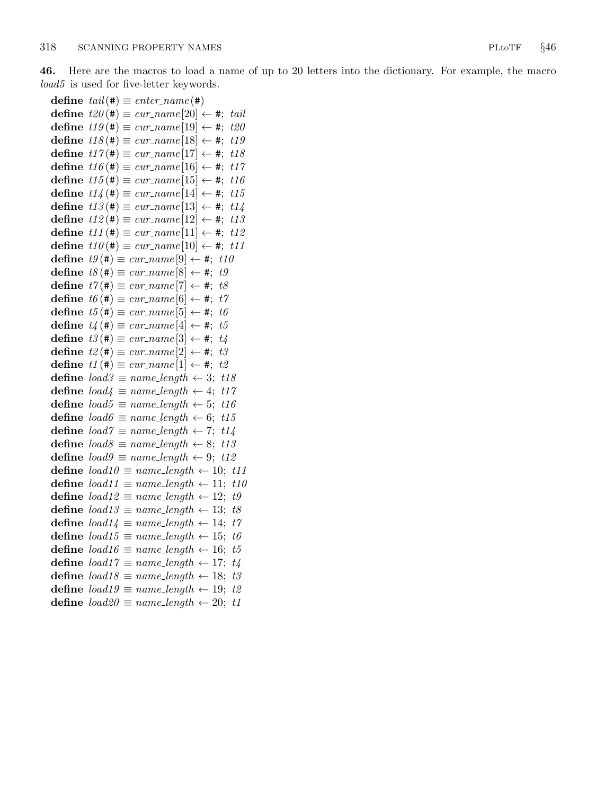<span id="page-17-0"></span>46. Here are the macros to load a name of up to 20 letters into the dictionary. For example, the macro load5 is used for five-letter keywords.

```
define tail(\#) \equiv enter_name(\#)define t20 (\#) \equiv \text{cur_name}[20] \leftarrow *, \text{tail}define t19 (\#) \equiv \text{cur_name} [19] \leftarrow \#; t20define t18 (\#) \equiv \text{cur_name} [18] \leftarrow *, t19define t17(\texttt{#}) \equiv \textit{cur_name}[17] \leftarrow \texttt{#}; \; t18define t16 (\#) \equiv \text{cur_name} [16] \leftarrow 4; t17define t15 (\#) \equiv \text{cur_name}[15] \leftarrow 4; t16define t14 \text{ } (\#) \equiv \text{cur_name}[14] \leftarrow \#; t15define t13(\texttt{#}) \equiv \textit{cur_name}[13] \leftarrow \texttt{#}; \; t14define t12 (\#) \equiv \text{cur_name}[12] \leftarrow \#; t13define t11 (\#) \equiv \text{cur_name}[11] \leftarrow \#; t12define t10 (\#) \equiv \text{cur_name} [10] \leftarrow \#; t11define t\theta(\textbf{m}) \equiv cur\_name[9] \leftarrow \textbf{m}; t10define t8 (\#) \equiv \text{cur_name}[8] \leftarrow 4; t9define t\mathcal{T}(\#) \equiv \text{cur_name}[7] \leftarrow \#; t\mathcal{S}define t6 (\#) \equiv \text{cur_name}[6] \leftarrow \#; t7define t5 (\#) \equiv \text{cur_name}[5] \leftarrow \#; t6define t/4 (#) \equiv cur_name[4] \leftarrow #; t5
define t3(\texttt{\#}) \equiv \textit{cur_name}[3] \leftarrow \texttt{\#}; t4define t2(\textbf{\#}) \equiv \text{cur_name}[2] \leftarrow \textbf{\#}; \; t3define t1 (\#) \equiv \text{cur_name}[1] \leftarrow \#; t2define load3 \equiv name\_length \leftarrow 3; t18
define load4 \equiv name\_length \leftarrow 4; t17
define load5 \equiv name\_length \leftarrow 5; t16
define load6 \equiv name\_length \leftarrow 6; t15
define load7 \equiv name\_length \leftarrow 7; t14
define load8 \equiv name\_length \leftarrow 8; t13define load9 \equiv name\_length \leftarrow 9; t12
define load10 \equiv name\_length \leftarrow 10; t11
define load11 \equiv name\_length \leftarrow 11; t10define load12 \equiv name\_length \leftarrow 12; t9
define load13 \equiv name\_length \leftarrow 13; t8define load14 \equiv name\_length \leftarrow 14; t7define load15 \equiv name\_length \leftarrow 15; t6
define load16 \equiv name\_length \leftarrow 16; t5
define load17 \equiv name\_length \leftarrow 17; t4
define load18 \equiv name\_length \leftarrow 18; t3
define load19 \equiv name\_length \leftarrow 19; t2
define load20 \equiv name\_length \leftarrow 20; t1
```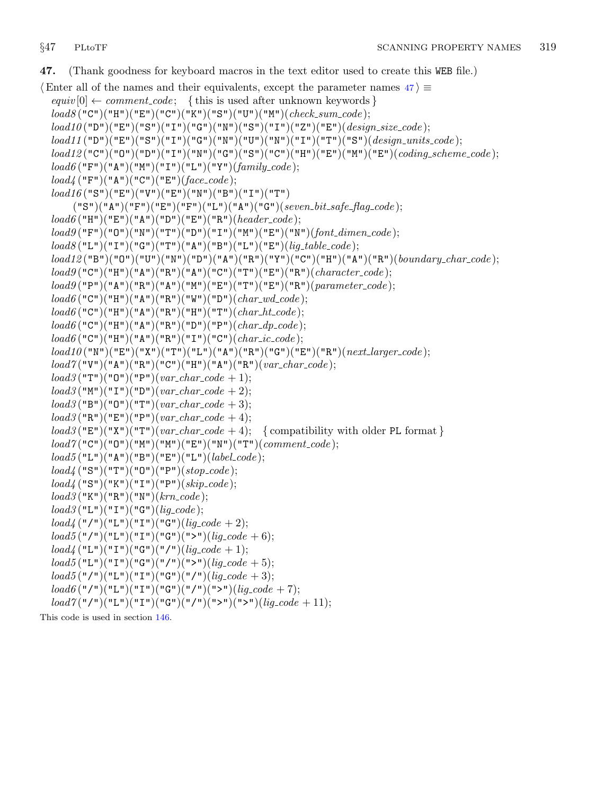```
47. (Thank goodness for keyboard macros in the text editor used to create this WEB file.)
\Diamond Enter all of the names and their equivalents, except the parameter names 47 \equivequiv[0] \leftarrow comment\_code; \{ this is used after unknown keywords \}load8("C")("H")("E")("C")("K")("S")("U")("M")(<i>check\_sum\_code</i>);load10 ("D")("E")("S")("I")("G")("N")("S")("I")("Z")("E")(design_size_code);
  load11 ("D")("E")("S")("I")("G")("N")("U")("N")("I")("T")("S")(design\_units\_code);
  load12 ("C")("D")("I")("N")("G")("S")("C")("H")("E")("M")("E")(coding_scheme_code);
  load6("F")("A")("M")("I")("L")("Y") (family_code);load\{(\text{``F''})(\text{``A''})(\text{``C''})(\text{``E''})(face\_code);load16 ("S")("E")("V")("E")("N")("B")("I")("T")
       ("S")("A")("F")("E")("F")("L")("A")("G")(<i>seven\_bit\_safe\_flag\_code</i>);load6 ("H")("E")("A")("D")("E")("R")(header\_code);
  load9("F")("O")("N")("T")("O")("T")("I")("M")("E")("N") (font\_dimen\_code);load8("L")("I")("G")("T")("A")("B")("L")("E")((<i>lig_table_code</i>);load12 ("B")("U")("N")("D")("A")("R")("Y")("C")("H")("A")("R")(boundary_char_code);
  load9("C")("H")("A")("R")("A")("C")("C")("T")("E")("R")(<i>character\_code</i>);load9("P")("A")("R")("A")("M")("E")("E")("E")("R")("R")(<i>parameter\_code</i>);load6 ("C")("H")("A")("R")("W")("D")(char\_wd\_code);
  load6 ("C")("H")("A")("R")("H")("T")(char\_ht\_code);
  load6 ("C")("H")("A")("R")("D")("P")(char\_dp\_code);
  load6("C")("H")("A")("R")("I")("C")(<i>char\_ic\_code</i>);load10 ("N")("E")("X")("T")("L")("A")("R")("G")("E")("E")("R")(next_larger_code);
  load7("V")("A")("R")("C")("H")("A")("A")("R")(<i>var\_char\_code</i>);load3("T")("O")("P")(var\_char\_code + 1);load3("M")("I")("D")(var\_char\_code + 2);load3 ("B")("O")("T")(var\_char\_code + 3);
  load3 ("R")("E")("P")(var\_char\_code + 4);
  load3 ("E")("X")("T")(var_char_code + 4); { compatibility with older PL format }
  load7("C")("D")("M")("M")("E")("N")("T")(<i>comment</i><sub>-code</sub>);load5("L")("A")("B")("E")("L") (label\_code);load4 ("S")("T")("O")("P")(stop_code);
  load4 ("S")("K")("I")("P")(skip\_code);
  load3("K")("R")("N")(krn\_code);load3("L")("I")("G")({liq\_code});load_4 ("/")("L")("I")("G")(lig\_code + 2);
  load5("/")("L")("I")("G")("G")(<i>lig\_code + 6</i>);load\{ ("L") ("I")("G")("G")("I") (lig_code + 1);load5("L")("I")("G")("A")("I")("2") (liq_code + 5);load5("/")("L")("I")("G")("G")((<i>lig\_code + 3</i>);load6("/")("L")("I")("G")("G")("/")(">")(<math>lig\_code + 7);load7("/")("L")("I")("G")("G")("/")(">")("P")(<i>lig\_code + 11</i>);This code is used in section 146.
```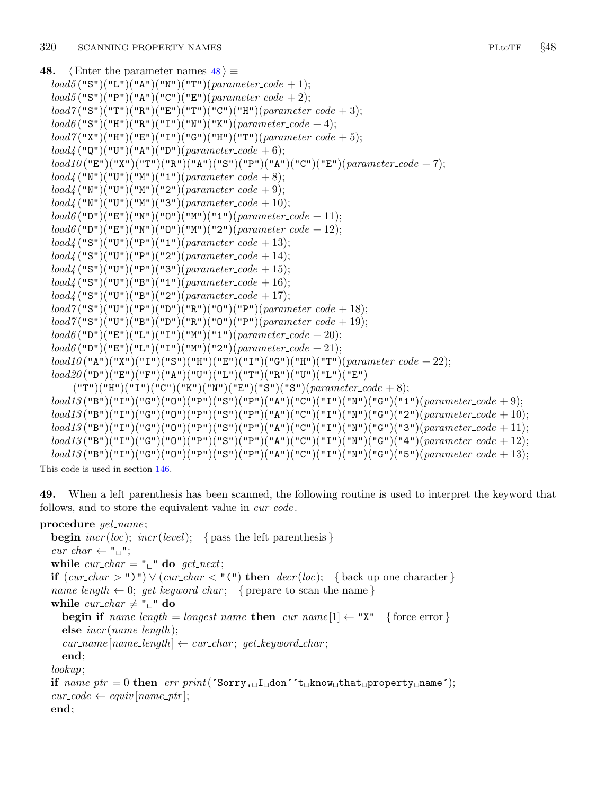<span id="page-19-0"></span>48.  $\langle$  Enter the parameter names 48  $\rangle \equiv$ 

```
load5("S")("L")("A")("N")("T")(<i>parameter\_code + 1);load5("S")("P")("A")("C")("E")(<i>parameter\_code + 2</i>);load7("S")("T")("R")("E")("T")("C")("C")("H")(<i>parameter\_code + 3</i>);load6("S")("H")("R")("I")("N")("N")("K")(<i>parameter\_code + 4);load7("X")("H")("E")("I")("G")("H")("H")("T")(<i>parameter</i><i>code</i> + 5);load_4 ("Q")("U")("A")("D")(parameter_code + 6);
load10("E")("X")("T")("R")("A")("S")("P")("A")("C")("E")(<i>parameter\_code + 7);load( ("N")("U")("M")("1")(parameter_code + 8);
load_4 ("N")("U")("M")("2")(parameter_code + 9);
load_4 ("N")("U")("M")("3")(parameter_code + 10);
load6("D")("E")("N")("O")("M")("1")(<i>parameter\_code + 11);load6("D")("E")("N")("O")("M")("2")(<i>parameter\_code + 12</i>);load_4 ("S")("U")("P")("1")(parameter_code + 13);
load_4 ("S")("U")("P")("2")(parameter_code + 14);
load_4 ("S")("U")("P")("3")(parameter_code + 15);
load_4 ("S")("U")("B")("1")(parameter_code + 16);
load_4 ("S")("U")("B")("2")(parameter_code + 17);
load7("S")("U")("P")("D")("R")("O")("P")(<i>parameter\_code + 18</i>);load7("S")("U")("B")("D")("R")("O")("P")(<i>parameter\_code + 19</i>);load6("D")("E")("L")("I")("M")("M")("1")(<i>parameter\_code + 20</i>);load6("D")("E")("L")("I")("M")("2")(<i>parameter\_code + 21</i>);load10 ("A")("X")("I")("S")("H")("E")("I")("G")("H")("T")(parameter_code + 22);
load20 ("D")("E")("F")("A")("U")("L")("T")("R")("U")("L")("E")
    ("T")("H")("I")("C")("K")("N")("E")("S")("S")(<i>parameter\_code + 8</i>);load13 ("B")("I")("G")("D")("P")("B")("P")("A")("C")("I")("N")("G")("1")(parameter_code + 9);
load13 ("B")("I")("G")("D")("B")("S")("P")("A")("C")("I")("N")("G")("2")(parameter_code + 10);
load13 ("B")("I")("G")("O")("P")("S")("P")("A")("C")("I")("N")("G")("3")(parameter_code + 11);
load13 ("B")("I")("G")("O")("P")("S")("P")("A")("C")("I")("N")("G")("4")(parameter_code + 12);
load13 ("B")("I")("G")("O")("P")("S")("P")("A")("C")("I")("N")("G")("5")(parameter_code + 13);
```
This code is used in section [146.](#page-49-0)

49. When a left parenthesis has been scanned, the following routine is used to interpret the keyword that follows, and to store the equivalent value in  $cur\_code$ .

```
procedure get_name;
```

```
begin incr(loc); incr(level); { pass the left parenthesis }
cur\_char \leftarrow "\cdots"while cur\_char = "u" do get\_next;if (cur_{char} > ")') \vee (cur_{char} < "("") then decr(loc); { back up one character }
name_length \leftarrow 0; get_keyword(char; \{ prepare to scan the name\})while cur\_char \neq " \sqcup" do
  begin if name_length = longest_name then cur_name [1] \leftarrow "X" { force error }
  else \textit{incr}(\textit{name\_length});
  cur_name[name_length] \leftarrow cur\_char; get\_keyword\_char;end;
lookup;
if name\_ptr = 0 then err\_print('Sory, \text{uI}_d don't\text{uKnow}_t that \text{uproperty}_t name');cur\_code \leftarrow equiv(name\_ptr);end;
```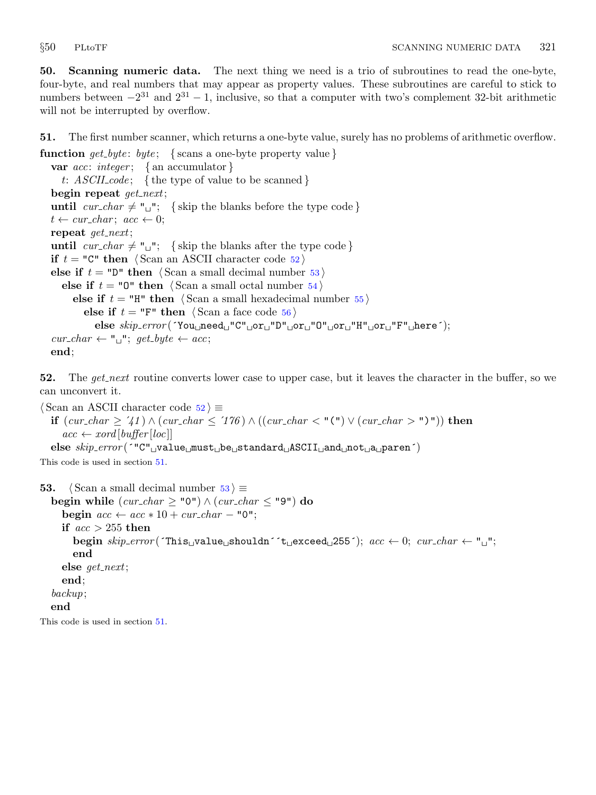<span id="page-20-0"></span>50. Scanning numeric data. The next thing we need is a trio of subroutines to read the one-byte, four-byte, and real numbers that may appear as property values. These subroutines are careful to stick to numbers between  $-2^{31}$  and  $2^{31} - 1$ , inclusive, so that a computer with two's complement 32-bit arithmetic will not be interrupted by overflow.

51. The first number scanner, which returns a one-byte value, surely has no problems of arithmetic overflow.

```
function get\_byte: byte; {scans a one-byte property value}
  var acc: integer; { an accumulator }
     t: \text{ASCII\_code}; {the type of value to be scanned }
  begin repeat get\_next;until \text{cur}\_\text{char} \neq "_1"; { skip the blanks before the type code }
  t \leftarrow cur_{char}; acc \leftarrow 0;repeat get.next;until \text{cur}\_\text{char} \neq " " \vdots { skip the blanks after the type code }
  if t = "C" then \langle Scan an ASCII character code 52\rangleelse if t = "D" then \langle Scan a small decimal number 53 \rangleelse if t = "0" then \langle54\rangleelse if t = "H" then \langle55 \rangleelse if t = \text{``F''} then \langle56\rangleelse skip_error (You\_\text{need}\_\text{''C"\_\text{''D"\_\text{''D"\_\text{''D"\_\text{''D"\_\text{''H"\_\text{''T"\_\text{``here'}$}}};cur\_char \leftarrow "\sqcup"; get_byte \leftarrow acc;end;
```
52. The get next routine converts lower case to upper case, but it leaves the character in the buffer, so we can unconvert it.

 $\langle$  Scan an ASCII character code 52 $\rangle \equiv$ if  $(cur\_char \geq 71) \wedge (cur\_char \leq 776) \wedge ((cur\_char < "("") \vee (cur\_char > "")")$  then  $acc \leftarrow xord[buffer[loc]]$ 

 $else$   $skip\_error($   $"C"_{\sqcup}$ value $\sqcup$ must $\sqcup$ be $\sqcup$ standard $\sqcup$ ASCII $\sqcup$ and $\sqcup$ not $\sqcup$ a $\sqcup$ paren $\land$ 

This code is used in section 51.

```
53. \langle Scan a small decimal number 53 \rangle \equivbegin while (cur\_char \geq "0") \wedge (cur\_char \leq "9") do
     begin acc \leftarrow acc * 10 + cur\_char - "0";if acc > 255 then
        begin skip\_error( This_1value_2shouldn^ t<sub>u</sub>exceed_2255^; acc \leftarrow 0; cur\_char \leftarrow "_1";
        end
     else get\_next;end;
   backup;
  end
This code is used in section 51.
```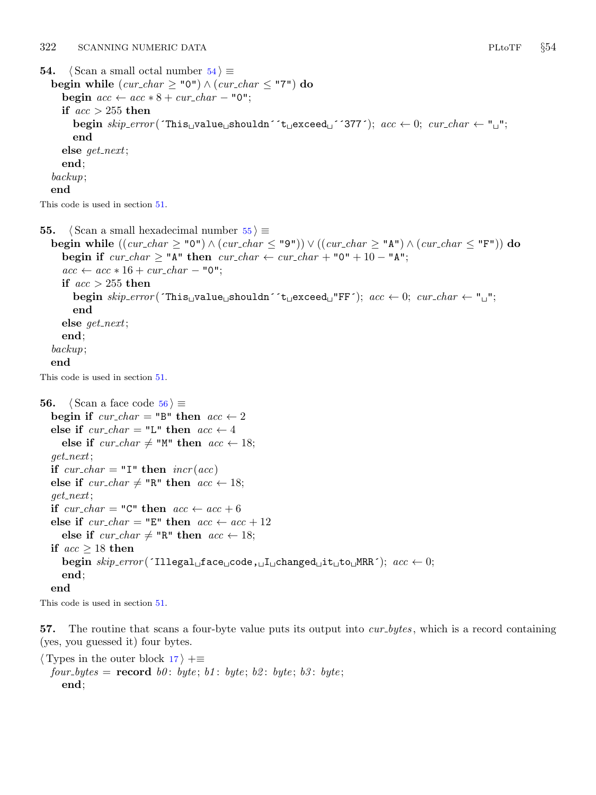```
54. \langle Scan a small octal number 54\rangle \equivbegin while (cur\_char \geq "0") \wedge (cur\_char \leq "7") do
     begin acc \leftarrow acc * 8 + cur\_char - "0";if acc > 255 then
       begin skip\_error( This value shouldn 't exceed '377'); acc \leftarrow 0; cur char \leftarrow "\sqcup";
       end
     else get\_next;end;
  backup;
  end
```

```
This code is used in section 51.
```

```
55. \langle Scan a small hexadecimal number 55 \rangle \equivbegin while ((cur\_char \geq "0") \wedge (cur\_char \leq "9") \vee ((cur\_char \geq "A") \wedge (cur\_char \leq "F")) do
     begin if cur\_char \geq "A" then cur\_char \leftarrow cur\_char + "0" + 10 - "A";
     acc \leftarrow acc * 16 + cur\_char - "0";if acc > 255 then
        begin skip\_error( This value shouldn ' t exceed "FF'); acc \leftarrow 0; cur char \leftarrow "\sqcup";
        end
     else get.next;end;
  backup;
  end
This code is used in section 51.
56. (Scan a face code 56 \equivbegin if cur\_char = "B" then acc \leftarrow 2else if cur\_char = "L" then acc \leftarrow 4else if cur\_char \neq "M" then acc \leftarrow 18;get_next;
  if cur\_char = "I" then incr(acc)else if cur\_char \neq "R" then acc \leftarrow 18;get_next;
  if cur char = "C" then acc \leftarrow acc + 6else if cur\_char = "E" then acc \leftarrow acc + 12else if cur_{char} \neq "R" then acc \leftarrow 18;if acc \geq 18 then
     begin skip\_error( [Illegal _1face_1code, _1I<sub>\cup</sub>changed_1it_1to_1MRR^{\circ}); acc \leftarrow 0;end;
  end
```
This code is used in section [51](#page-20-0).

**57.** The routine that scans a four-byte value puts its output into *cur-bytes*, which is a record containing (yes, you guessed it) four bytes.

```
\langle17 \rangle +≡
 four_bytes = \mathbf{record}\ b0: byte; b1: byte; b2: byte; b3: byte;
    end;
```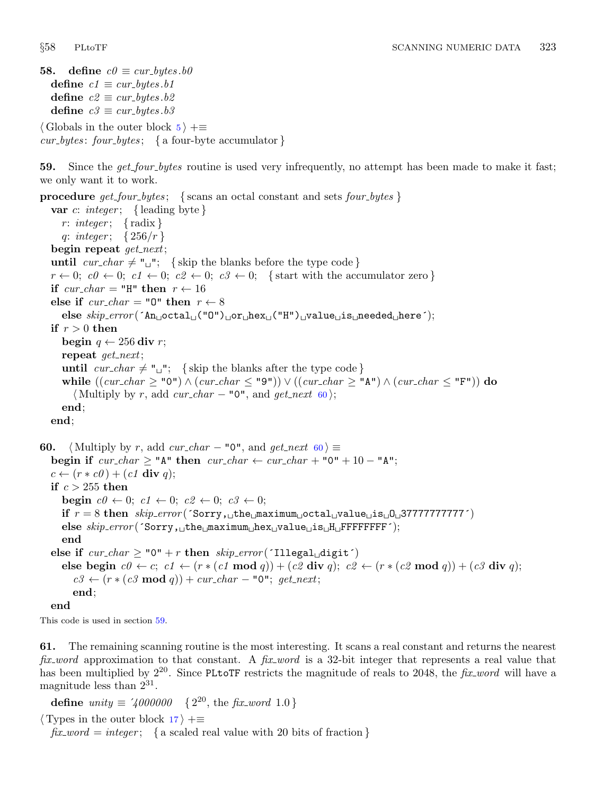```
58. define c\theta \equiv cur_bytes.b\thetadefine c1 \equiv cur_bytes.b1define c2 \equiv cur_bytes.b2define c3 \equiv cur_bytes.b3\langle Globals in the outer block 5 \rangle + \equiv
```
 $cur_bytes: four_bytes; \{a four-byte accountator\}$ 

59. Since the get four bytes routine is used very infrequently, no attempt has been made to make it fast; we only want it to work.

```
procedure get_four_bytes; { scans an octal constant and sets four_bytes }
  var c: integer; { leading byte }
     r: integer; \{ radix\}q: integer; \{256/r\}begin repeat get.next;until cur\_char \neq "u"; {skip the blanks before the type code }
  r \leftarrow 0; c0 \leftarrow 0; c1 \leftarrow 0; c2 \leftarrow 0; c3 \leftarrow 0; {start with the accumulator zero }
  if cur_char = "H" then r \leftarrow 16else if cur\_char = "0" then r \leftarrow 8else skip\_error( An_{\sqcup}octal_{\sqcup}("0")_{\sqcup}or_{\sqcup}hex_{\sqcup}("H")_{\sqcup}value_{\sqcup}is_{\sqcup}needed_{\sqcup}here\check{\ });
  if r > 0 then
     begin q \leftarrow 256 div r;
     repeat get.next;until \text{cur\_char} \neq " \sqcup"; { skip the blanks after the type code }
     while ((cur\_char \geq "0") \land (cur\_char \leq "9") \lor ((cur\_char \geq "A") \land (cur\_char \leq "F") do
        \langle Multiply by r, add cur_char − "0", and get_next 60\rangle;
     end;
  end;
60. (Multiply by r, add cur char – "0", and get next 60) \equivbegin if cur_{char} > "A" then cur_{char} \leftarrow cur_{char} + "0" + 10 - "A";
  c \leftarrow (r * c\theta) + (c1 \text{ div } q);if c > 255 then
     begin c\theta \leftarrow 0; c1 \leftarrow 0; c2 \leftarrow 0; c3 \leftarrow 0;
     if r = 8 then skip\_error('Sorry, . . . \text{the} maximum octal value is_1 o_1 37777777777')'else skip\_error( Sorry, \text{othermax} imum hex value is H_{\text{u}}FFFFFFFFF;
     end
```
else if  $cur\_char \geq "0" + r$  then  $skip\_error($  [Illegal digit') else begin  $c0 \leftarrow c$ ;  $c1 \leftarrow (r*(c1 \mod q)) + (c2 \text{ div } q)$ ;  $c2 \leftarrow (r*(c2 \mod q)) + (c3 \text{ div } q)$ ;  $c3 \leftarrow (r * (c3 \mod q)) + cur\_char - "0";$  get\_next; end; end

This code is used in section 59.

61. The remaining scanning routine is the most interesting. It scans a real constant and returns the nearest fix word approximation to that constant. A fix word is a 32-bit integer that represents a real value that has been multiplied by  $2^{20}$ . Since PLtoTF restricts the magnitude of reals to 2048, the fix-word will have a magnitude less than  $2^{31}$ .

define unity  $\equiv$  '4000000 { 2<sup>20</sup>, the fix-word 1.0}

 $\langle$  Types in the outer block [17](#page-8-0)  $\rangle$  +≡

 $fix\_word = integer; \{ a scaled real value with 20 bits of fraction \}$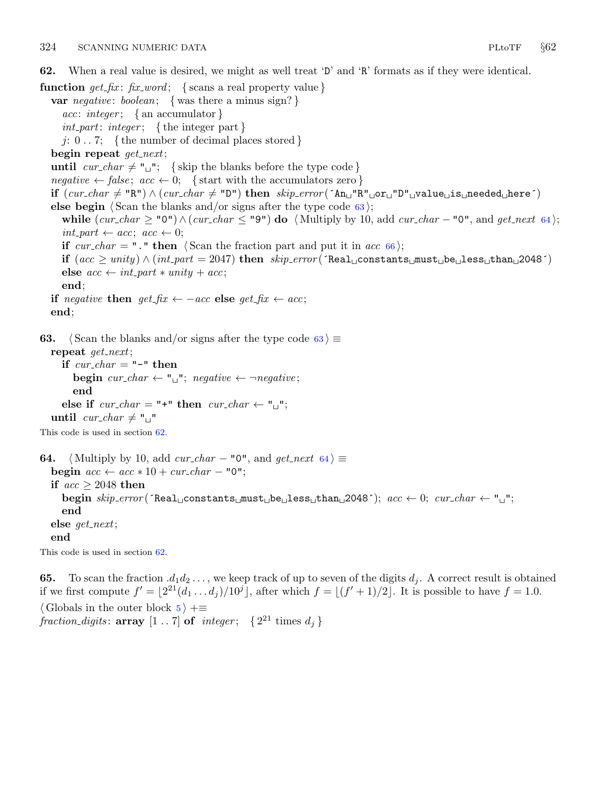<span id="page-23-0"></span>62. When a real value is desired, we might as well treat 'D' and 'R' formats as if they were identical.

function get\_fix: fix\_word; { scans a real property value } var *negative*: *boolean*; { was there a minus sign?}  $acc: integer; \{ an accumulator\}$ int part: integer; {the integer part } j:  $0 \ldots 7$ ; { the number of decimal places stored } begin repeat  $get\_next;$ until  $cur\_char \neq "u";$  {skip the blanks before the type code }  $negative \leftarrow false; acc \leftarrow 0;$  {start with the accumulators zero } if  $(cur\_char \neq \mathbb{R}^n) \wedge (cur\_char \neq \mathbb{P}^n)$  then  $skip\_error('An\_'\mathbb{R}^n \cup \mathfrak{or}_\mathbb{L} \mathbb{P}^n \cup \mathfrak{value}_\mathbb{L}$  is needed here´) else begin  $\langle$  Scan the blanks and/or signs after the type code 63 $\rangle$ ; while  $(cur_{char} \geq "0") \wedge (cur_{char} \leq "9")$  do  $\langle$  Multiply by 10, add  $cur_{char} - "0"$ , and  $get_{next} 64$  i;  $int_{\mathcal{A}} part \leftarrow acc; acc \leftarrow 0;$ if cur char = "." then  $\langle$  Scan the fraction part and put it in acc [66](#page-24-0) $\rangle$ ; if  $(ac \ge unity) \wedge (int-part = 2047)$  then  $skip_error$  (Real constants must be less than 2048<sup>-</sup>) else  $acc \leftarrow int\_part * unity + acc;$ end; if negative then get\_fix  $\leftarrow -acc$  else get\_fix  $\leftarrow acc;$ end; 63. Scan the blanks and/or signs after the type code 63  $\rangle \equiv$ repeat  $qet\_next;$ if  $cur\_char = "−"$  then **begin**  $cur\_char \leftarrow "u"$ ; negative  $\leftarrow \neg negative;$ end else if  $cur\_char = "\text{#}"$  then  $cur\_char \leftarrow "\text{''};$ until  $\textit{cur\_char} \neq " \cup"$ This code is used in section 62. **64.**  $\langle$  Multiply by 10, add cur\_char − "0", and get\_next 64 $\rangle \equiv$ begin  $acc \leftarrow acc * 10 + cur\_char - "0";$ if  $acc \geq 2048$  then begin  $skip\_error($  [Real constants must be less than 2048´);  $acc \leftarrow 0$ ;  $cur\_char \leftarrow "u"$ ; end else  $get.next;$ end This code is used in section 62. 65. To scan the fraction  $d_1d_2\ldots$ , we keep track of up to seven of the digits  $d_i$ . A correct result is obtained

if we first compute  $f' = \lfloor 2^{21}(d_1 \ldots d_j)/10^j \rfloor$ , after which  $f = \lfloor (f' + 1)/2 \rfloor$ . It is possible to have  $f = 1.0$ .  $\langle$  Globals in the outer block  $5 \rangle + \equiv$  $5 \rangle + \equiv$ fraction\_digits:  $array [1..7]$  of  $integer; \{2^{21} \text{ times } d_j\}$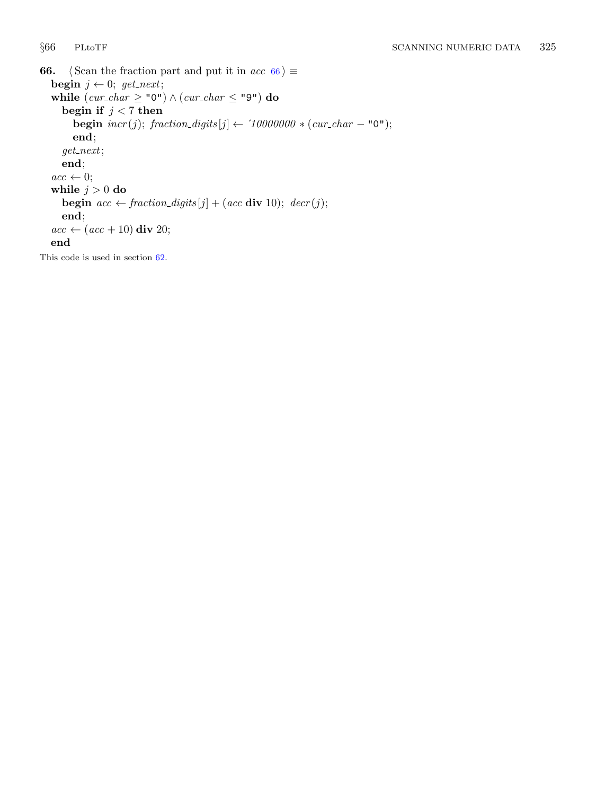```
66. \langle Scan the fraction part and put it in acc 66\rangle \equivbegin j \leftarrow 0; get_next;
  while \left(\mathit{cur\_char} \geq "0"\right) \wedge \left(\mathit{cur\_char} \leq "9"\right) do
      begin if j < 7 then
         begin \text{incr}(j); fraction_digits [j] \leftarrow \text{'10000000} * (\text{cur}\text{-}\text{char} - "0");end;
      get_next;
      end;
   acc \leftarrow 0;while j > 0 do
      begin acc \leftarrow fraction\_digits[j] + (acc \div 10); decr(j);end;
   acc \leftarrow (acc + 10) div 20;
  end
```
This code is used in section [62](#page-23-0).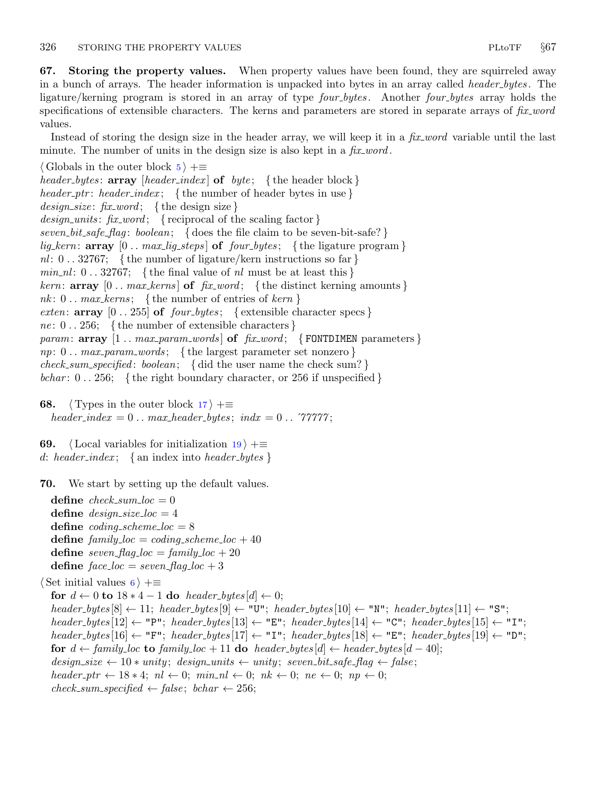<span id="page-25-0"></span>67. Storing the property values. When property values have been found, they are squirreled away in a bunch of arrays. The header information is unpacked into bytes in an array called header bytes. The ligature/kerning program is stored in an array of type *four bytes*. Another *four bytes* array holds the specifications of extensible characters. The kerns and parameters are stored in separate arrays of  $fix\_word$ values.

Instead of storing the design size in the header array, we will keep it in a  $fix\_word$  variable until the last minute. The number of units in the design size is also kept in a  $\operatorname{fix\_word}$ .

 $\langle$  Globals in the outer block [5](#page-2-0)  $\rangle$  +≡ header\_bytes:  $array [header\_index]$  of byte; {the header block} header ptr: header index; {the number of header bytes in use} design\_size:  $fix\_word$ ; { the design size } design units: fix word; { reciprocal of the scaling factor } seven bit safe flag: boolean; { does the file claim to be seven-bit-safe? } lig kern: array  $[0 \tcdot \text{max\_lig\_steps}]$  of four bytes; {the ligature program} nl:  $0 \ldots 32767$ ; {the number of ligature/kern instructions so far}  $min\_nl$ : 0... 32767; {the final value of nl must be at least this } kern:  $array [0.. max\text{.}~ors]$  of  $fix\text{.}~ors$ ; {the distinct kerning amounts} nk:  $0 \ldots max\_terms$ ; {the number of entries of kern} exten:  $array [0.. 255]$  of  $four\_bytes$ ; {extensible character specs} ne:  $0$ ... 256; {the number of extensible characters} param:  $array \ [1.. max_param_words]$  of  $fix_word$ ; {FONTDIMEN parameters} np:  $0 \ldots max\_param\_words; \{ the largest parameter set nonzero \}$ check\_sum\_specified: boolean; { did the user name the check sum?} bchar:  $0 \ldots 256$ ; {the right boundary character, or 256 if unspecified }

**68.**  $\langle$  Types in the outer block [17](#page-8-0)  $\rangle$  +≡ header index  $= 0$ .. max header bytes; indx  $= 0$ ..  $\gamma\gamma\gamma\gamma\gamma$ ;

**69.**  $\langle$  Local variables for initialization [19](#page-8-0)  $\rangle$  += d: header\_index; { an index into header\_bytes }

70. We start by setting up the default values.

```
define check\_sum\_loc = 0define design\_size\_loc = 4define coding\_scheme\_loc = 8define family\_loc = coding\_scheme\_loc + 40define seven flag\_loc = family\_loc + 20define face\_loc = seven\_flag\_loc + 3Set initial values 6 +≡
 for d \leftarrow 0 to 18 * 4 - 1 do header_bytes |d| \leftarrow 0;
 header_bytes [8] ← 11; header_bytes [9] ← "U"; header_bytes [10] ← "N"; header_bytes [11] ← "S";
 header_bytes [12] ← "P"; header_bytes [13] ← "E"; header_bytes [14] ← "C"; header_bytes [15] ← "I";
 header_bytes [16] ← "F"; header_bytes [17] ← "I"; header_bytes [18] ← "E"; header_bytes [19] ← "D";
 for d \leftarrow family_loc to family_loc + 11 do header_bytes |d| \leftarrow header_bytes |d - 40|;
 design\_size \leftarrow 10* unity; design\_units \leftarrow unity; seven bit safe\_flag \leftarrow false;header_ptr \leftarrow 18 * 4; nl \leftarrow 0; min_nl \leftarrow 0; nk \leftarrow 0; ne \leftarrow 0; np \leftarrow 0;
 check_sum_specified \leftarrow false; bchar \leftarrow 256;
```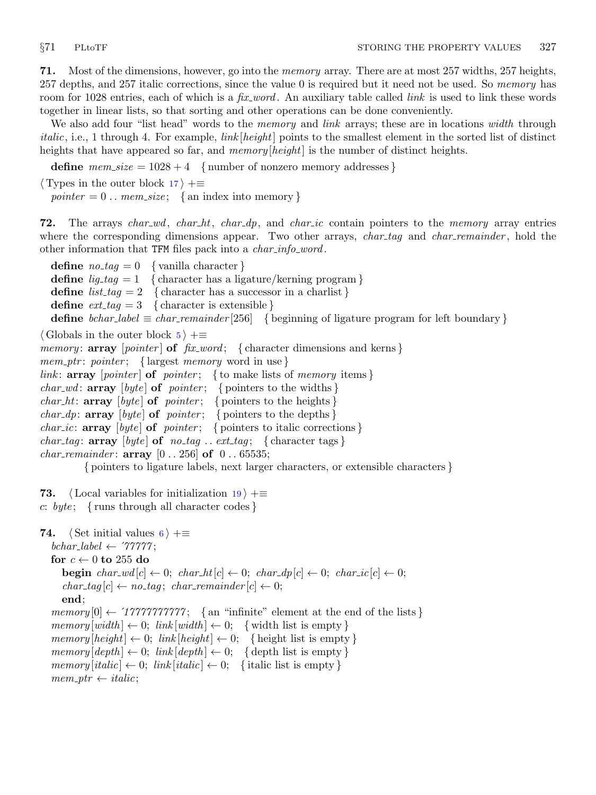<span id="page-26-0"></span>71. Most of the dimensions, however, go into the memory array. There are at most 257 widths, 257 heights, 257 depths, and 257 italic corrections, since the value 0 is required but it need not be used. So memory has room for 1028 entries, each of which is a fix-word. An auxiliary table called *link* is used to link these words together in linear lists, so that sorting and other operations can be done conveniently.

We also add four "list head" words to the *memory* and *link* arrays; these are in locations width through italic, i.e., 1 through 4. For example, link [height] points to the smallest element in the sorted list of distinct heights that have appeared so far, and memory  $\ket{height}$  is the number of distinct heights.

define  $mem\_size = 1028 + 4$  { number of nonzero memory addresses }

 $\langle$  Types in the outer block [17](#page-8-0)  $\rangle$  +≡

pointer =  $0$ .. mem\_size; { an index into memory }

72. The arrays char wd, char ht, char dp, and char ic contain pointers to the memory array entries where the corresponding dimensions appear. Two other arrays, *char-tag* and *char-remainder*, hold the other information that TFM files pack into a *char-info-word*.

define  $no\_tag = 0$  { vanilla character } define  $lig\_tag = 1$  { character has a ligature/kerning program } define  $list\_tag = 2$  { character has a successor in a charlist } define  $ext\_tag = 3$  { character is extensible } define *bchar\_label*  $\equiv$  *char\_remainder* [256] { beginning of ligature program for left boundary }  $\langle$  Globals in the outer block [5](#page-2-0)  $\rangle$  += *memory:* array [*pointer*] of  $fix-word$ ; { character dimensions and kerns} *mem\_ptr*: *pointer*; { largest *memory* word in use } link:  $array[pointer]$  of pointer; {to make lists of memory items} *char\_wd*: **array** [byte] **of** pointer; { pointers to the widths } *char\_ht:* array  $[byte]$  of *pointer*; { pointers to the heights } *char\_dp*: **array**  $[byte]$  of *pointer*; { pointers to the depths } *char\_ic*: **array**  $[byte]$  of *pointer*; { pointers to italic corrections }

*char\_tag*:  $array [byte] of no\_tag... ext\_tag; {character tags}$ 

*char\_remainder*:  $array [0.. 256] of 0.. 65535;$ 

{ pointers to ligature labels, next larger characters, or extensible characters }

73. (Local variables for initialization  $19$ ) +≡ c: byte; { runs through all character codes }

**74.**  $\langle$  Set initial values [6](#page-2-0)  $\rangle$  +≡ bchar\_label  $\leftarrow$  '77777; for  $c \leftarrow 0$  to 255 do **begin** char  $wd[c] \leftarrow 0$ ; char  $ht[c] \leftarrow 0$ ; char  $dp[c] \leftarrow 0$ ; char  $ic[c] \leftarrow 0$ ;  $char\_tag[c] \leftarrow no\_tag; char\_remainder[c] \leftarrow 0;$ end;  $memory[0] \leftarrow '17777777777; \{ an "infinite" element at the end of the lists \}$  $memory[width] \leftarrow 0; link[width] \leftarrow 0; \{width list is empty\}$  $memory[height] \leftarrow 0; link[height] \leftarrow 0;$  { height list is empty }  $memory[depth] \leftarrow 0; link[depth] \leftarrow 0; {\text{depth list is empty}}$  $memory[italic] \leftarrow 0; link[italic] \leftarrow 0;$  {italic list is empty}  $mem\_ptr \leftarrow italic;$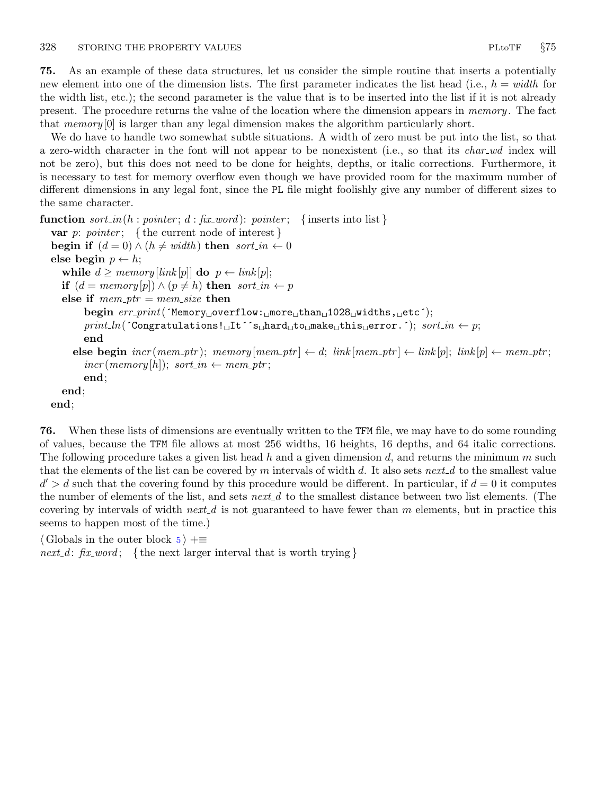<span id="page-27-0"></span>75. As an example of these data structures, let us consider the simple routine that inserts a potentially new element into one of the dimension lists. The first parameter indicates the list head (i.e.,  $h = width$  for the width list, etc.); the second parameter is the value that is to be inserted into the list if it is not already present. The procedure returns the value of the location where the dimension appears in memory . The fact that memory  $[0]$  is larger than any legal dimension makes the algorithm particularly short.

We do have to handle two somewhat subtle situations. A width of zero must be put into the list, so that a zero-width character in the font will not appear to be nonexistent (i.e., so that its *char\_wd* index will not be zero), but this does not need to be done for heights, depths, or italic corrections. Furthermore, it is necessary to test for memory overflow even though we have provided room for the maximum number of different dimensions in any legal font, since the PL file might foolishly give any number of different sizes to the same character.

**function** sort in(h : pointer; d : fix word): pointer; { inserts into list} var p: pointer; { the current node of interest} **begin if**  $(d = 0) \wedge (h \neq width)$  then sort\_in  $\leftarrow 0$ else begin  $p \leftarrow h$ ; while  $d \geq \text{memory}[\text{link}[p]]$  do  $p \leftarrow \text{link}[p]$ ; if  $(d = memory[p]) \wedge (p \neq h)$  then sort\_in  $\leftarrow p$ else if  $mem\_ptr = mem\_size$  then  $beginerr\_print($  'Memory overflow:  $\text{unc}_\text{u}$ than 1028 widths, etc');  $print\_ln($  Congratulations! $_l$ It´´s $_l$ hard $_l$ to  $_l$ make  $_l$ this  $_l$ error.´); sort in  $\leftarrow p$ ; end else begin  $\text{incr}(\text{mem\_ptr})$ ; memory  $\text{[mem\_ptr]} \leftarrow d$ ;  $\text{link}(\text{mem\_ptr}] \leftarrow \text{link}[p]$ ;  $\text{link}[p] \leftarrow \text{mem\_ptr}$ ;  $\text{incr}(memory[h])$ ; sort\_in  $\leftarrow$  mem\_ptr; end; end; end;

76. When these lists of dimensions are eventually written to the TFM file, we may have to do some rounding of values, because the TFM file allows at most 256 widths, 16 heights, 16 depths, and 64 italic corrections. The following procedure takes a given list head h and a given dimension d, and returns the minimum  $m$  such that the elements of the list can be covered by m intervals of width d. It also sets next d to the smallest value  $d' > d$  such that the covering found by this procedure would be different. In particular, if  $d = 0$  it computes the number of elements of the list, and sets next d to the smallest distance between two list elements. (The covering by intervals of width next d is not guaranteed to have fewer than  $m$  elements, but in practice this seems to happen most of the time.)

 $\langle$  Globals in the outer block [5](#page-2-0)  $\rangle$  +≡ next\_d: fix\_word; {the next larger interval that is worth trying }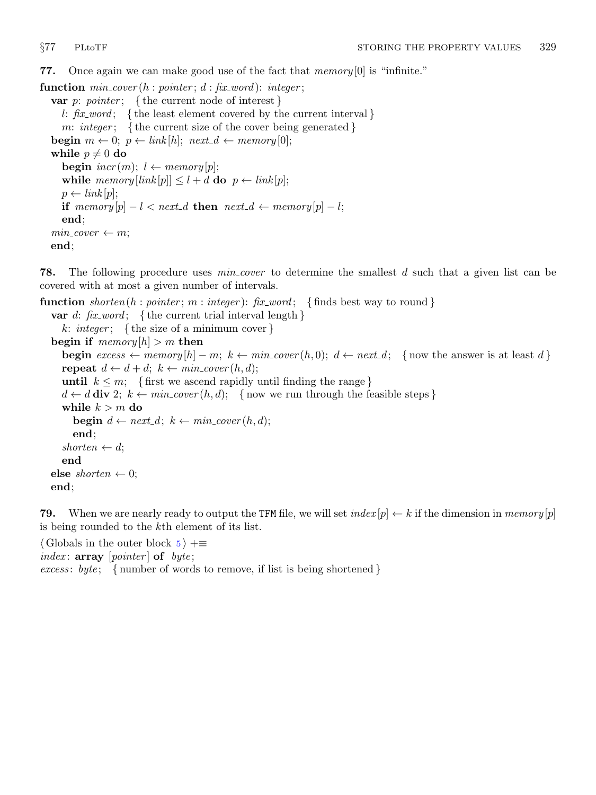<span id="page-28-0"></span>**77.** Once again we can make good use of the fact that memory  $[0]$  is "infinite."

function  $min\_cover(h: pointer; d: fix\_word): integer;$ var  $p:$  pointer; { the current node of interest } l:  $\hat{f}$ x\_word; { the least element covered by the current interval } m: integer; {the current size of the cover being generated} **begin**  $m \leftarrow 0$ ;  $p \leftarrow link[h]$ ;  $next\_d \leftarrow memory[0]$ ; while  $p \neq 0$  do **begin**  $\text{incr}(m)$ ;  $l \leftarrow \text{memory}[p]$ ; while memory  $\left[link[p] \right] \leq l + d$  do  $p \leftarrow \left[link[p] \right]$ ;  $p \leftarrow link[p];$ if  $memory[p] - l < next_d$  then  $next_d \leftarrow memory[p] - l$ ; end;  $min\_cover \leftarrow m;$ end;

**78.** The following procedure uses *min\_cover* to determine the smallest d such that a given list can be covered with at most a given number of intervals.

**function** shorten(h : pointer; m : integer): fix-word; {finds best way to round} var d: fix word; { the current trial interval length } k: *integer*; { the size of a minimum cover } begin if  $memory[h] > m$  then begin  $excess \leftarrow memory[h] - m; k \leftarrow min\_cover(h, 0); d \leftarrow next_d; \{now the answer is at least d\}$ repeat  $d \leftarrow d + d$ ;  $k \leftarrow min\_cover(h, d)$ ; **until**  $k \leq m$ ; { first we ascend rapidly until finding the range}  $d \leftarrow d$  div 2;  $k \leftarrow min\_cover(h, d);$  {now we run through the feasible steps } while  $k > m$  do **begin**  $d \leftarrow next\_d$ ;  $k \leftarrow min\_cover(h, d)$ ; end; shorten  $\leftarrow d$ ; end else shorten  $\leftarrow 0$ ;

end;

**79.** When we are nearly ready to output the TFM file, we will set  $index[p] \leftarrow k$  if the dimension in memory [p] is being rounded to the kth element of its list.

 $\langle$  Globals in the outer block [5](#page-2-0)  $\rangle$  +≡ index:  $array[pointer]$  of byte; excess: byte; { number of words to remove, if list is being shortened }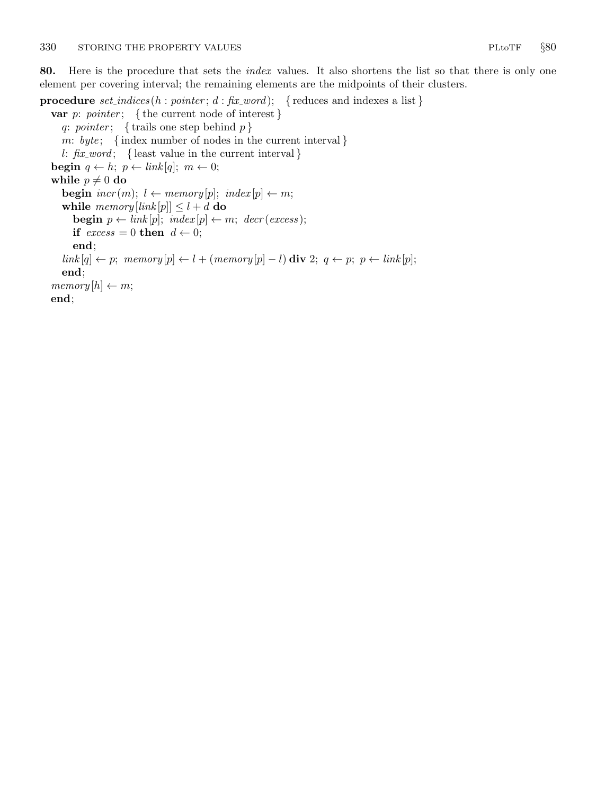<span id="page-29-0"></span>80. Here is the procedure that sets the *index* values. It also shortens the list so that there is only one element per covering interval; the remaining elements are the midpoints of their clusters.

**procedure** set indices (h : pointer;  $d : fix\_word$ ); { reduces and indexes a list }

var  $p: pointer; \{ the current node of interest \}$ q: pointer; { trails one step behind  $p$  } m: byte; {index number of nodes in the current interval} l: fix word; { least value in the current interval } **begin**  $q \leftarrow h$ ;  $p \leftarrow link[q]$ ;  $m \leftarrow 0$ ; while  $p \neq 0$  do **begin**  $\text{incr}(m); l \leftarrow \text{memory}[p]; \text{ index}[p] \leftarrow m;$ while memory  $\left[link[p] \right] \leq l + d$  do **begin**  $p \leftarrow link[p]$ ;  $index[p] \leftarrow m$ ;  $decr(excess)$ ; if  $excess = 0$  then  $d \leftarrow 0$ ; end; link [q] ← p; memory [p] ← l + (memory [p] – l) div 2;  $q \leftarrow p$ ;  $p \leftarrow link$  [p]; end;  $memory[h] \leftarrow m;$ end;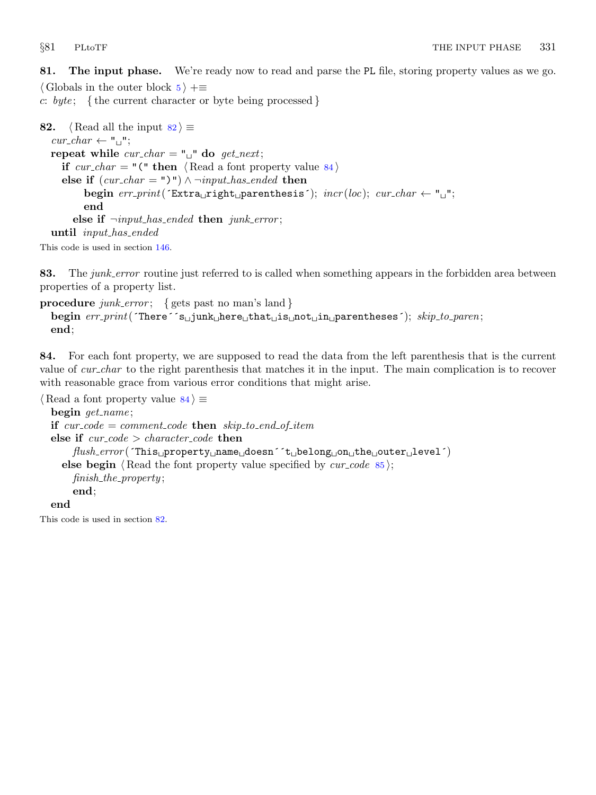<span id="page-30-0"></span>81. The input phase. We're ready now to read and parse the PL file, storing property values as we go.  $\langle$  Globals in the outer block  $5 \rangle + \equiv$  $5 \rangle + \equiv$ 

c: byte; {the current character or byte being processed}

82.  $\langle$  Read all the input 82  $\rangle \equiv$  $cur\_char \leftarrow "\sqcup"$ ; repeat while  $cur\_char = "u"$  do  $get\_next;$ if cur\_char = "(" then  $\langle$  Read a font property value 84 $\rangle$ else if  $(cur\_char = ")\") \wedge \neg input\_has\_ended$  then begin  $err\_print$  ( $\text{Extra\_right\_parent}$  right  $\rho$  arenthesis<sup> $\cdot$ </sup>);  $\text{incr}(loc)$ ;  $\text{cur\_char} \leftarrow " \text{tr } "$ ; end else if  $\neg input\_has\_ended$  then  $junk\_error$ ; until input has ended

This code is used in section [146.](#page-49-0)

83. The junk error routine just referred to is called when something appears in the forbidden area between properties of a property list.

procedure  $junk_error$ ; { gets past no man's land } begin  $err\_print$  (There''s junk here that is not in parentheses');  $skip-to\_parent$ ; end;

84. For each font property, we are supposed to read the data from the left parenthesis that is the current value of *cur\_char* to the right parenthesis that matches it in the input. The main complication is to recover with reasonable grace from various error conditions that might arise.

```
\langle Read a font property value 84 \rangle \equivbegin get_name;
  if cur\_code = comment\_code then skip\_to\_end\_of\_itemelse if cur\_code > character\_code then
        \mathit{fush\_error} (\mathit{This} \text{\_property\_name \_\{} doesn}<sup>\cdot</sup>t\text{\_belong \_\{} on \_\{} the \text{\_outer \_\{} level}\cdot)
      else begin \langle Read the font property value specified by cur_code85\rangle;
         f\nimplies finish_the_property;
         end;
  end
```
This code is used in section 82.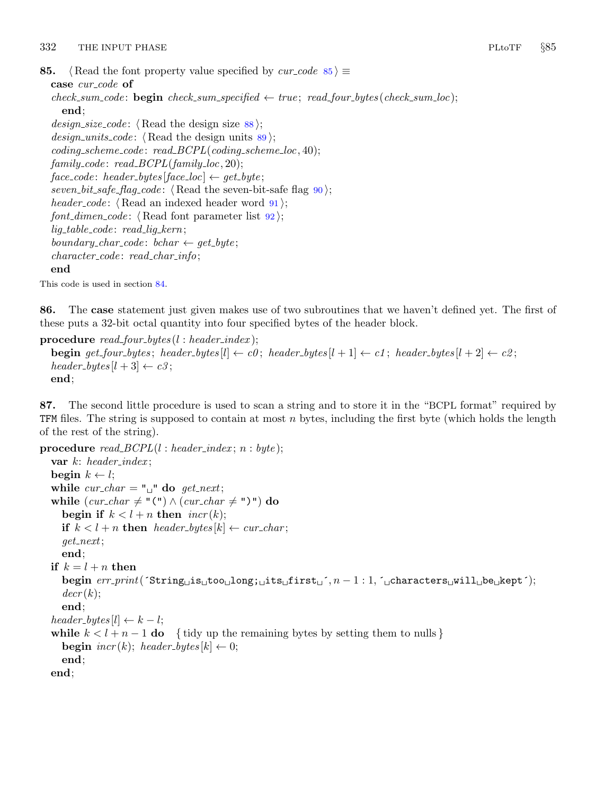<span id="page-31-0"></span>85. (Read the font property value specified by cur code  $85$ )  $\equiv$ case cur\_code of

check\_sum\_code: begin check\_sum\_specified  $\leftarrow true$ ; read\_four\_bytes(check\_sum\_loc); end;

*design\_size\_code*:  $\langle$  Read the design size [88](#page-32-0) $\rangle$ ; *design\_units\_code*:  $\langle$  Read the design units [89](#page-32-0) $\rangle$ ;  $coding\_scheme\_code:~read\_BCPL(coding\_scheme\_loc, 40);$  $family\_code: read\_BCPL(family\_loc, 20);$  $face\_code: header\_bytes[face\_loc] \leftarrow get\_byte;$ seven bit safe flag code:  $\langle$  Read the seven-bit-safe flag  $\langle 90 \rangle$  $\langle 90 \rangle$  $\langle 90 \rangle$ ; header\_code:  $\langle$  Read an indexed header word  $91$ ; font\_dimen\_code:  $\langle$  Read font parameter list  $92$   $\rangle$ ;  $lig\_table\_code: read\_lig\_kern;$ boundary\_char\_code: bchar  $\leftarrow$  get\_byte;  $character\_code: read\_char\_info;$ end

This code is used in section [84](#page-30-0).

86. The case statement just given makes use of two subroutines that we haven't defined yet. The first of these puts a 32-bit octal quantity into four specified bytes of the header block.

procedure  $read\_four\_bytes$  ( $l: header\_index$ ); **begin** get\_four\_bytes; header\_bytes[l]  $\leftarrow c0$ ; header\_bytes[l + 1]  $\leftarrow c1$ ; header\_bytes[l + 2]  $\leftarrow c2$ ;  $header\_bytes[l + 3] \leftarrow c3;$ end;

87. The second little procedure is used to scan a string and to store it in the "BCPL format" required by TFM files. The string is supposed to contain at most  $n$  bytes, including the first byte (which holds the length of the rest of the string).

```
procedure read\_BCPL(l:header\_index; n:byte);var k: \textit{header\_index};
  begin k \leftarrow l;
  while cur\_char = "u" do get\_next;while (cur\_char \neq "(") \wedge (cur\_char \neq ")" do
     begin if k < l + n then \text{incr}(k);
     if k < l + n then header_bytes [k] \leftarrow cur\_char;get_next;
     end;
  if k = l + n then
     begin err\_print('String\_is\_too\_long; _its\_first\_', n - 1 : 1, ' _\subseteq\text{characters } \subseteq \text{will } \subseteq \text{keyt'};
     decr(k);end;
  header\_bytes[l] \leftarrow k - l;while k < l + n - 1 do { tidy up the remaining bytes by setting them to nulls}
     begin \text{incr}(k); header_bytes [k] \leftarrow 0;
     end;
  end;
```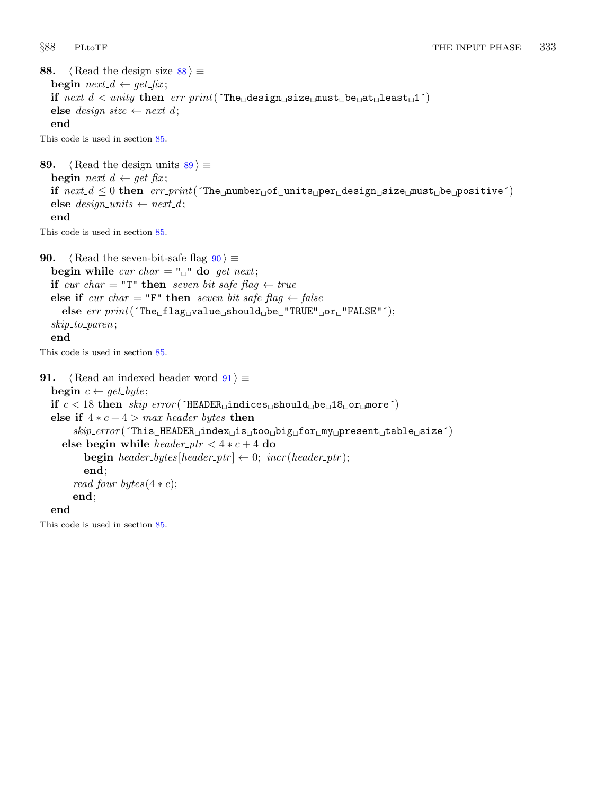```
88. \langle Read the design size 88 \rangle \equivbegin next_d \leftarrow get\_fix;if next_d < unity then err\_print('The \text{classing} \text{size} \text{matrix} \text{beta} \text{data} \text{data} \text{data}else design\_size \leftarrow next\_d;
  end
This code is used in section 85.
89. (Read the design units 89) \equivbegin next_d \leftarrow get\_fix;if next_d \leq 0 then err\_print('The \text{__number\_of \text{__units\_per \_}design \text{__size \_}mus \text{__positive \_}} axiselse design\_units \leftarrow next\_d;
  end
This code is used in section 85.
90. \langle Read the seven-bit-safe flag 90 \rangle \equivbegin while cur\_char = "u" do get_next;
  if cur\_char = "T" then seven bit safe flag \leftarrow trueelse if cur\_char = "F" then seven\_bit\_safe\_flag \leftarrow falseelse err\_print( The_{\sqcup}flag_{\sqcup}value_{\sqcup}should_{\sqcup}be_{\sqcup}"TRUE"_{\sqcup}or_{\sqcup}"FALSE"^{\prime});
  skip to paren;
  end
This code is used in section 85.
91. \langle Read an indexed header word 91 \rangle \equivbegin c \leftarrow get\_byte;if c < 18 then skip\_error( THEADER indices should be 18 or more )else if 4 * c + 4 > max{\text{header}\_\text{bytes}} then
        skip\_error( This HEADER index is too big for my present itable size ')else begin while header\_ptr < 4*c + 4 do
           begin header_bytes [header_ptr] \leftarrow 0; incr(header_ptr);
           end;
        read\_four\_bytes(4 * c);end;
  end
This code is used in section 85.
```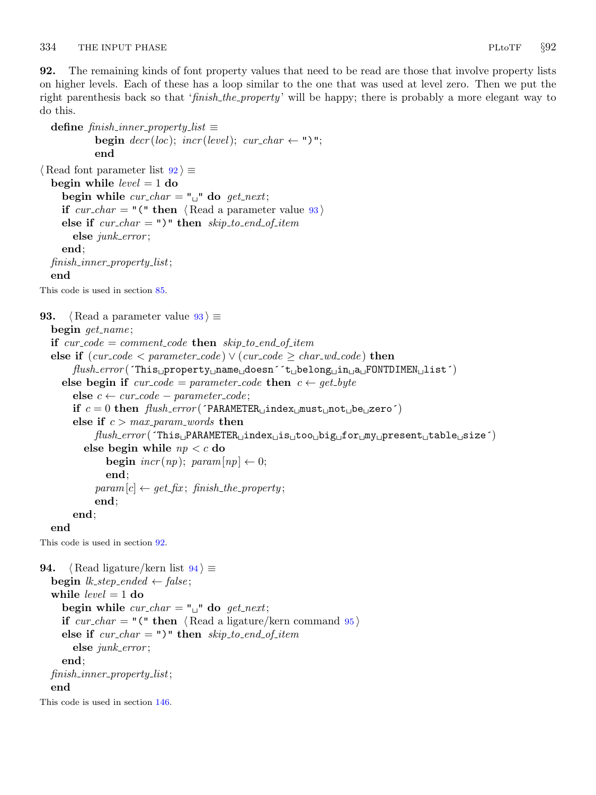<span id="page-33-0"></span>92. The remaining kinds of font property values that need to be read are those that involve property lists on higher levels. Each of these has a loop similar to the one that was used at level zero. Then we put the right parenthesis back so that '*finish\_the\_property*' will be happy; there is probably a more elegant way to do this.

```
define \text{f}\text{}\text{min}-inner_property_list \equivbegin decr(loc); incr(level); cur\_char \leftarrow ")";end
\langle Read font parameter list 92 \rangle \equivbegin while level = 1 do
     begin while cur\_char = "_{\sqcup}" do get_next;
     if cur char = "(" then \langle Read a parameter value 93\rangleelse if cur\_char = ")" then skip\_top\_to\_end\_of\_itemelse junk_error;
     end;
  finish_inner_property_list;
  end
This code is used in section 85.
93. \langle Read a parameter value 93 \rangle \equivbegin get_name;if cur\_code = comment\_code then skip\_to\_end\_of\_itemelse if (cur\_code < parameter\_code) \vee (cur\_code \ge char\_wd\_code) then
        \text{flush\_error} (\text{This}<sub>U</sub>property<sub>U</sub>name<sub>U</sub>doesn\text{``t}_\text{U}belong<sub>U</sub>in<sub>U</sub>a<sub>U</sub>FONTDIMEN<sub>U</sub>list\text{``t}_\text{U}else begin if cur\_code = parameter\_code then c \leftarrow get\_byteelse c ← cur\_code - parameter\_code;if c = 0 then \text{flux} \text{error} (\text{PARAMETER} index must not be zero')
        else if c > max\_param\_words then
              \mathit{flush\_error}(\verb|`This_\Box{\tt PARAMETER_\Box{index_\Box{is_\Box}too_\Box{big_\Box{for_\Box{my_\Box}}present_\Box{table_\Box{size}}`}})else begin while np < c do
                 begin \text{incr}(np); \text{param}[np] \leftarrow 0;
                 end;
              param[c] \leftarrow get\_fix; finish_the_property;
              end;
        end;
  end
This code is used in section 92.
94. \langle Read ligature/kern list 94 \rangle \equivbegin lk\_step\_ended \leftarrow false;while level = 1 do
     begin while cur\_char = "u" do get_next;
     if cur-char = "(" then \langle95)
     else if cur\_char = ")" then skip\_top\_to\_end\_of\_itemelse junk_error;
     end;
  finish_inner_property_list;
  end
This code is used in section 146.
```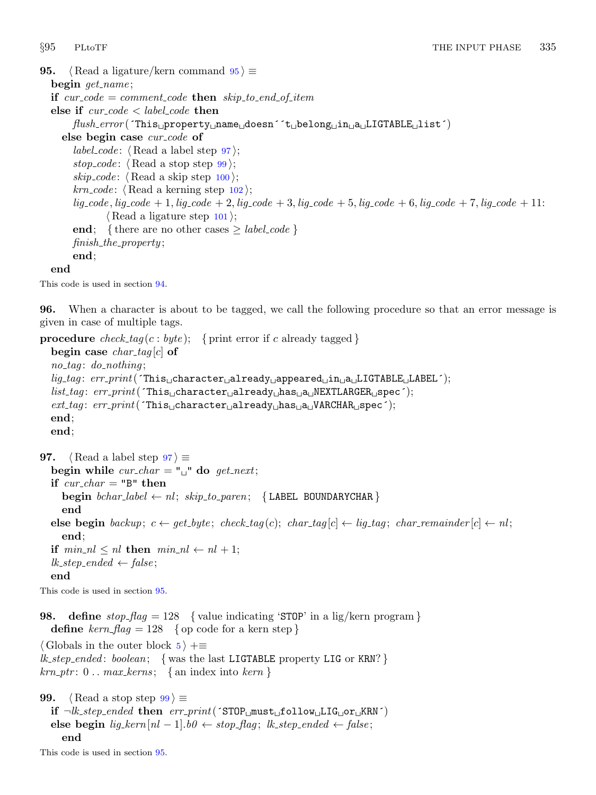```
95. \langle Read a ligature/kern command 95 \rangle \equivbegin get_name;
  if cur\_code = comment\_code then skip\_to\_end\_of\_itemelse if cur\_code < label\_code then
       flush\_error( \lceil \text{This} \rceil property \text{name}doesn \lceil \text{true} \rceil belong \text{in}_\text{u} a LIGTABLE \text{list} \rceilelse begin case cur_code of
       label_code: \langle Read a label step 97\rangle;
       stop_code: \langle Read a stop step 99\rangle;
       skip_code: \langle100\rangle;
       krn\_code: \langle102\rangle;
       lig\_code + 1, lig\_code + 2, lig\_code + 3, lig\_code + 5, lig\_code + 6, lig\_code + 7, lig\_code + 11:
               \langle101\rangle;
       end; {there are no other cases \geq label_code }
       finish\_the\_property;end;
  end
```
This code is used in section [94](#page-33-0).

96. When a character is about to be tagged, we call the following procedure so that an error message is given in case of multiple tags.

```
procedure check\_tag(c : byte); { print error if c already tagged }
  begin case char_tag[c] of
  no\_tag: do_nothing;
  lig\_tag: err\_print( This_{\cup}character_{\cup}already_{\cup}appeared_{\cup}in_{\cup}a_{\cup}LIGTABLE_{\cup}LABEL');
  list\_tag: err-print('This \cup character \cup already \cup has \cup a \cup NEXTLARGE R \cup spec');ext\_tag: err\_print('This \cup character \cup already \cup has \cup a \cup VARCHAR \cup spec');end;
  end;
```

```
97. \langle Read a label step 97 \rangle \equivbegin while cur\_char = "u" do get_next;
   if cur\_char = "B" then
      \mathbf{begin} \left\{ \text{Left }\right\} begin bchar_label \leftarrow nl; skip_to\_parent; \left\{ \text{LABEL BOUNDARYCHAR} \right\}end
   else begin backup; c \leftarrow get\_byte; check\_tag(c); char\_tag[c] \leftarrow lig\_tag; char\_remainder[c] \leftarrow nl;end;
   if min\_nl \leq nl then min\_nl \leftarrow nl + 1;
   lk\_step\_ended \leftarrow false;end
```
This code is used in section 95.

**98.** define  $stop\_flag = 128$  {value indicating 'STOP' in a lig/kern program } **define** kern  $flag = 128$  { op code for a kern step }  $\langle$  Globals in the outer block [5](#page-2-0)  $\rangle$  + $\equiv$ *lk\_step\_ended:* boolean; { was the last LIGTABLE property LIG or KRN?}  $krn\_ptr: 0...max\_kerns; \{ \text{an index into } kern \}$ 

**99.**  $\langle$  Read a stop step  $99 \rangle \equiv$ if  $\neg$ *k\_step\_ended* then  $err\_print('STOP \text{cmust} \text{of o} 11ow \text{cm} \text{cm} \text{cm}$ <sub>L</sub>KRN´) else begin lig\_kern[nl − 1].b0  $\leftarrow$  stop\_flag; lk\_step\_ended  $\leftarrow$  false; end

This code is used in section 95.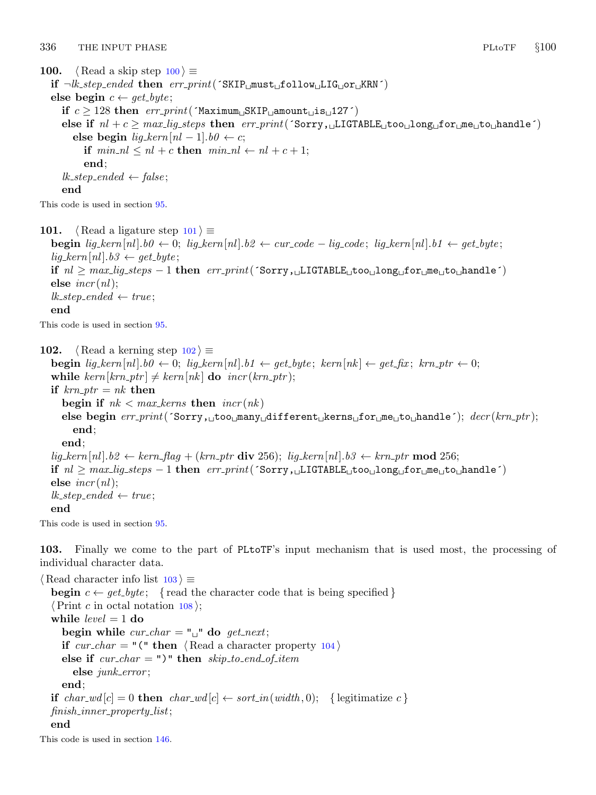<span id="page-35-0"></span>100. (Read a skip step  $100 \equiv$ if ¬lk step ended then err print(´SKIP must follow LIG or KRN´) else begin  $c \leftarrow get\_byte$ ; if  $c > 128$  then  $err\_print('Maximum | SKIP_{\text{I}}amount_{\text{I}} is_{\text{I}}127')$ else if  $nl + c \geq max\_lig\_steps$  then  $err\_print('Sory, LIGTABLE_L too_Llong\_for\_me_Lto_Lhandle')$ else begin lig\_kern[nl − 1].b0  $\leftarrow$  c; if  $min\_nl \leq nl + c$  then  $min\_nl \leftarrow nl + c + 1$ ; end;  $lk\_step\_ended \leftarrow false;$ end

This code is used in section [95](#page-34-0).

101. (Read a ligature step  $101$ )  $\equiv$ **begin** lig\_kern[nl].b0  $\leftarrow$  0; lig\_kern[nl].b2  $\leftarrow$  cur\_code – lig\_code; lig\_kern[nl].b1  $\leftarrow$  get\_byte;  $lig\_{\textit{kern}}[nl]$ .b3  $\leftarrow get\_byte;$ if  $nl \geq max\_lig\_steps - 1$  then  $err\_print('Sory, \text{JLIGTABLE\_too\_long\_for\_me\_to\_handle'})$ else  $\text{incr}(nl)$ ;  $lk\_step\_ended \leftarrow true;$ end

This code is used in section [95](#page-34-0).

```
102. (Read a kerning step 102) \equivbegin lig kern[nl].b0 \leftarrow 0; lig kern[nl].b1 \leftarrow get byte; kern[nk] \leftarrow get fix; krn ptr \leftarrow 0;
  while \text{kern}[\text{km\_ptr}] \neq \text{kern}[nk] do \text{incr}(\text{km\_ptr});
  if km\_ptr = nk then
     begin if nk < max_{\text{.}} then \text{.} \text{.} \text{.} \text{.} \text{.}else begin err print(´Sorry, too many different kerns for me to handle´); decr (krn ptr );
        end;
     end;
  lig\text{-}kern[n].b2 ← kern_flag + (krn_ptr div 256); lig_kern[nl].b3 ← krn_ptr mod 256;
  if nl \geq max\_lig\_steps - 1 then err\_print('Sory, \text{LIGTABLE\_too\_long\_for\_me\_to\_handle'})else \text{incr}(nl);
  lk\_step\_ended \leftarrow true;end
This code is used in section 95.
```
103. Finally we come to the part of PLtoTF's input mechanism that is used most, the processing of individual character data.

```
\langle Read character info list 103 \rangle \equivbegin c \leftarrow get\_byte; {read the character code that is being specified }
  \langle108\rangle;
  while level = 1 do
    begin while cur\_char = "_{\sqcup}" do get_next;
    if cur_char = "(" then \langle104\rangleelse if cur\_char = ")" then skip\_top\_to\_end\_of\_itemelse junk_error;
    end;
  if char\_wd[c] = 0 then char\_wd[c] \leftarrow sort\_in(width, 0); { legitimatize c }
  finish inner property list;
  end
This code is used in section 146.
```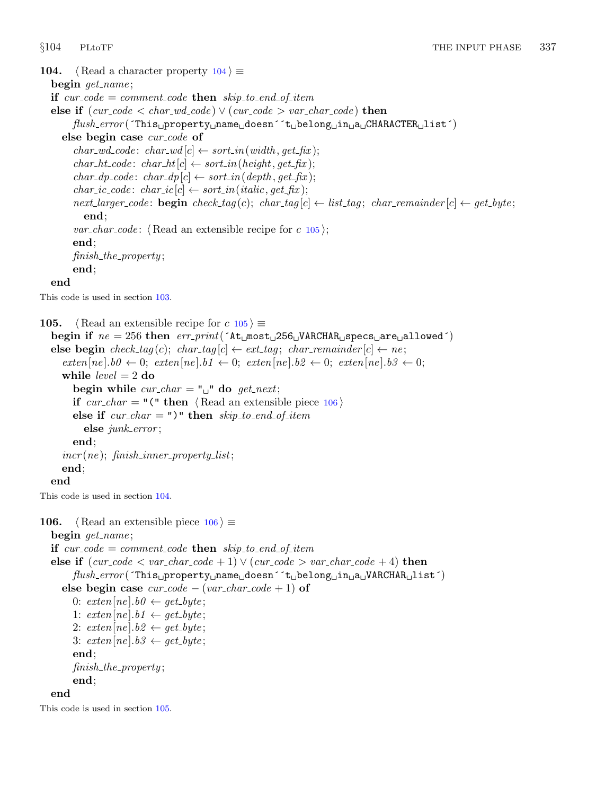<span id="page-36-0"></span>104.  $\langle$  Read a character property 104 $\rangle \equiv$ begin  $get_name;$ if  $cur\_code = comment\_code$  then  $skip\_to\_end\_of\_item$ else if  $(cur\_code < char\_wd\_code) \vee (cur\_code > var\_char\_code)$  then  $flush\_error($   $\lceil \text{This\_property\_name\_doesn} \rceil \text{`t\_belong\_in\_a\_CHARACTER\_list} \rceil)$ else begin case cur\_code of  $char\_wd\_code: char\_wd|c| \leftarrow sort\_in(width, get\_fix);$  $char\_ht\_code: char\_ht[c] \leftarrow sort\_in(height, get\_fix);$  $char\_dp\_code$ :  $char\_dp[c] \leftarrow sort\_in(depth, get\_fix);$  $char\_ic\_code: char\_ic[c] \leftarrow sort\_in(italic, get\_fix);$ next larger code: begin check tag(c); char tag[c]  $\leftarrow$  list tag; char remainder [c]  $\leftarrow$  get byte; end; *var\_char\_code*:  $\langle$  Read an extensible recipe for c 105 $\rangle$ ; end;  $f\nimplies$  the property; end; end This code is used in section [103.](#page-35-0) 105.  $\langle$  Read an extensible recipe for c 105  $\rangle \equiv$ begin if  $ne = 256$  then  $err\_print('At \text{\textperp}256 \text{\textperp}VARTHAR \text{\textperp}specs \text{\textperp}arc \text{h}alloved')$ else begin  $check\_tag(c)$ ; char  $tag [c] \leftarrow ext\_tag$ ; char remainder  $[c] \leftarrow ne$ ;  $exten[ne].b0 \leftarrow 0; \; exten[ne].b1 \leftarrow 0; \; exten[ne].b2 \leftarrow 0; \; exten[ne].b3 \leftarrow 0;$ while  $level = 2$  do begin while  $cur\_char = "u"$  do get\_next; if cur char = "(" then  $\langle$  Read an extensible piece 106 $\rangle$ else if  $cur\_char = "$ )" then  $skip\_top\_to\_end\_of\_item$ else  $junk_error$ ; end;  $incr(ne);$  finish\_inner\_property\_list; end; end This code is used in section 104. 106. (Read an extensible piece  $106$ )  $\equiv$ begin  $get_name;$ if  $cur\_code = comment\_code$  then  $skip\_to\_end\_of\_item$ else if  $(cur\_code < var\_char\_code + 1) \vee (cur\_code > var\_char\_code + 4)$  then  $flush\_error($  This property name doesn  $\tilde{\tau}_{\text{L}}$  belong in a VARCHAR list  $\tilde{\tau}$ else begin case  $cur\_code - (var\_char\_code + 1)$  of 0:  $exten[ne].b0 \leftarrow get\_byte;$ 1:  $exten[ne].b1 \leftarrow get\_byte;$ 2:  $exten[ne].b2 \leftarrow get\_byte;$ 3:  $exten[ne].b3 \leftarrow get\_byte;$ end;  $f\nimplies$  the property; end; end

This code is used in section 105.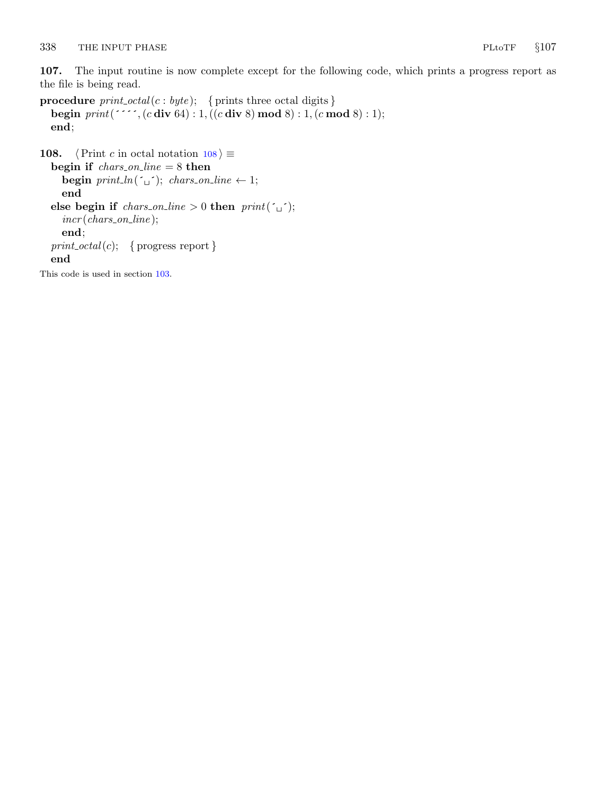<span id="page-37-0"></span>107. The input routine is now complete except for the following code, which prints a progress report as the file is being read.

```
procedure print\_octal(c : byte); { prints three octal digits }
  begin print('''', (c \div 64) : 1, ((c \div 8) \mod 8) : 1, (c \mod 8) : 1);end;
```

```
108. \langle Print c in octal notation 108 \rangle \equivbegin if \text{chars\_on\_line} = 8 then
     begin print\_ln(\lceil \_ \rceil); chars_on_line \leftarrow 1;
     end
  else begin if chars_on_line > 0 then print('_1');
     incr(chars_0,line);end;
  print\_octal(c); { progress report }
  end
This code is used in section 103.
```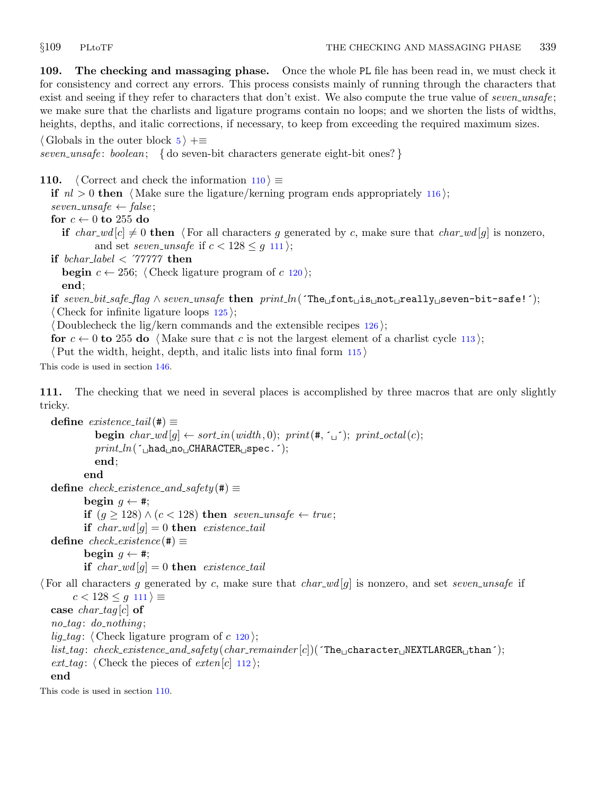<span id="page-38-0"></span>109. The checking and massaging phase. Once the whole PL file has been read in, we must check it for consistency and correct any errors. This process consists mainly of running through the characters that exist and seeing if they refer to characters that don't exist. We also compute the true value of seven unsafe; we make sure that the charlists and ligature programs contain no loops; and we shorten the lists of widths, heights, depths, and italic corrections, if necessary, to keep from exceeding the required maximum sizes.

 $\langle$  Globals in the outer block [5](#page-2-0)  $\rangle$  += seven\_unsafe: boolean; { do seven-bit characters generate eight-bit ones?}

110.  $\langle$  Correct and check the information 110 $\rangle \equiv$ 

if  $nl > 0$  then  $\langle$  Make sure the ligature/kerning program ends appropriately [116](#page-39-0) $\rangle$ ;

 $seven\_unsafe \leftarrow false;$ 

for  $c \leftarrow 0$  to 255 do

if char wd  $[c] \neq 0$  then  $\langle$  For all characters g generated by c, make sure that char wd  $[q]$  is nonzero, and set seven unsafe if  $c < 128 \leq g \leq 111$ ;

if  $behavior\_label < 77777$  then

**begin**  $c \leftarrow 256$ ; (Check ligature program of c [120](#page-40-0));

end;

if seven\_bit\_safe\_flag ∧ seven\_unsafe then  $print\_ln($  The font is not really seven-bit-safe!  $^{\circ}$ );  $\langle$  Check for infinite ligature loops [125](#page-42-0) $\rangle$ ;

 $\langle$  Doublecheck the lig/kern commands and the extensible recipes [126](#page-43-0) $\rangle$ ;

for  $c \leftarrow 0$  to 255 do  $\langle$  Make sure that c is not the largest element of a charlist cycle [113](#page-39-0) $\rangle$ ;

 $\langle$  Put the width, height, depth, and italic lists into final form [115](#page-39-0) $\rangle$ 

This code is used in section [146.](#page-49-0)

111. The checking that we need in several places is accomplished by three macros that are only slightly tricky.

define existence\_tail(#)  $\equiv$ **begin**  $char_wd[g] \leftarrow sort_in(width, 0); print(\#, \lceil \cdot \rceil); print\_octal(c);$  $print\_ln($  [ $_m$ had $_{m}$ no CHARACTER spec.  $\dot{\ }$ ); end; end define check\_existence\_and\_safety(#)  $\equiv$ begin  $g \leftarrow \#$ ; if  $(g \ge 128) \land (c < 128)$  then seven\_unsafe ← true; if  $char_w d[g] = 0$  then existence\_tail define check\_existence (#)  $\equiv$ begin  $g \leftarrow \#$ ; if  $char_w d[g] = 0$  then existence\_tail For all characters g generated by c, make sure that char  $wd[g]$  is nonzero, and set seven unsafe if  $c < 128 \leq g$  111 $\rangle \equiv$ case  $char\_tag$  [c] of  $no\_tag$ : do\_nothing; lig<sub>-tag</sub>: (Check ligature program of c [120](#page-40-0));

 $list\_tag: check\_existence_and\_safety(char$ - $remainder[c])$  ( $The \text{u}$ -character  $\text{u}$ NEXTLARGER $\text{u}$ than');

ext\_tag:  $\langle$  Check the pieces of exten[c] [112](#page-39-0) $\rangle$ ;

end

This code is used in section 110.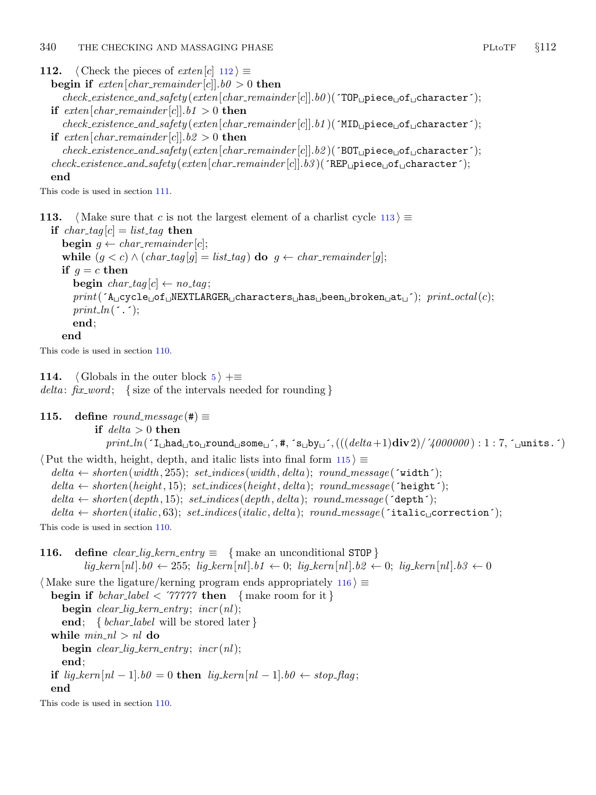<span id="page-39-0"></span>112. (Check the pieces of  $exten[c]$  112)  $\equiv$ 

- begin if  $exten[char\_remainder[c]].b0 > 0$  then  $check\_existence\_and\_safety (exten[char\_remainder[c]].b0) (^T\texttt{OP}_{\sqcup}\texttt{piece\_of\_character}');$
- if  $ext{er}[char\_remainder[c]].b1 > 0$  then  $check\_existence\_and\_safety (exten[char\_remainder[c]].b1)$  ( $^MID_\Box$ piece $_\Box$ of $_\Box$ character');
- if  $ext{er}[char\_remainder[c]].b2 > 0$  then  $check\_existence\_and\_safety (exten[char\_remainder[c]].b2)$ (´BOT $_{\sqcup}$ piece $_{\sqcup}$ of $_{\sqcup}$ character´);

 $check\_existence\_and\_safety (exten[char\_remainder[c]].b3 )$  ( $'REP_{\sqcup}piece_{\sqcup}of_{\sqcup}character$ );

## end

This code is used in section [111.](#page-38-0)

113. (Make sure that c is not the largest element of a charlist cycle 113)  $\equiv$ if  $char\_tag$   $|c| = list\_tag$  then **begin**  $g \leftarrow char\_remainder[c]$ ; while  $(g < c) \wedge (char\_tag[g] = list\_tag)$  do  $g \leftarrow char\_remainder[g]$ ; if  $q = c$  then begin  $char\_tag$  [c]  $\leftarrow no\_tag$ ;

 $print('A_Ucycle_Uof_UNEXTLARGE_Ucharactors_Uhas_Ubeen_Ubroken_Uat_U'); print.cetal(c);$  $print\_ln(\cdot, \cdot);$ 

```
end;
```

```
end
```
This code is used in section [110.](#page-38-0)

114. (Globals in the outer block  $5$ ) +≡ delta: fix-word; { size of the intervals needed for rounding }

```
115. define round_message(#) \equivif delta > 0 then
```
 $print\_ln($  ( $I<sub>u</sub>had<sub>u</sub>to<sub>u</sub>round<sub>u</sub>some<sub>u</sub>$ ,  $#$ ,  $s<sub>u</sub>by<sub>u</sub>$ ,  $(((delta+1)div2)/2000000) : 1 : 7,$   $'<sub>u</sub>units.$  ()

 $\langle$  Put the width, height, depth, and italic lists into final form 115 $\rangle \equiv$ 

 $delta \leftarrow shorten(width, 255); set indicates(width, delta); round message('width');$ 

 $delta \leftarrow shorten(headtt, 15); set indicates(height, delta); round-message('height');$ 

 $delta \leftarrow shorten(depth, 15); set indicates(depth, delta); round message({ $\text{depth}^*};$$ 

 $delta \leftarrow shorten(itative, 63); set\_indices( italic, delta); round\_message('italic<sub>u</sub> correction');$ This code is used in section [110.](#page-38-0)

```
116. define clear-lig-kern entry \equiv \{ make an unconditional STOP \}lig\text{-}kern[nl].b0 \leftarrow 255; lig\text{-}kern[nl].b1 \leftarrow 0; lig\text{-}kern[nl].b2 \leftarrow 0; lig\text{-}kern[nl].b3 \leftarrow 0\langle Make sure the ligature/kerning program ends appropriately 116 \rangle \equivbegin if bchar_label \langle '77777' then { make room for it}
     begin clear_lig_kern_entry; \text{incr}(nl);
     end; { bchar_label will be stored later }
  while min\_nl > nl do
     begin clear\_lig\_kern\_entry; incr(n!);
     end;
  if liq_{\text{th}}\left[nl-1\right],b0=0 then liq_{\text{th}}\left[nl-1\right],b0\leftarrow stop_{\text{th}}\left[nq\right];
  end
This code is used in section 110.
```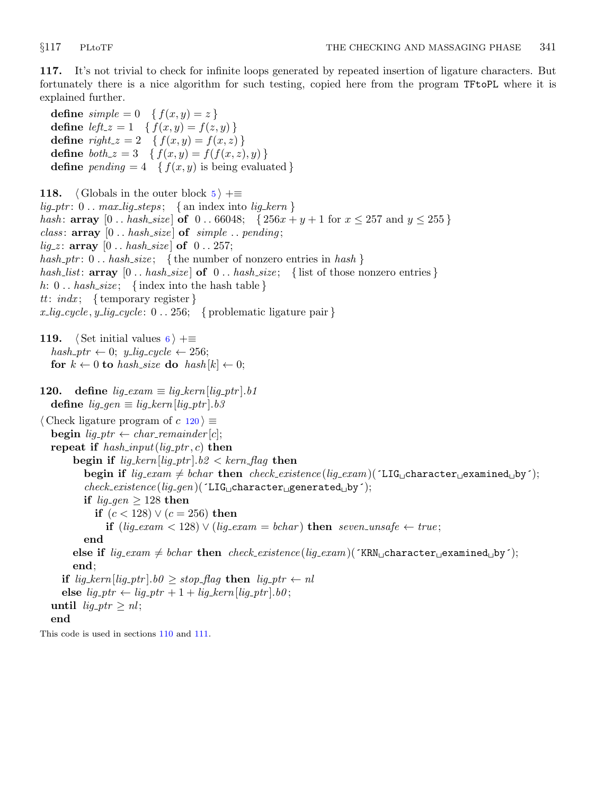<span id="page-40-0"></span>117. It's not trivial to check for infinite loops generated by repeated insertion of ligature characters. But fortunately there is a nice algorithm for such testing, copied here from the program TFtoPL where it is explained further.

define  $simple = 0 \{ f(x, y) = z \}$ define  $left_z = 1 \quad \{ f(x, y) = f(z, y) \}$ define  $right_z = 2 \{ f(x, y) = f(x, z) \}$ define  $both_z = 3 \{ f(x, y) = f(f(x, z), y) \}$ define pending  $= 4 \{ f(x, y) \text{ is being evaluated } \}$ 

118.  $\langle$  Globals in the outer block [5](#page-2-0)  $\rangle$  +≡  $lig\_ptr: 0 \ldots max\_lig\_steps; \{ \text{an index into } lig\_kern \}$ hash: **array**  $[0..$  hash size  $]$  of  $[0..$  66048;  $\{256x + y + 1$  for  $x \le 257$  and  $y \le 255\}$ class:  $array [0..hash_size]$  of  $simple..pending;$  $lig\_z$ : array  $[0..hash\_size]$  of  $0..257;$ hash\_ptr:  $0$ .. hash\_size; {the number of nonzero entries in hash} hash list: array  $[0 \tldots \t{hash_size}]$  of  $[0 \tldots \t{hash_size}]$ ; { list of those nonzero entries } h:  $0$ .. hash\_size; {index into the hash table} tt: indx; { temporary register } x-lig-cycle, y-lig-cycle:  $0$ ... 256; { problematic ligature pair }

119. (Set initial values [6](#page-2-0)) +≡  $hash\_ptr \leftarrow 0; y\_lig\_cycle \leftarrow 256;$ for  $k \leftarrow 0$  to hash-size do hash  $[k] \leftarrow 0$ ;

```
120. define lig\_exam \equiv lig\_kern[lig\_ptr].b1define lig\_gen \equiv lig\_kern [lig\_ptr].b3
```
 $\langle$  Check ligature program of c 120  $\rangle \equiv$ **begin**  $lig\_ptr \leftarrow char\_remainder[c];$ repeat if  $hash\_input(liq\_ptr, c)$  then begin if  $lig\_{kern}$  [lig\_ptr].b2 < kern\_flag then begin if  $lig\_exam \neq bchar$  then check existence (lig exam)( $\text{`LIG}_{\sqcup}$ character $_{\sqcup}$ examined $_{\sqcup}$ by´);  $check\_existence$  (lig\_gen)( $'LIG \cup character \cup generated \cup by'$ ); if  $lig\_gen \geq 128$  then if  $(c < 128) \vee (c = 256)$  then **if** (lig\_exam < 128)  $\lor$  (lig\_exam = bchar) **then** seven\_unsafe  $\leftarrow true$ ; end else if  $lig\_exam \neq bchar$  then check existence (lig exam)( $KRN_{\sqcup}$ character examined by  $\vdots$ ); end; if lig\_kern[lig\_ptr].b0  $\geq$  stop\_flag then lig\_ptr  $\leftarrow$  nl else  $lig\_ptr \leftarrow lig\_ptr + 1 + lig\_kern[lig\_ptr].b0;$ 

until  $lig\_ptr \geq nl;$ end

This code is used in sections [110](#page-38-0) and [111.](#page-38-0)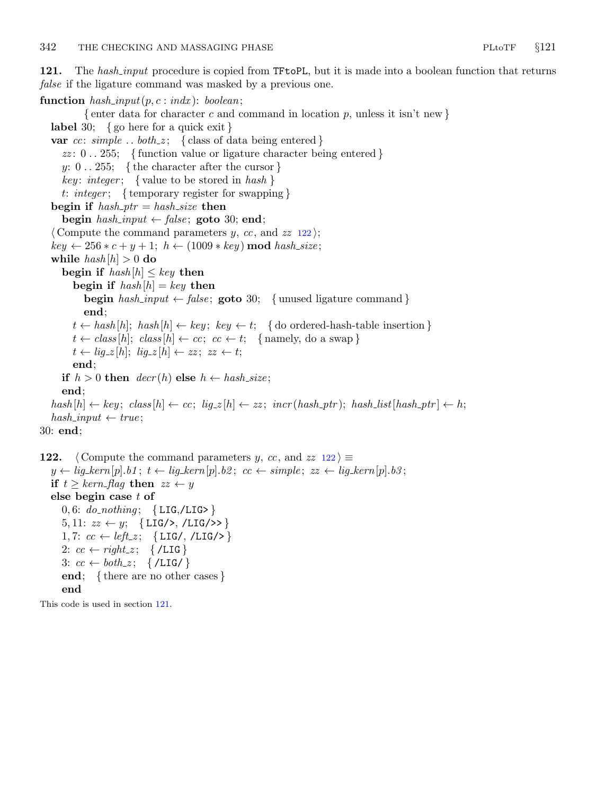<span id="page-41-0"></span>121. The hash input procedure is copied from TFtoPL, but it is made into a boolean function that returns false if the ligature command was masked by a previous one.

```
function hash\_input(p, c : indx): boolean;
          { enter data for character c and command in location p, unless it isn't new }
  label 30; { go here for a quick exit }
  var cc: simple... both\_z; { class of data being entered }
     zz : 0 . . 255; { function value or ligature character being entered }
     y: 0 \ldots 255; {the character after the cursor}
     key: integer; { value to be stored in hash }
     t: integer; { temporary register for swapping }
  begin if hash\_ptr = hash\_size then
     begin hash_input \leftarrow false; goto 30; end;
  \langle Compute the command parameters y, cc, and zz 122\rangle;
  key \leftarrow 256*c+y+1; h \leftarrow (1009 * key) \text{ mod } hash\_size;while hash[h] > 0 do
     begin if hash[h] \leq key then
        begin if hash[h] = key then
          begin hash_input \leftarrow false; goto 30; {unused ligature command}
          end;
       t \leftarrow hash[h]; hash [h] \leftarrow key; key \leftarrow t; {do ordered-hash-table insertion }
       t \leftarrow class[h]; \text{ class } [h] \leftarrow cc; \text{ } cc \leftarrow t; \text{ { \{ namely, do a swap } } }t \leftarrow lig_zz[h]; lig_z[h] \leftarrow zz; zz \leftarrow t;end;
     if h > 0 then decr(h) else h \leftarrow hash\_size;
     end;
  hash[h] \leftarrow key; class[h] \leftarrow cc; lig\_z[h] \leftarrow zz; incr(hash\_ptr); hash\_list[hash\_ptr] \leftarrow h;hash\_input \leftarrow true;30: end;
```

```
122. \langle Compute the command parameters y, cc, and zz 122\rangle \equivy \leftarrow lig_{\text{th}}[p] \cdot b1; t \leftarrow lig_{\text{th}}[p] \cdot b2; cc \leftarrow simple; zz \leftarrow lig_{\text{th}}[p] \cdot b3;if t \geq \textit{kern}\text{-}\textit{flag} then zz \leftarrow yelse begin case t of
      0, 6: do_nothing; {LIG,/LIG>}
      5, 11: zz \leftarrow y; {LIG/>, /LIG/>>}
      1,7: cc \leftarrow left_z; {LIG/, /LIG/>}
      2: cc \leftarrow right\_z; \{ / LIG \}3: cc \leftarrow both\_z; {/LIG/}
      end; { there are no other cases }
      end
```
This code is used in section 121.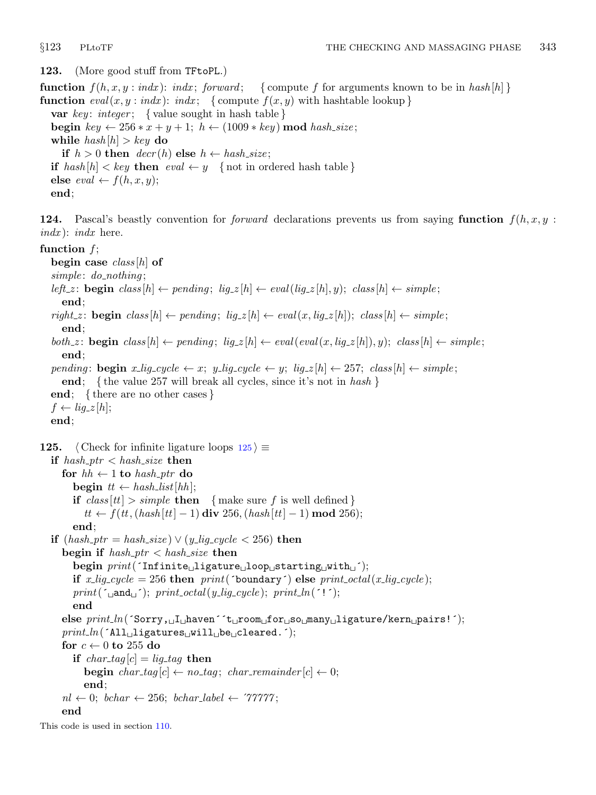<span id="page-42-0"></span>123. (More good stuff from TFtoPL.)

**function**  $f(h, x, y : \text{ind}x)$ :  $\text{ind}x$ ; forward; {compute f for arguments known to be in hash [h]} **function** eval $(x, y : \text{ind } x)$ :  $\text{ind } x$ ; {compute  $f(x, y)$  with hashtable lookup} var key: integer; { value sought in hash table } begin key  $\leftarrow 256 \times x + y + 1$ ;  $h \leftarrow (1009 \times key) \mod hash\_size$ ; while  $hash[h] > key$  do if  $h > 0$  then  $decr(h)$  else  $h \leftarrow hash\_size$ ; if  $hash[h] < key$  then  $eval \leftarrow y$  { not in ordered hash table } else  $eval \leftarrow f(h, x, y);$ end;

124. Pascal's beastly convention for *forward* declarations prevents us from saying function  $f(h, x, y)$ : indx indx here.

function  $f$ ;

begin case  $class[h]$  of  $simple: do\_nothing;$  $left \in \mathcal{E}$ : begin class  $[h] \leftarrow$  pending;  $lig \sim z[h] \leftarrow eval(lig \sim z[h], y)$ ; class  $[h] \leftarrow simple;$ end;  $right_z$ : begin  $class[h] \leftarrow pending; lig_z[h] \leftarrow eval(x, lig_z[h]); class[h] \leftarrow simple;$ end;  $both\_z: \textbf{begin } \textit{ class}[h] \leftarrow \textit{pending}; \textit{ lig\_z}[h] \leftarrow \textit{eval}(\textit{eval}(x,\textit{lig\_z}[h]), y); \textit{ class}[h] \leftarrow \textit{simple};$ end; pending: begin x\_lig\_cycle  $\leftarrow x$ ; y\_lig\_cycle  $\leftarrow y$ ; lig\_z|h|  $\leftarrow$  257; class  $|h| \leftarrow$  simple; end; { the value 257 will break all cycles, since it's not in hash } end; { there are no other cases }  $f \leftarrow lig_zz[h];$ end; 125. (Check for infinite ligature loops  $125$ )  $\equiv$ if hash\_ptr  $\langle$  hash\_size then for  $hh \leftarrow 1$  to hash\_ptr do begin  $tt \leftarrow hash\_list[hh];$ if  $class [tt] > simple$  then { make sure f is well defined}  $tt \leftarrow f(tt, (hash[tt] - 1)$  div 256,  $(hash[tt] - 1)$  mod 256); end; if  $(hash\_ptr = hash\_size) \vee (y\_lig\_cycle < 256)$  then begin if  $hash\_ptr < hash\_size$  then  $begin{bmatrix} print('Infinite\_ligature\_loop\_starting\_with\_'); \end{bmatrix}$ if  $x$ -lig-cycle = 256 then print( $\delta$ boundary $\delta$ ) else print-octal(x-lig-cycle);  $print(\ulcorner \text{and} \ulcorner); print\_octal(y\_lig\_cycle); print\_ln(\ulcorner ! \ulcorner);$ end else  $print\_ln($  Sorry,  $\text{I}_\text{L}$ haven  $^t$ t<sub>u</sub>room for so many ligature/kern pairs!  $^t$ ;  $print\_ln($   $\lceil \text{All}_\sqcup \text{ligatures}_\sqcup \text{will}_\sqcup \text{be}_\sqcup \text{clared.}$  ); for  $c \leftarrow 0$  to 255 do if  $char\_tag$  [c] = lig\_tag then **begin** char\_tag[c]  $\leftarrow$  no\_tag; char\_remainder[c]  $\leftarrow$  0; end;  $nl \leftarrow 0$ ; bchar  $\leftarrow 256$ ; bchar\_label  $\leftarrow$  '77777; end This code is used in section [110.](#page-38-0)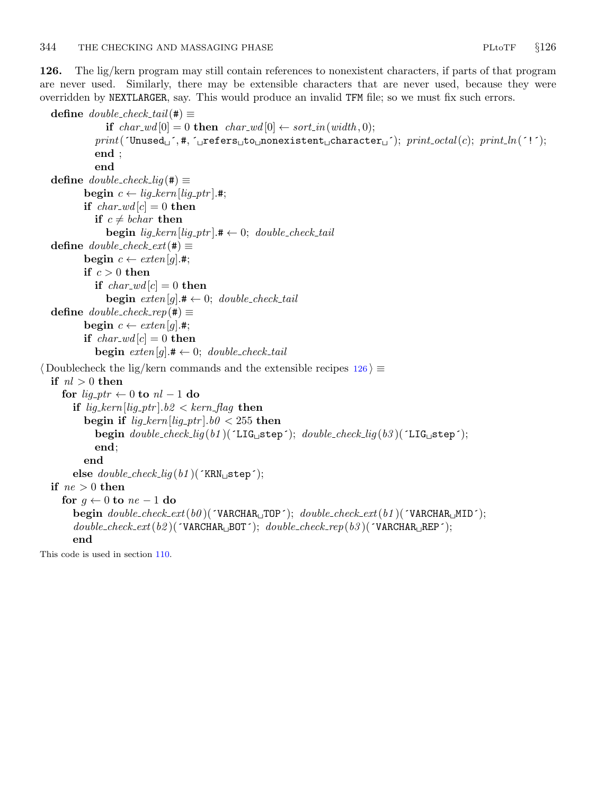<span id="page-43-0"></span>126. The lig/kern program may still contain references to nonexistent characters, if parts of that program are never used. Similarly, there may be extensible characters that are never used, because they were overridden by NEXTLARGER, say. This would produce an invalid TFM file; so we must fix such errors.

```
define double\_check\_tail(\#) \equivif char_wd[0] = 0 then char_wd[0] \leftarrow sort_in(width, 0);print(\texttt{`Unused\_{'},\#}, \texttt{'_\text{`}refers_\text{`_\text{`}to\_nonexistent_\text{`_\text{`}character_\text{`_`}}});\ print\_octal(c);\ print\_ln(\texttt{`!`);}end ;
              end
  define double\_check\_lig (#) \equivbegin c \leftarrow lig\_kern[lig\_ptr].#;
           if char_wd[c] = 0 then
              if c \neq \text{bchar} then
                 begin lig\_kern[lig\_ptr].# \leftarrow 0; double_check_tail
  define double\_check\_ext(\#) \equivbegin c \leftarrow \text{exten}[g].\#;if c > 0 then
              if char_wd[c] = 0 then
                 begin ext{er}[g].# \leftarrow 0; double\_check\_taildefine double\_check\_rep(\#) \equivbegin c \leftarrow \text{exten}[g].\#;if char_wd[c] = 0 then
              begin exten[g].#\leftarrow 0; double\_check\_tail\langle Doublecheck the lig/kern commands and the extensible recipes 126\rangle \equivif nl > 0 then
     for lig\_ptr \leftarrow 0 to nl - 1 do
        if lig\_{kern} lig\_{ptr} b2 < kern\_{flag} then
           begin if lig\_{kern}[lig_ptr].b0 < 255 then
              begin double\_check\_lig(b1) (´LIG<sub>I</sub>step´); double\_check\_lig(b3) (´LIG<sub>I</sub>step´);
              end;
           end
        else double\_check\_lig(b1)(\text{'KRN}_{\sqcup}step');if ne > 0 then
     for q \leftarrow 0 to ne - 1 do
        begin double_check_ext(b0)(\forallVARCHAR<sub>LI</sub>TOP\hat{\ }); double_check_ext(b1)(\forallVARCHAR<sub>LI</sub>MID\hat{\ });
        double\_check\_ext(b2)(´VARCHAR<sub>LB</sub>OT´); double\_check\_rep(b3)(´VARCHAR<sub>LB</sub>EP´);
        end
```
This code is used in section [110.](#page-38-0)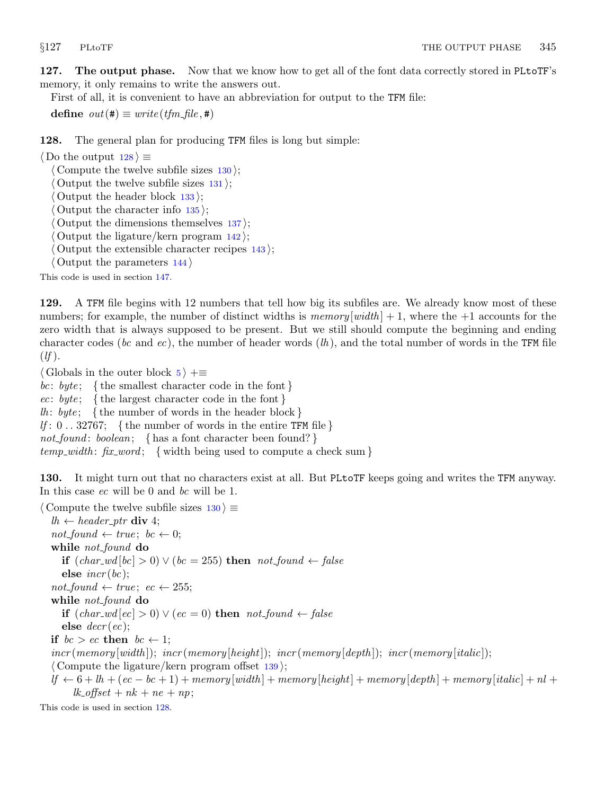<span id="page-44-0"></span>127. The output phase. Now that we know how to get all of the font data correctly stored in PLtoTF's memory, it only remains to write the answers out.

First of all, it is convenient to have an abbreviation for output to the TFM file:

define  $out(\texttt{\#}) \equiv write(tfm\text{-file},\texttt{\#})$ 

128. The general plan for producing TFM files is long but simple:

 $\langle$  Do the output 128  $\rangle \equiv$  $\langle$  Compute the twelve subfile sizes 130 $\rangle$ ; Output the twelve subfile sizes  $131$ ; Output the header block  $133$ ; Output the character info  $135$ ; Output the dimensions themselves  $137$ ;

Output the ligature/kern program  $142$ ;

Output the extensible character recipes  $143$ ;

 $\langle$  Output the parameters [144](#page-48-0) $\rangle$ 

This code is used in section [147.](#page-49-0)

129. A TFM file begins with 12 numbers that tell how big its subfiles are. We already know most of these numbers; for example, the number of distinct widths is memory  $[width] + 1$ , where the +1 accounts for the zero width that is always supposed to be present. But we still should compute the beginning and ending character codes (bc and ec), the number of header words  $(h)$ , and the total number of words in the TFM file  $(lf)$ .

 $\langle$  Globals in the outer block [5](#page-2-0)  $\rangle$  +=

bc: byte; {the smallest character code in the font}

ec: byte; {the largest character code in the font}

lh: byte; {the number of words in the header block}

If :  $0 \ldots 32767$ ; {the number of words in the entire TFM file }

not\_found: boolean; { has a font character been found? }

 $temp\_width:$   $fix\_word;$  {width being used to compute a check sum }

130. It might turn out that no characters exist at all. But PLtoTF keeps going and writes the TFM anyway. In this case ec will be 0 and bc will be 1.

 $\langle$  Compute the twelve subfile sizes  $130 \rangle \equiv$  $lh \leftarrow header\_ptr$  div 4;  $not\_found \leftarrow true; bc \leftarrow 0;$ while *not\_found* do if  $(char\_wd | bc] > 0) \vee (bc = 255)$  then  $not\_found \leftarrow false$ else  $\text{incr}(bc)$ ;  $not\_found \leftarrow true; \, ec \leftarrow 255;$ while *not\_found* do if  $(char\_wd[ec] > 0) \vee (ec = 0)$  then  $not\_found \leftarrow false$ else  $decr$ (ec); if  $bc > ec$  then  $bc \leftarrow 1$ ;  $incr(memory[width]);$  incr(memory [height]); incr(memory [depth]); incr(memory [italic]);  $\langle$  Compute the ligature/kern program offset [139](#page-47-0) $\rangle$ ;  $\mathit{lf} \gets 6 + \mathit{lh} + (\mathit{ec} - \mathit{bc} + 1) + \mathit{memory}$   $|\mathit{width}| + \mathit{memory}$   $|\mathit{height}| + \mathit{memory}$   $|\mathit{depth}| + \mathit{memory}$   $|\mathit{italic}| + \mathit{nl} + \mathit{mem}$  $lk_{\alpha} \text{tf}set + nk + ne + np;$ 

This code is used in section 128.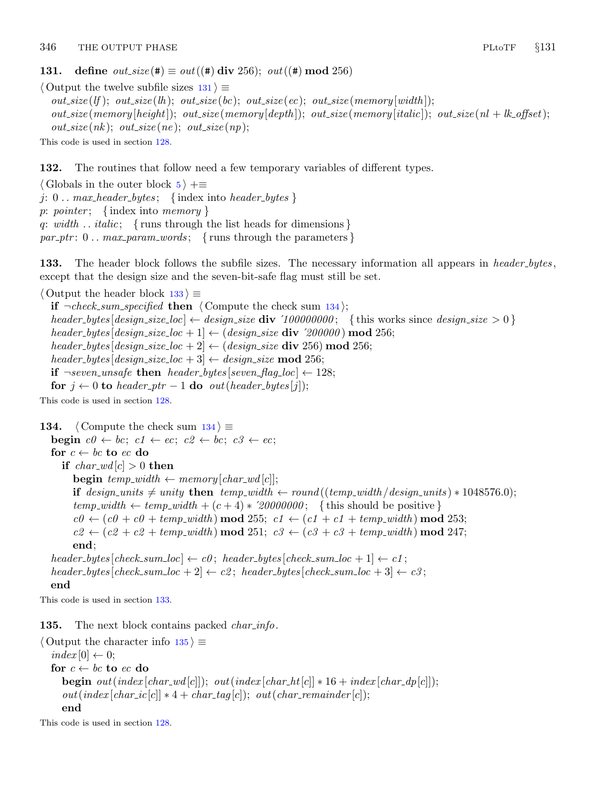<span id="page-45-0"></span>131. define  $out\_size(\texttt{\#}) \equiv out((\texttt{\#}) \text{ div } 256); out((\texttt{\#}) \text{ mod } 256)$ 

 $\langle$  Output the twelve subfile sizes 131 $\rangle \equiv$  $out\_size(lf); \text{ out\_size}(lh); \text{ out\_size}(bc); \text{ out\_size}(ec); \text{ out\_size}(memory[width]);$  $out\_size$  (memory [height]);  $out\_size$  (memory [depth]);  $out\_size$  (memory [italic]);  $out\_size$  (nl + lk\_offset);  $out\_size(nk); out\_size(ne); out\_size(np);$ 

This code is used in section [128.](#page-44-0)

132. The routines that follow need a few temporary variables of different types.

 $\langle$  Globals in the outer block [5](#page-2-0)  $\rangle$  + $\equiv$ j: 0 . . max\_header\_bytes; {index into header\_bytes} p: pointer; {index into memory} q: width ... *italic*; { runs through the list heads for dimensions}  $par\_ptr: 0...max\_param\_words; \{ runs through the parameters \}$ 

133. The header block follows the subfile sizes. The necessary information all appears in header-bytes, except that the design size and the seven-bit-safe flag must still be set.

 $\langle$  Output the header block 133  $\rangle \equiv$ 

if  $\neg check\_sum\_specified$  then  $\langle$  Compute the check sum 134 $\rangle$ ; header bytes  $\text{design_size\_loc} \leftarrow \text{design_size}$  div  $100000000$ ; {this works since design size > 0} header\_bytes [design\_size\_loc + 1]  $\leftarrow$  (design\_size div '200000) mod 256; header\_bytes [design\_size\_loc + 2]  $\leftarrow$  (design\_size div 256) mod 256; header\_bytes [design\_size\_loc + 3]  $\leftarrow$  design\_size **mod** 256; if  $\neg seven\_unsafe$  then header\_bytes [seven\_flag\_loc]  $\leftarrow$  128; for  $j \leftarrow 0$  to header\_ptr – 1 do out(header\_bytes[j]);

This code is used in section [128.](#page-44-0)

134. (Compute the check sum  $134$ )  $\equiv$ 

**begin**  $c\theta \leftarrow bc$ ;  $c1 \leftarrow ec$ ;  $c2 \leftarrow bc$ ;  $c3 \leftarrow ec$ ; for  $c \leftarrow bc$  to ec do if  $char_wd[c] > 0$  then **begin**  $temp\_width \leftarrow memory[char\_wd[c]$ ; if design\_units  $\neq$  unity then temp\_width  $\leftarrow$  round ((temp\_width /design\_units)  $*$  1048576.0); temp\_width  $\leftarrow temp\_width + (c + 4) * 20000000;$  {this should be positive}  $c0 \leftarrow (c0 + c0 + temp\_width) \mod 255$ ;  $c1 \leftarrow (c1 + c1 + temp\_width) \mod 253$ ;  $c2 \leftarrow (c2 + c2 + temp\_width) \mod 251; c3 \leftarrow (c3 + c3 + temp\_width) \mod 247;$ end; header\_bytes  $[check\_sum\_loc] \leftarrow c0$ ; header\_bytes  $[check\_sum\_loc + 1] \leftarrow c1$ ; header\_bytes  $[check\_sum\_loc + 2] \leftarrow c2$ ; header\_bytes  $[check\_sum\_loc + 3] \leftarrow c3$ ;

$$
\quad \text{end} \quad
$$

This code is used in section 133.

135. The next block contains packed *char\_info*.

```
\langle Output the character info 135 \rangle \equivindex [0] \leftarrow 0;for c \leftarrow bc to ec do
     begin out(index[char_wd[c]]); out(index[char_-ht[c]] * 16 + index[char_-dp[c]]);out(index[char\_ic[c]] * 4 + char\_tag[c]); out(char\_remainder[c]);
     end
```
This code is used in section [128.](#page-44-0)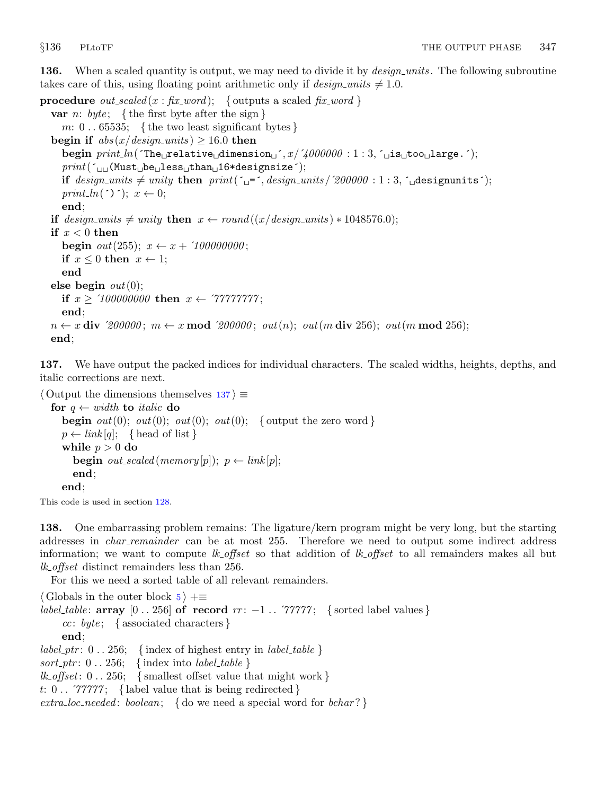<span id="page-46-0"></span>136. When a scaled quantity is output, we may need to divide it by *design\_units*. The following subroutine takes care of this, using floating point arithmetic only if  $design\_units \neq 1.0$ .

**procedure** out\_scaled(x : fix\_word); { outputs a scaled fix\_word } var *n*: *byte*; { the first byte after the sign } m:  $0 \ldots 65535$ ; {the two least significant bytes} begin if  $abs(x/design\_units) \ge 16.0$  then begin  $print\_ln($  The relative dimension  $, x/$  4000000 : 1 : 3,  $\sim$  is too large.  $\sim$ );  $print(\text{``} \text{``} \cup \text{('} \text{Must} \text{''} \text{be} \text{''} \text{less} \text{``} \text{than} \text{``} \text{16*} \text{designsize''});$ if design units  $\neq$  unity then print( $\zeta = \zeta$ , design units /200000 : 1 : 3,  $\zeta$  designunits'); print  $ln($ ')';  $x \leftarrow 0;$ end; if design\_units  $\neq$  unity then  $x \leftarrow round((x/design\_units) * 1048576.0);$ if  $x < 0$  then begin  $out(255); x \leftarrow x + 100000000;$ if  $x \leq 0$  then  $x \leftarrow 1$ ; end else begin  $out(0)$ ; if  $x \geq 1000000000$  then  $x \leftarrow 777777777$ ; end;  $n \leftarrow x$  div '200000;  $m \leftarrow x \mod 200000$ ; out(n); out(m div 256); out(m mod 256); end;

137. We have output the packed indices for individual characters. The scaled widths, heights, depths, and italic corrections are next.

```
\langle Output the dimensions themselves 137\rangle \equivfor q \leftarrow width to italic do
     begin out(0); out(0); out(0); out(0); { output the zero word }
     p \leftarrow link[q]; \{ head of list \}while p > 0 do
       begin out_scaled (memory [p]); p \leftarrow link[p];
       end;
     end;
```
This code is used in section [128.](#page-44-0)

138. One embarrassing problem remains: The ligature/kern program might be very long, but the starting addresses in *char\_remainder* can be at most 255. Therefore we need to output some indirect address information; we want to compute *lk* offset so that addition of *lk* offset to all remainders makes all but lk offset distinct remainders less than 256.

For this we need a sorted table of all relevant remainders.

 $\langle$  Globals in the outer block [5](#page-2-0)  $\rangle$  +≡ *label\_table*: array  $[0 \tcdot 256]$  of record  $rr: -1 \tcdot \tcdot \tcdot 77777$ ; {sorted label values} cc: byte; { associated characters } end;  $label\_ptr:0...256; \{index of highest entry in label\_table\}$ sort\_ptr:  $0 \ldots 256$ ; {index into label\_table }  $lk_{\text{off}} set: 0 \ldots 256; \{ smallest \text{ offset value that might work }\}$ t:  $0 \ldots 77777$ ; { label value that is being redirected }  $extra\_loc\_needed: boolean; \{ do we need a special word for *behavior*? \}$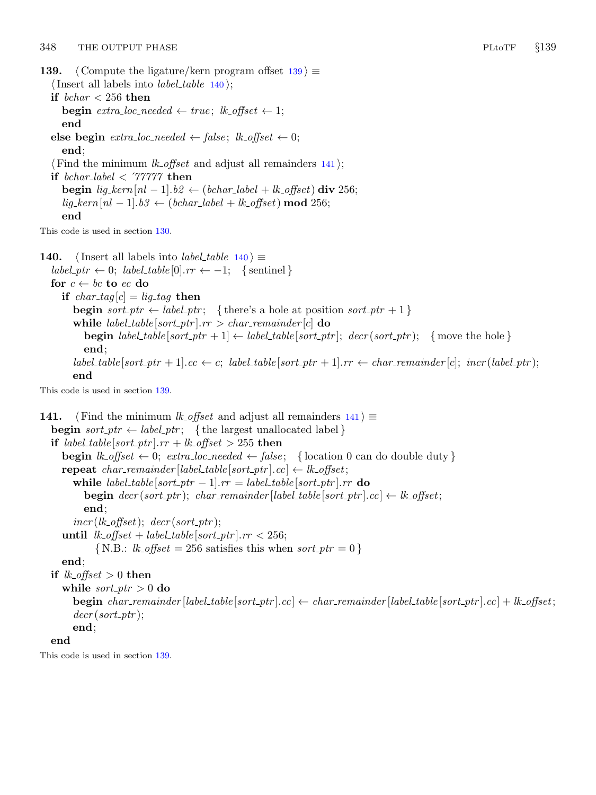<span id="page-47-0"></span>139. (Compute the ligature/kern program offset  $139$ )  $\equiv$  $\langle$  Insert all labels into *label\_table* 140 $\rangle$ ;

if  $\mathit{bchar} < 256$  then **begin** extra loc needed  $\leftarrow$  true; lk offset  $\leftarrow$  1; end else begin  $extra\_loc\_needed \leftarrow false; \; \textit{lk\_offset} \leftarrow 0;$ end; (Find the minimum *lk\_offset* and adjust all remainders  $141$ ); if bchar\_label  $\langle$  '77777' then **begin** lig\_kern[nl − 1].b2 ← (bchar\_label + lk\_offset) div 256; lig\_kern[nl − 1].b3 ← (bchar\_label + lk\_offset) mod 256; end

This code is used in section [130.](#page-44-0)

**140.**  $\langle$  Insert all labels into *label\_table* 140  $\rangle \equiv$  $label\_ptr \leftarrow 0; \ label\_table[0].rr \leftarrow -1; \ \{sentinel\}$ for  $c \leftarrow bc$  to ec do if  $char\_tag$  [c] = lig\_tag then **begin** sort\_ptr  $\leftarrow$  label\_ptr; {there's a hole at position sort\_ptr + 1} while  $label_table[sort_ptr] .rr > char_remainder[c]$  do **begin** label\_table  $[sort\_ptr + 1] \leftarrow label\_table[sort\_ptr];$  decr(sort\_ptr); { move the hole } end;  $label\_table[sort\_ptr + 1].cc \leftarrow c; label\_table[sort\_ptr + 1].rr \leftarrow char\_remainder[c]; inc([label\_ptr];c[sort\_ptr + 1].cc \leftarrow c; label\_table[sort\_ptr + 1].rr \leftarrow char\_remainder[c]; inc([label\_ptr];c[sort\_ptr + 1].cc \leftarrow c; label\_table[sort\_ptr + 1].cr \leftarrow c; len\_term\_index[c]$ end

This code is used in section 139.

**141.**  $\langle$  Find the minimum *lk offset* and adjust all remainders 141  $\rangle \equiv$ **begin** sort\_ptr  $\leftarrow$  label\_ptr; { the largest unallocated label} if label\_table [sort\_ptr].rr + lk\_offset > 255 then **begin**  $lk \text{-} offset \leftarrow 0$ ;  $extra \text{-} loc \text{-} needed \leftarrow false$ ; { location 0 can do double duty } repeat char\_remainder [label\_table [sort\_ptr].cc]  $\leftarrow$  lk\_offset; while  $label_table[sort_pr-1].rr = label_table[sort_pr.rr]$ **begin**  $decr(sort\_ptr)$ ; char\_remainder [label\_table [sort\_ptr].cc]  $\leftarrow$  lk\_offset; end;  $incr(lk\_offset);$   $decr(sort\_ptr);$ until  $lk_{\textit{-}}offset + label_{\textit{-}}table$  [sort\_ptr].rr < 256; {N.B.:  $lk\_offset = 256$  satisfies this when  $sort\_ptr = 0$ } end; if  $lk_{\text{off}} set > 0$  then while  $sort\_ptr > 0$  do **begin** char remainder  $[label\_tabl -}$  [label\_table [sort\_ptr].cc]  $\leftarrow$  char remainder  $[label\_table]$  [sort\_ptr].cc] + lk\_offset;  $decr (sort\_ptr);$ end; end

This code is used in section 139.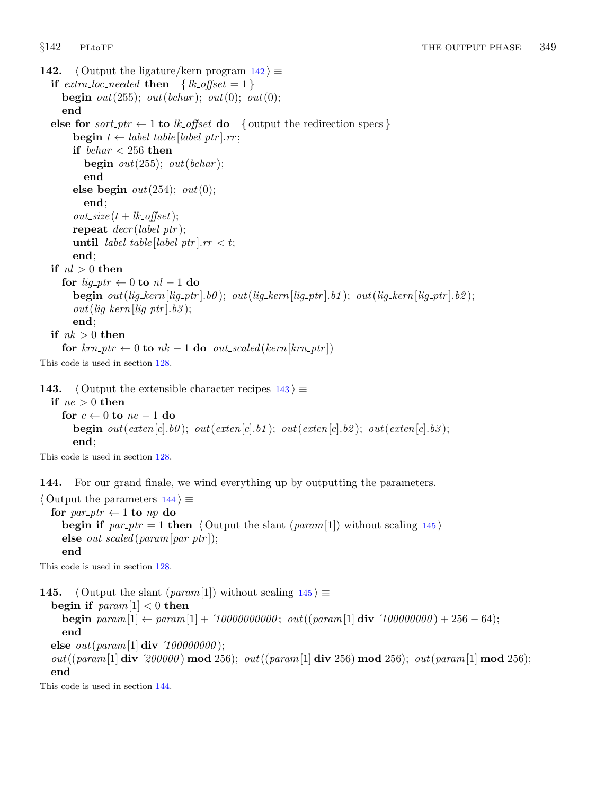```
142. \langle Output the ligature/kern program 142\rangle \equivif extra\_loc\_needed then \{lk\_offset = 1\}begin out(255); out(bchar); out(0); out(0);
    end
  else for sort\_ptr \leftarrow 1 to lk\_offset do { output the redirection specs }
       begin t \leftarrow label\_table[label\_ptr].rr;if \mathit{bchar} < 256 then
          begin out(255); out(bchar);
         end
       else begin out(254); out(0);end;
       out\_size(t + lk\_offset);repeat decr (label\_ptr);until label\_table[label\_ptr] .rr < t;end;
  if nl > 0 then
    for lig\_ptr \leftarrow 0 to nl - 1 do
       begin out(lig_kern[lig_ptr].b0); out(lig_kern[lig_ptr].b1); out(lig_kern[lig_ptr].b2);
       out(lig\_kern[lig\_ptr].b3);end;
  if nk > 0 then
    for km\_ptr \leftarrow 0 to nk - 1 do out\_scaled(kern[krn\_ptr])This code is used in section 128.
143. \langle Output the extensible character recipes 143 \rangle \equivif ne > 0 then
```

```
for c \leftarrow 0 to ne - 1 do
  begin out(ext{ent}[c].b0); out(ext{ent}[c].b1); out(ext{ent}[c].b2); out(ext{ent}[c].b3);
  end;
```
This code is used in section [128.](#page-44-0)

144. For our grand finale, we wind everything up by outputting the parameters.

```
\langle Output the parameters 144\rangle \equivfor par\_ptr \leftarrow 1 to np do
     begin if par\_ptr = 1 then \langle Output the slant (param[1]) without scaling 145 \rangleelse out\_scaled (param [par_ptr]);
     end
```
This code is used in section [128.](#page-44-0)

**145.**  $\langle$  Output the slant (param[1]) without scaling 145  $\rangle \equiv$ begin if  $param[1] < 0$  then **begin**  $param[1] \leftarrow param[1] + '10000000000$ ;  $out((param[1] div '100000000) + 256 - 64);$ end else  $out(param[1] \textbf{div } '100000000)$ ; out((param[1] div '200000) mod 256); out((param[1] div 256) mod 256); out(param[1] mod 256); end

This code is used in section 144.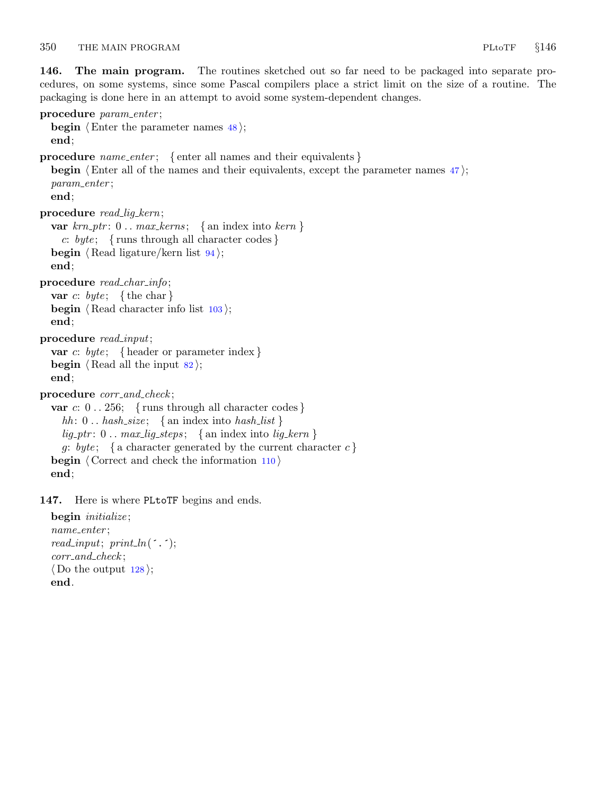<span id="page-49-0"></span>146. The main program. The routines sketched out so far need to be packaged into separate procedures, on some systems, since some Pascal compilers place a strict limit on the size of a routine. The packaging is done here in an attempt to avoid some system-dependent changes.

```
procedure param_enter;
 begin \langle Enter the parameter names 48;
 end;
procedure name_enter; { enter all names and their equivalents }
 begin \langle47\rangle;
 param_enter;
 end;
procedure read_lig_kern;
 var km\_ptr: 0... max\_terms; { an index into kern}
   c: byte; { runs through all character codes }
 begin \langle Read ligature/kern list 94;
 end;
procedure read_char_info;
 var c: byte; {the char}
 begin \langle103\rangle;
 end;
procedure read_input;
 var c: byte; { header or parameter index }
 begin \langle82\rangle;
 end;
procedure corr_and_check;
 var c: 0 \ldots 256; { runs through all character codes }
   hh: 0.. hash_size; { an index into hash_list}
   lig\_ptr: 0...max\_lig\_steps; \{ \text{an index into } lig\_kern \}g: byte; { a character generated by the current character c}
 begin \langle110 \rangleend;
147. Here is where PLtoTF begins and ends.
```
begin *initialize*; name enter ; read\_input;  $print\_ln($ ...); corr and check ;  $\langle$  Do the output [128](#page-44-0) $\rangle$ ; end.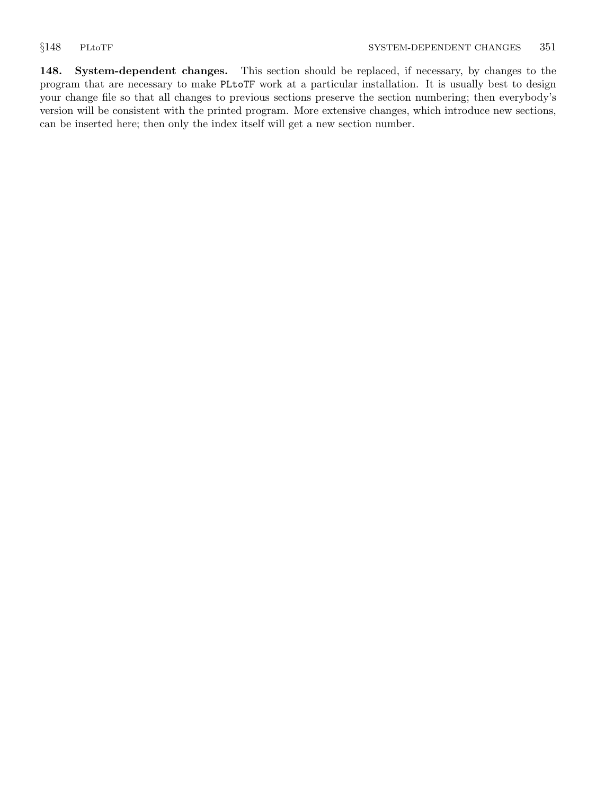<span id="page-50-0"></span>148. System-dependent changes. This section should be replaced, if necessary, by changes to the program that are necessary to make PLtoTF work at a particular installation. It is usually best to design your change file so that all changes to previous sections preserve the section numbering; then everybody's version will be consistent with the printed program. More extensive changes, which introduce new sections, can be inserted here; then only the index itself will get a new section number.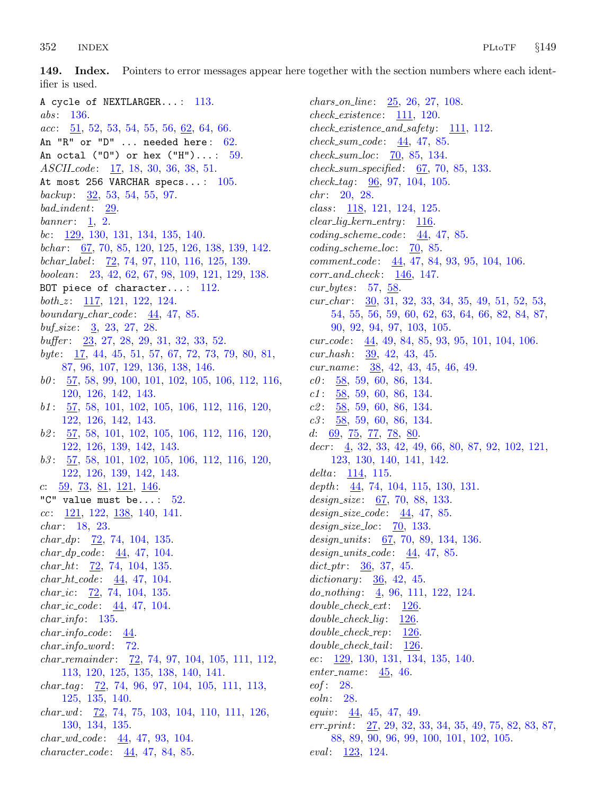<span id="page-51-0"></span>149. Index. Pointers to error messages appear here together with the section numbers where each identifier is used.

A cycle of NEXTLARGER...: [113](#page-39-0). abs: [136.](#page-46-0)  $acc: \underline{51}, 52, 53, 54, 55, 56, \underline{62}, 64, 66.$  $acc: \underline{51}, 52, 53, 54, 55, 56, \underline{62}, 64, 66.$  $acc: \underline{51}, 52, 53, 54, 55, 56, \underline{62}, 64, 66.$  $acc: \underline{51}, 52, 53, 54, 55, 56, \underline{62}, 64, 66.$  $acc: \underline{51}, 52, 53, 54, 55, 56, \underline{62}, 64, 66.$  $acc: \underline{51}, 52, 53, 54, 55, 56, \underline{62}, 64, 66.$  $acc: \underline{51}, 52, 53, 54, 55, 56, \underline{62}, 64, 66.$  $acc: \underline{51}, 52, 53, 54, 55, 56, \underline{62}, 64, 66.$  $acc: \underline{51}, 52, 53, 54, 55, 56, \underline{62}, 64, 66.$  $acc: \underline{51}, 52, 53, 54, 55, 56, \underline{62}, 64, 66.$  $acc: \underline{51}, 52, 53, 54, 55, 56, \underline{62}, 64, 66.$  $acc: \underline{51}, 52, 53, 54, 55, 56, \underline{62}, 64, 66.$  $acc: \underline{51}, 52, 53, 54, 55, 56, \underline{62}, 64, 66.$  $acc: \underline{51}, 52, 53, 54, 55, 56, \underline{62}, 64, 66.$  $acc: \underline{51}, 52, 53, 54, 55, 56, \underline{62}, 64, 66.$ An "R" or "D"  $\ldots$  needed here: [62](#page-23-0). An octal ("0") or hex  $("H")$ ...: [59.](#page-22-0) ASCII<sub>-code</sub>: [17,](#page-8-0) [18,](#page-8-0) [30,](#page-12-0) [36](#page-14-0), [38](#page-14-0), [51](#page-20-0). At most 256 VARCHAR specs...:  $105$ . backup: [32,](#page-12-0) [53,](#page-20-0) [54](#page-21-0), [55,](#page-21-0) [97.](#page-34-0) bad indent: [29](#page-11-0). banner:  $1, 2$  $1, 2$ . *bc*:  $\frac{129}{130}$  $\frac{129}{130}$  $\frac{129}{130}$  $\frac{129}{130}$  $\frac{129}{130}$ , [131](#page-45-0), [134](#page-45-0), [135](#page-45-0), [140](#page-47-0). bchar:  $\frac{67}{67}$  $\frac{67}{67}$  $\frac{67}{67}$ , [70,](#page-25-0) [85,](#page-31-0) [120](#page-40-0), [125](#page-42-0), [126](#page-43-0), [138,](#page-46-0) [139,](#page-47-0) [142](#page-48-0). bchar label : [72,](#page-26-0) [74](#page-26-0), [97,](#page-34-0) [110](#page-38-0), [116,](#page-39-0) [125](#page-42-0), [139.](#page-47-0) boolean: [23](#page-9-0), [42](#page-15-0), [62,](#page-23-0) [67,](#page-25-0) [98](#page-34-0), [109](#page-38-0), [121,](#page-41-0) [129,](#page-44-0) [138](#page-46-0). BOT piece of character...: [112.](#page-39-0)  $both\_z: \quad \underline{117}, \ 121, \ 122, \ 124.$  $both\_z: \quad \underline{117}, \ 121, \ 122, \ 124.$  $both\_z: \quad \underline{117}, \ 121, \ 122, \ 124.$  $both\_z: \quad \underline{117}, \ 121, \ 122, \ 124.$  $both\_z: \quad \underline{117}, \ 121, \ 122, \ 124.$  $both\_z: \quad \underline{117}, \ 121, \ 122, \ 124.$ boundary\_char\_code:  $\underline{44}$ , [47](#page-18-0), [85](#page-31-0).  $\textit{buf}\_size: \quad \underline{3},\ 23,\ 27,\ 28.$  $\textit{buf}\_size: \quad \underline{3},\ 23,\ 27,\ 28.$  $\textit{buf}\_size: \quad \underline{3},\ 23,\ 27,\ 28.$  $\textit{buf}\_size: \quad \underline{3},\ 23,\ 27,\ 28.$  $\textit{buf}\_size: \quad \underline{3},\ 23,\ 27,\ 28.$  $\textit{buf}\_size: \quad \underline{3},\ 23,\ 27,\ 28.$  $\textit{buf}\_size: \quad \underline{3},\ 23,\ 27,\ 28.$  $\textit{buf}\_size: \quad \underline{3},\ 23,\ 27,\ 28.$  $\textit{buf}\_size: \quad \underline{3},\ 23,\ 27,\ 28.$ buffer:  $\frac{23}{27}$  $\frac{23}{27}$  $\frac{23}{27}$ , [28,](#page-10-0) [29](#page-11-0), [31](#page-12-0), [32,](#page-12-0) [33,](#page-13-0) [52](#page-20-0). byte:  $\frac{17}{44}$  $\frac{17}{44}$  $\frac{17}{44}$  $\frac{17}{44}$  $\frac{17}{44}$ , 44, [45](#page-16-0), [51](#page-20-0), [57](#page-21-0), [67,](#page-25-0) [72,](#page-26-0) [73,](#page-26-0) [79,](#page-28-0) [80,](#page-29-0) [81,](#page-30-0) [87,](#page-31-0) [96,](#page-34-0) [107,](#page-37-0) [129,](#page-44-0) [136](#page-46-0), [138](#page-46-0), [146](#page-49-0).  $b0: \frac{57}{56}, 58, 99, 100, 101, 102, 105, 106, 112, 116,$  $b0: \frac{57}{56}, 58, 99, 100, 101, 102, 105, 106, 112, 116,$  $b0: \frac{57}{56}, 58, 99, 100, 101, 102, 105, 106, 112, 116,$  $b0: \frac{57}{56}, 58, 99, 100, 101, 102, 105, 106, 112, 116,$  $b0: \frac{57}{56}, 58, 99, 100, 101, 102, 105, 106, 112, 116,$  $b0: \frac{57}{56}, 58, 99, 100, 101, 102, 105, 106, 112, 116,$  $b0: \frac{57}{56}, 58, 99, 100, 101, 102, 105, 106, 112, 116,$  $b0: \frac{57}{56}, 58, 99, 100, 101, 102, 105, 106, 112, 116,$  $b0: \frac{57}{56}, 58, 99, 100, 101, 102, 105, 106, 112, 116,$  $b0: \frac{57}{56}, 58, 99, 100, 101, 102, 105, 106, 112, 116,$  $b0: \frac{57}{56}, 58, 99, 100, 101, 102, 105, 106, 112, 116,$  $b0: \frac{57}{56}, 58, 99, 100, 101, 102, 105, 106, 112, 116,$  $b0: \frac{57}{56}, 58, 99, 100, 101, 102, 105, 106, 112, 116,$  $b0: \frac{57}{56}, 58, 99, 100, 101, 102, 105, 106, 112, 116,$  $b0: \frac{57}{56}, 58, 99, 100, 101, 102, 105, 106, 112, 116,$  $b0: \frac{57}{56}, 58, 99, 100, 101, 102, 105, 106, 112, 116,$  $b0: \frac{57}{56}, 58, 99, 100, 101, 102, 105, 106, 112, 116,$  $b0: \frac{57}{56}, 58, 99, 100, 101, 102, 105, 106, 112, 116,$  $b0: \frac{57}{56}, 58, 99, 100, 101, 102, 105, 106, 112, 116,$  $b0: \frac{57}{56}, 58, 99, 100, 101, 102, 105, 106, 112, 116,$ [120,](#page-40-0) [126](#page-43-0), [142](#page-48-0), [143.](#page-48-0)  $b1: \frac{57}{56}, 58, 101, 102, 105, 106, 112, 116, 120,$  $b1: \frac{57}{56}, 58, 101, 102, 105, 106, 112, 116, 120,$  $b1: \frac{57}{56}, 58, 101, 102, 105, 106, 112, 116, 120,$  $b1: \frac{57}{56}, 58, 101, 102, 105, 106, 112, 116, 120,$  $b1: \frac{57}{56}, 58, 101, 102, 105, 106, 112, 116, 120,$  $b1: \frac{57}{56}, 58, 101, 102, 105, 106, 112, 116, 120,$  $b1: \frac{57}{56}, 58, 101, 102, 105, 106, 112, 116, 120,$  $b1: \frac{57}{56}, 58, 101, 102, 105, 106, 112, 116, 120,$  $b1: \frac{57}{56}, 58, 101, 102, 105, 106, 112, 116, 120,$  $b1: \frac{57}{56}, 58, 101, 102, 105, 106, 112, 116, 120,$  $b1: \frac{57}{56}, 58, 101, 102, 105, 106, 112, 116, 120,$  $b1: \frac{57}{56}, 58, 101, 102, 105, 106, 112, 116, 120,$  $b1: \frac{57}{56}, 58, 101, 102, 105, 106, 112, 116, 120,$  $b1: \frac{57}{56}, 58, 101, 102, 105, 106, 112, 116, 120,$  $b1: \frac{57}{56}, 58, 101, 102, 105, 106, 112, 116, 120,$  $b1: \frac{57}{56}, 58, 101, 102, 105, 106, 112, 116, 120,$  $b1: \frac{57}{56}, 58, 101, 102, 105, 106, 112, 116, 120,$  $b1: \frac{57}{56}, 58, 101, 102, 105, 106, 112, 116, 120,$  $b1: \frac{57}{56}, 58, 101, 102, 105, 106, 112, 116, 120,$ [122,](#page-41-0) [126](#page-43-0), [142](#page-48-0), [143.](#page-48-0) b2 : [57](#page-21-0), [58](#page-22-0), [101,](#page-35-0) [102,](#page-35-0) [105](#page-36-0), [106](#page-36-0), [112,](#page-39-0) [116,](#page-39-0) [120](#page-40-0), [122,](#page-41-0) [126](#page-43-0), [139](#page-47-0), [142,](#page-48-0) [143](#page-48-0). b3 : [57](#page-21-0), [58](#page-22-0), [101,](#page-35-0) [102,](#page-35-0) [105](#page-36-0), [106](#page-36-0), [112,](#page-39-0) [116,](#page-39-0) [120](#page-40-0), [122,](#page-41-0) [126](#page-43-0), [139](#page-47-0), [142,](#page-48-0) [143](#page-48-0). c:  $\frac{59}{73}$  $\frac{59}{73}$  $\frac{59}{73}$ ,  $\frac{81}{121}$  $\frac{81}{121}$  $\frac{81}{121}$ ,  $\frac{146}{146}$  $\frac{146}{146}$  $\frac{146}{146}$ . "C" value must be...:  $52$ .  $cc: \quad \underline{121}, \ 122, \ \underline{138}, \ 140, \ 141.$  $cc: \quad \underline{121}, \ 122, \ \underline{138}, \ 140, \ 141.$  $cc: \quad \underline{121}, \ 122, \ \underline{138}, \ 140, \ 141.$  $cc: \quad \underline{121}, \ 122, \ \underline{138}, \ 140, \ 141.$  $cc: \quad \underline{121}, \ 122, \ \underline{138}, \ 140, \ 141.$  $cc: \quad \underline{121}, \ 122, \ \underline{138}, \ 140, \ 141.$  $cc: \quad \underline{121}, \ 122, \ \underline{138}, \ 140, \ 141.$  $cc: \quad \underline{121}, \ 122, \ \underline{138}, \ 140, \ 141.$  $cc: \quad \underline{121}, \ 122, \ \underline{138}, \ 140, \ 141.$  $char: 18, 23.$  $char: 18, 23.$  $char: 18, 23.$  $char: 18, 23.$  $char: 18, 23.$  $char\_dp:$   $\frac{72}{74}$  $\frac{72}{74}$  $\frac{72}{74}$ ,  $\frac{74}{104}$  $\frac{74}{104}$  $\frac{74}{104}$ , [135.](#page-45-0)  $char_d p\_code: 44, 47, 104.$  $char_d p\_code: 44, 47, 104.$  $char_d p\_code: 44, 47, 104.$  $char_d p\_code: 44, 47, 104.$  $char_d p\_code: 44, 47, 104.$  $char_d p\_code: 44, 47, 104.$  $char_-ht: 72, 74, 104, 135.$  $char_-ht: 72, 74, 104, 135.$  $char_-ht: 72, 74, 104, 135.$  $char_-ht: 72, 74, 104, 135.$  $char_-ht: 72, 74, 104, 135.$  $char_-ht: 72, 74, 104, 135.$  $char_-ht: 72, 74, 104, 135.$  $char_-ht: 72, 74, 104, 135.$  $char_-ht: 72, 74, 104, 135.$  $char\_ht\_code: 44, 47, 104.$  $char\_ht\_code: 44, 47, 104.$  $char\_ht\_code: 44, 47, 104.$  $char\_ht\_code: 44, 47, 104.$  $char\_ht\_code: 44, 47, 104.$  $char\_ht\_code: 44, 47, 104.$  $char\_ic:$   $\frac{72}{74}$  $\frac{72}{74}$  $\frac{72}{74}$  $\frac{72}{74}$  $\frac{72}{74}$ ,  $74$ ,  $104$ ,  $135$ .  $char\_ic\_code: 44, 47, 104.$  $char\_ic\_code: 44, 47, 104.$  $char\_ic\_code: 44, 47, 104.$  $char\_ic\_code: 44, 47, 104.$  $char\_ic\_code: 44, 47, 104.$  $char\_ic\_code: 44, 47, 104.$  $char\_ic\_code: 44, 47, 104.$ char info: [135](#page-45-0).  $char\_info\_code: 44.$  $char\_info\_code: 44.$  $char\_info\_code: 44.$  $char\_info\_word: 72.$  $char\_info\_word: 72.$  $char$ <sub>remainder:  $\frac{72}{14}$ , [74,](#page-26-0) [97,](#page-34-0) [104](#page-36-0), [105](#page-36-0), [111](#page-38-0), [112,](#page-39-0)</sub> [113,](#page-39-0) [120,](#page-40-0) [125](#page-42-0), [135](#page-45-0), [138,](#page-46-0) [140,](#page-47-0) [141](#page-47-0).  $char\_tag$ :  $\frac{72}{72}$ , [74](#page-26-0), [96,](#page-34-0) [97](#page-34-0), [104](#page-36-0), [105,](#page-36-0) [111](#page-38-0), [113,](#page-39-0) [125,](#page-42-0) [135,](#page-45-0) [140.](#page-47-0)  $char_wd: 72, 74, 75, 103, 104, 110, 111, 126,$  $char_wd: 72, 74, 75, 103, 104, 110, 111, 126,$  $char_wd: 72, 74, 75, 103, 104, 110, 111, 126,$  $char_wd: 72, 74, 75, 103, 104, 110, 111, 126,$  $char_wd: 72, 74, 75, 103, 104, 110, 111, 126,$  $char_wd: 72, 74, 75, 103, 104, 110, 111, 126,$  $char_wd: 72, 74, 75, 103, 104, 110, 111, 126,$  $char_wd: 72, 74, 75, 103, 104, 110, 111, 126,$  $char_wd: 72, 74, 75, 103, 104, 110, 111, 126,$  $char_wd: 72, 74, 75, 103, 104, 110, 111, 126,$  $char_wd: 72, 74, 75, 103, 104, 110, 111, 126,$  $char_wd: 72, 74, 75, 103, 104, 110, 111, 126,$  $char_wd: 72, 74, 75, 103, 104, 110, 111, 126,$  $char_wd: 72, 74, 75, 103, 104, 110, 111, 126,$  $char_wd: 72, 74, 75, 103, 104, 110, 111, 126,$  $char_wd: 72, 74, 75, 103, 104, 110, 111, 126,$  $char_wd: 72, 74, 75, 103, 104, 110, 111, 126,$ [130,](#page-44-0) [134,](#page-45-0) [135.](#page-45-0)  $char_wd\_code: \underline{44}, 47, 93, 104.$  $char_wd\_code: \underline{44}, 47, 93, 104.$  $char_wd\_code: \underline{44}, 47, 93, 104.$  $char_wd\_code: \underline{44}, 47, 93, 104.$  $char_wd\_code: \underline{44}, 47, 93, 104.$  $char_wd\_code: \underline{44}, 47, 93, 104.$  $char_wd\_code: \underline{44}, 47, 93, 104.$  $char_wd\_code: \underline{44}, 47, 93, 104.$  $character\_code: \underline{44}, 47, 84, 85.$  $character\_code: \underline{44}, 47, 84, 85.$  $character\_code: \underline{44}, 47, 84, 85.$  $character\_code: \underline{44}, 47, 84, 85.$  $character\_code: \underline{44}, 47, 84, 85.$  $character\_code: \underline{44}, 47, 84, 85.$  $character\_code: \underline{44}, 47, 84, 85.$  $character\_code: \underline{44}, 47, 84, 85.$ 

 $chars\_on\_line: 25, 26, 27, 108.$  $chars\_on\_line: 25, 26, 27, 108.$  $chars\_on\_line: 25, 26, 27, 108.$  $chars\_on\_line: 25, 26, 27, 108.$  $chars\_on\_line: 25, 26, 27, 108.$  $chars\_on\_line: 25, 26, 27, 108.$  $chars\_on\_line: 25, 26, 27, 108.$  $chars\_on\_line: 25, 26, 27, 108.$  $chars\_on\_line: 25, 26, 27, 108.$  $check\_existence: 111, 120.$  $check\_existence: 111, 120.$  $check\_existence: 111, 120.$  $check\_existence: 111, 120.$  $check\_existence: 111, 120.$ check existence and safety : [111](#page-38-0), [112.](#page-39-0)  $check\_sum\_code$ : [44](#page-16-0), [47](#page-18-0), [85.](#page-31-0) check sum loc: [70](#page-25-0), [85,](#page-31-0) [134.](#page-45-0)  $check\_sum\_specified$ : [67](#page-25-0), [70,](#page-25-0) [85,](#page-31-0) [133.](#page-45-0)  $check\_tag$ : [96,](#page-34-0) [97,](#page-34-0) [104](#page-36-0), [105](#page-36-0).  $chr: 20, 28.$  $chr: 20, 28.$  $chr: 20, 28.$  $chr: 20, 28.$  $chr: 20, 28.$ class: [118](#page-40-0), [121,](#page-41-0) [124](#page-42-0), [125.](#page-42-0)  $clear\_lig\_kern\_entry:$  [116](#page-39-0).  $coding\_scheme\_code: 44, 47, 85.$  $coding\_scheme\_code: 44, 47, 85.$  $coding\_scheme\_code: 44, 47, 85.$  $coding\_scheme\_code: 44, 47, 85.$  $coding\_scheme\_code: 44, 47, 85.$  $coding\_scheme\_code: 44, 47, 85.$  $coding\_scheme\_loc: 70, 85.$  $coding\_scheme\_loc: 70, 85.$  $coding\_scheme\_loc: 70, 85.$  $coding\_scheme\_loc: 70, 85.$  $coding\_scheme\_loc: 70, 85.$  $comment\_code: \underline{44}, 47, 84, 93, 95, 104, 106.$  $comment\_code: \underline{44}, 47, 84, 93, 95, 104, 106.$  $comment\_code: \underline{44}, 47, 84, 93, 95, 104, 106.$  $comment\_code: \underline{44}, 47, 84, 93, 95, 104, 106.$  $comment\_code: \underline{44}, 47, 84, 93, 95, 104, 106.$  $comment\_code: \underline{44}, 47, 84, 93, 95, 104, 106.$  $comment\_code: \underline{44}, 47, 84, 93, 95, 104, 106.$  $comment\_code: \underline{44}, 47, 84, 93, 95, 104, 106.$  $comment\_code: \underline{44}, 47, 84, 93, 95, 104, 106.$  $comment\_code: \underline{44}, 47, 84, 93, 95, 104, 106.$  $comment\_code: \underline{44}, 47, 84, 93, 95, 104, 106.$  $comment\_code: \underline{44}, 47, 84, 93, 95, 104, 106.$  $comment\_code: \underline{44}, 47, 84, 93, 95, 104, 106.$  $corr_and\_check: \quad \underline{146}, \; 147.$  $corr_and\_check: \quad \underline{146}, \; 147.$  $corr_and\_check: \quad \underline{146}, \; 147.$ cur bytes:  $57, 58$  $57, 58$  $57, 58$ .  $cur\_char: \quad \underline{30}$  $cur\_char: \quad \underline{30}$  $cur\_char: \quad \underline{30}$ , [31,](#page-12-0) [32,](#page-12-0) [33](#page-13-0), [34](#page-13-0), [35](#page-13-0), [49,](#page-19-0) [51,](#page-20-0) [52](#page-20-0), [53](#page-20-0), [54,](#page-21-0) [55,](#page-21-0) [56](#page-21-0), [59,](#page-22-0) [60,](#page-22-0) [62](#page-23-0), [63](#page-23-0), [64,](#page-23-0) [66](#page-24-0), [82](#page-30-0), [84,](#page-30-0) [87,](#page-31-0) [90,](#page-32-0) [92](#page-33-0), [94](#page-33-0), [97,](#page-34-0) [103,](#page-35-0) [105](#page-36-0).  $\textit{cur\_code}: \quad 44, 49, 84, 85, 93, 95, 101, 104, 106.$  $\textit{cur\_code}: \quad 44, 49, 84, 85, 93, 95, 101, 104, 106.$  $\textit{cur\_code}: \quad 44, 49, 84, 85, 93, 95, 101, 104, 106.$  $\textit{cur\_code}: \quad 44, 49, 84, 85, 93, 95, 101, 104, 106.$  $\textit{cur\_code}: \quad 44, 49, 84, 85, 93, 95, 101, 104, 106.$  $\textit{cur\_code}: \quad 44, 49, 84, 85, 93, 95, 101, 104, 106.$  $\textit{cur\_code}: \quad 44, 49, 84, 85, 93, 95, 101, 104, 106.$  $\textit{cur\_code}: \quad 44, 49, 84, 85, 93, 95, 101, 104, 106.$  $\textit{cur\_code}: \quad 44, 49, 84, 85, 93, 95, 101, 104, 106.$  $\textit{cur\_code}: \quad 44, 49, 84, 85, 93, 95, 101, 104, 106.$  $\textit{cur\_code}: \quad 44, 49, 84, 85, 93, 95, 101, 104, 106.$  $\textit{cur\_code}: \quad 44, 49, 84, 85, 93, 95, 101, 104, 106.$  $\textit{cur\_code}: \quad 44, 49, 84, 85, 93, 95, 101, 104, 106.$  $\textit{cur\_code}: \quad 44, 49, 84, 85, 93, 95, 101, 104, 106.$  $\textit{cur\_code}: \quad 44, 49, 84, 85, 93, 95, 101, 104, 106.$  $\textit{cur\_code}: \quad 44, 49, 84, 85, 93, 95, 101, 104, 106.$  $\textit{cur\_code}: \quad 44, 49, 84, 85, 93, 95, 101, 104, 106.$  $\textit{cur\_code}: \quad 44, 49, 84, 85, 93, 95, 101, 104, 106.$  $\textit{cur\_code}: \quad 44, 49, 84, 85, 93, 95, 101, 104, 106.$  $\textit{cur\_hash}: \quad \underline{39}, \; 42, \; 43, \; 45.$  $\textit{cur\_hash}: \quad \underline{39}, \; 42, \; 43, \; 45.$  $\textit{cur\_hash}: \quad \underline{39}, \; 42, \; 43, \; 45.$  $\textit{cur\_hash}: \quad \underline{39}, \; 42, \; 43, \; 45.$  $\textit{cur\_hash}: \quad \underline{39}, \; 42, \; 43, \; 45.$  $\textit{cur\_hash}: \quad \underline{39}, \; 42, \; 43, \; 45.$  $\textit{cur\_hash}: \quad \underline{39}, \; 42, \; 43, \; 45.$  $\textit{cur\_hash}: \quad \underline{39}, \; 42, \; 43, \; 45.$  $\textit{cur\_hash}: \quad \underline{39}, \; 42, \; 43, \; 45.$  $\textit{cur_name}: \quad \underline{38}, \ 42, \ 43, \ 45, \ 46, \ 49.$  $\textit{cur_name}: \quad \underline{38}, \ 42, \ 43, \ 45, \ 46, \ 49.$  $\textit{cur_name}: \quad \underline{38}, \ 42, \ 43, \ 45, \ 46, \ 49.$  $\textit{cur_name}: \quad \underline{38}, \ 42, \ 43, \ 45, \ 46, \ 49.$  $\textit{cur_name}: \quad \underline{38}, \ 42, \ 43, \ 45, \ 46, \ 49.$  $\textit{cur_name}: \quad \underline{38}, \ 42, \ 43, \ 45, \ 46, \ 49.$  $\textit{cur_name}: \quad \underline{38}, \ 42, \ 43, \ 45, \ 46, \ 49.$  $\textit{cur_name}: \quad \underline{38}, \ 42, \ 43, \ 45, \ 46, \ 49.$  $\textit{cur_name}: \quad \underline{38}, \ 42, \ 43, \ 45, \ 46, \ 49.$  $\textit{cur_name}: \quad \underline{38}, \ 42, \ 43, \ 45, \ 46, \ 49.$  $\textit{cur_name}: \quad \underline{38}, \ 42, \ 43, \ 45, \ 46, \ 49.$  $\textit{cur_name}: \quad \underline{38}, \ 42, \ 43, \ 45, \ 46, \ 49.$  $\textit{cur_name}: \quad \underline{38}, \ 42, \ 43, \ 45, \ 46, \ 49.$  $c0: \underline{58}$  $c0: \underline{58}$  $c0: \underline{58}$ , [59,](#page-22-0) [60](#page-22-0), [86,](#page-31-0) [134](#page-45-0).  $c1: 58, 59, 60, 86, 134.$  $c1: 58, 59, 60, 86, 134.$  $c1: 58, 59, 60, 86, 134.$  $c1: 58, 59, 60, 86, 134.$  $c1: 58, 59, 60, 86, 134.$  $c1: 58, 59, 60, 86, 134.$  $c1: 58, 59, 60, 86, 134.$  $c1: 58, 59, 60, 86, 134.$  $c1: 58, 59, 60, 86, 134.$  $c1: 58, 59, 60, 86, 134.$  $c1: 58, 59, 60, 86, 134.$  $c2: \underline{58}, 59, 60, 86, 134.$  $c2: \underline{58}, 59, 60, 86, 134.$  $c2: \underline{58}, 59, 60, 86, 134.$  $c2: \underline{58}, 59, 60, 86, 134.$  $c2: \underline{58}, 59, 60, 86, 134.$  $c2: \underline{58}, 59, 60, 86, 134.$  $c2: \underline{58}, 59, 60, 86, 134.$  $c2: \underline{58}, 59, 60, 86, 134.$  $c2: \underline{58}, 59, 60, 86, 134.$  $c2: \underline{58}, 59, 60, 86, 134.$  $c2: \underline{58}, 59, 60, 86, 134.$  $c3: \underline{58}, 59, 60, 86, 134.$  $c3: \underline{58}, 59, 60, 86, 134.$  $c3: \underline{58}, 59, 60, 86, 134.$  $c3: \underline{58}, 59, 60, 86, 134.$  $c3: \underline{58}, 59, 60, 86, 134.$  $c3: \underline{58}, 59, 60, 86, 134.$  $c3: \underline{58}, 59, 60, 86, 134.$  $c3: \underline{58}, 59, 60, 86, 134.$  $c3: \underline{58}, 59, 60, 86, 134.$  $c3: \underline{58}, 59, 60, 86, 134.$  $c3: \underline{58}, 59, 60, 86, 134.$ d:  $\frac{69}{75}$  $\frac{69}{75}$  $\frac{69}{75}$ ,  $\frac{77}{7}$  $\frac{77}{7}$  $\frac{77}{7}$ ,  $\frac{78}{80}$  $\frac{78}{80}$  $\frac{78}{80}$ .  $decr: \underline{4}, 32, 33, 42, 49, 66, 80, 87, 92, 102, 121,$  $decr: \underline{4}, 32, 33, 42, 49, 66, 80, 87, 92, 102, 121,$  $decr: \underline{4}, 32, 33, 42, 49, 66, 80, 87, 92, 102, 121,$  $decr: \underline{4}, 32, 33, 42, 49, 66, 80, 87, 92, 102, 121,$  $decr: \underline{4}, 32, 33, 42, 49, 66, 80, 87, 92, 102, 121,$  $decr: \underline{4}, 32, 33, 42, 49, 66, 80, 87, 92, 102, 121,$  $decr: \underline{4}, 32, 33, 42, 49, 66, 80, 87, 92, 102, 121,$  $decr: \underline{4}, 32, 33, 42, 49, 66, 80, 87, 92, 102, 121,$  $decr: \underline{4}, 32, 33, 42, 49, 66, 80, 87, 92, 102, 121,$  $decr: \underline{4}, 32, 33, 42, 49, 66, 80, 87, 92, 102, 121,$  $decr: \underline{4}, 32, 33, 42, 49, 66, 80, 87, 92, 102, 121,$  $decr: \underline{4}, 32, 33, 42, 49, 66, 80, 87, 92, 102, 121,$  $decr: \underline{4}, 32, 33, 42, 49, 66, 80, 87, 92, 102, 121,$  $decr: \underline{4}, 32, 33, 42, 49, 66, 80, 87, 92, 102, 121,$  $decr: \underline{4}, 32, 33, 42, 49, 66, 80, 87, 92, 102, 121,$  $decr: \underline{4}, 32, 33, 42, 49, 66, 80, 87, 92, 102, 121,$  $decr: \underline{4}, 32, 33, 42, 49, 66, 80, 87, 92, 102, 121,$  $decr: \underline{4}, 32, 33, 42, 49, 66, 80, 87, 92, 102, 121,$  $decr: \underline{4}, 32, 33, 42, 49, 66, 80, 87, 92, 102, 121,$  $decr: \underline{4}, 32, 33, 42, 49, 66, 80, 87, 92, 102, 121,$  $decr: \underline{4}, 32, 33, 42, 49, 66, 80, 87, 92, 102, 121,$  $decr: \underline{4}, 32, 33, 42, 49, 66, 80, 87, 92, 102, 121,$ [123,](#page-42-0) [130](#page-44-0), [140](#page-47-0), [141,](#page-47-0) [142](#page-48-0). delta:  $114, 115$  $114, 115$ . depth:  $\frac{44}{74}$  $\frac{44}{74}$  $\frac{44}{74}$  $\frac{44}{74}$  $\frac{44}{74}$ , 74, [104,](#page-36-0) [115,](#page-39-0) [130,](#page-44-0) [131.](#page-45-0) design\_size:  $67, 70, 88, 133$  $67, 70, 88, 133$  $67, 70, 88, 133$  $67, 70, 88, 133$  $67, 70, 88, 133$  $67, 70, 88, 133$  $67, 70, 88, 133$ .  $design\_size\_code: \underline{44}, 47, 85.$  $design\_size\_code: \underline{44}, 47, 85.$  $design\_size\_code: \underline{44}, 47, 85.$  $design\_size\_code: \underline{44}, 47, 85.$  $design\_size\_code: \underline{44}, 47, 85.$  $design\_size\_code: \underline{44}, 47, 85.$  $design\_size\_loc: 70, 133.$  $design\_size\_loc: 70, 133.$  $design\_size\_loc: 70, 133.$  $design\_size\_loc: 70, 133.$  $design\_size\_loc: 70, 133.$ design\_units:  $67, 70, 89, 134, 136$  $67, 70, 89, 134, 136$  $67, 70, 89, 134, 136$  $67, 70, 89, 134, 136$  $67, 70, 89, 134, 136$  $67, 70, 89, 134, 136$  $67, 70, 89, 134, 136$  $67, 70, 89, 134, 136$ .  $design\_units\_code: 44, 47, 85.$  $design\_units\_code: 44, 47, 85.$  $design\_units\_code: 44, 47, 85.$  $design\_units\_code: 44, 47, 85.$  $design\_units\_code: 44, 47, 85.$  $design\_units\_code: 44, 47, 85.$  $design\_units\_code: 44, 47, 85.$  $dict\_ptr: 36, 37, 45.$  $dict\_ptr: 36, 37, 45.$  $dict\_ptr: 36, 37, 45.$  $dict\_ptr: 36, 37, 45.$  $dict\_ptr: 36, 37, 45.$  $dict\_ptr: 36, 37, 45.$  $dict\_ptr: 36, 37, 45.$ dictionary:  $36, 42, 45$  $36, 42, 45$  $36, 42, 45$  $36, 42, 45$  $36, 42, 45$ .  $do\_nothing: 4, 96, 111, 122, 124.$  $do\_nothing: 4, 96, 111, 122, 124.$  $do\_nothing: 4, 96, 111, 122, 124.$  $do\_nothing: 4, 96, 111, 122, 124.$  $do\_nothing: 4, 96, 111, 122, 124.$  $do\_nothing: 4, 96, 111, 122, 124.$  $do\_nothing: 4, 96, 111, 122, 124.$  $do\_nothing: 4, 96, 111, 122, 124.$  $do\_nothing: 4, 96, 111, 122, 124.$  $do\_nothing: 4, 96, 111, 122, 124.$  $do\_nothing: 4, 96, 111, 122, 124.$ double check ext: [126](#page-43-0).  $double\_check\_lig: 126$ . double check rep: [126.](#page-43-0) double\_check\_tail: [126.](#page-43-0) ec: [129](#page-44-0), [130](#page-44-0), [131](#page-45-0), [134](#page-45-0), [135](#page-45-0), [140](#page-47-0).  $enter_name: 45, 46.$  $enter_name: 45, 46.$  $enter_name: 45, 46.$  $enter_name: 45, 46.$  $enter_name: 45, 46.$ eof: [28](#page-10-0). eoln: [28](#page-10-0). *equiv*:  $\frac{44}{4}, 45, 47, 49$  $\frac{44}{4}, 45, 47, 49$  $\frac{44}{4}, 45, 47, 49$  $\frac{44}{4}, 45, 47, 49$  $\frac{44}{4}, 45, 47, 49$ . err print: [27](#page-10-0), [29,](#page-11-0) [32,](#page-12-0) [33,](#page-13-0) [34,](#page-13-0) [35,](#page-13-0) [49,](#page-19-0) [75](#page-27-0), [82](#page-30-0), [83](#page-30-0), [87](#page-31-0), [88,](#page-32-0) [89](#page-32-0), [90,](#page-32-0) [96,](#page-34-0) [99](#page-34-0), [100,](#page-35-0) [101](#page-35-0), [102,](#page-35-0) [105](#page-36-0). eval:  $123, 124$  $123, 124$ .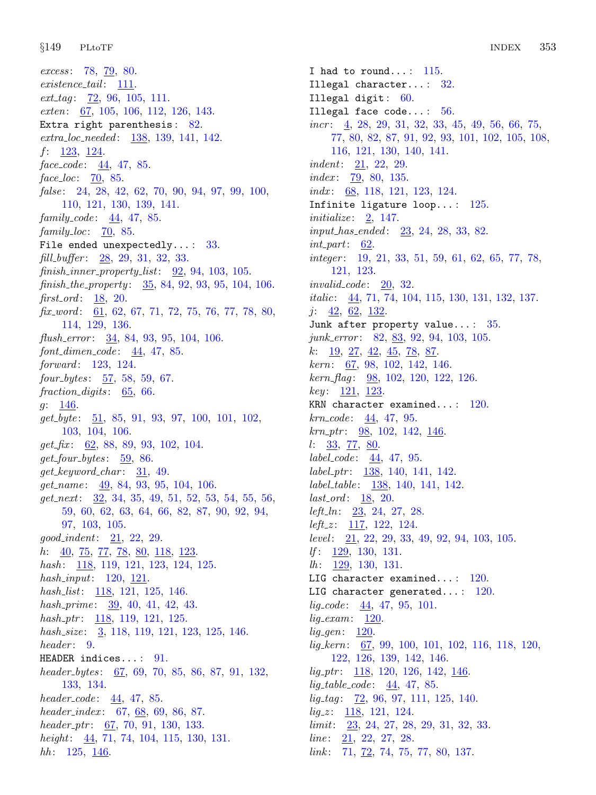excess: [78](#page-28-0), [79,](#page-28-0) [80.](#page-29-0)  $existence\_tail:$  [111](#page-38-0).  $ext\_tag: 72, 96, 105, 111.$  $ext\_tag: 72, 96, 105, 111.$  $ext\_tag: 72, 96, 105, 111.$  $ext\_tag: 72, 96, 105, 111.$  $ext\_tag: 72, 96, 105, 111.$  $ext\_tag: 72, 96, 105, 111.$  $ext\_tag: 72, 96, 105, 111.$  $ext\_tag: 72, 96, 105, 111.$  $ext\_tag: 72, 96, 105, 111.$ exten: <u>[67,](#page-25-0)</u> [105,](#page-36-0) [106](#page-36-0), [112](#page-39-0), [126](#page-43-0), [143](#page-48-0). Extra right parenthesis: [82](#page-30-0). extra\_loc\_needed: [138,](#page-46-0) [139](#page-47-0), [141](#page-47-0), [142.](#page-48-0) f:  $\frac{123}{124}$ .  $face\_code: 44, 47, 85.$  $face\_code: 44, 47, 85.$  $face\_code: 44, 47, 85.$  $face\_code: 44, 47, 85.$  $face\_code: 44, 47, 85.$  $face\_code: 44, 47, 85.$  $face\_code: 44, 47, 85.$  $face\_loc: 70, 85.$  $face\_loc: 70, 85.$  $face\_loc: 70, 85.$  $face\_loc: 70, 85.$ false: [24](#page-9-0), [28,](#page-10-0) [42](#page-15-0), [62,](#page-23-0) [70,](#page-25-0) [90](#page-32-0), [94,](#page-33-0) [97](#page-34-0), [99,](#page-34-0) [100,](#page-35-0) [110,](#page-38-0) [121](#page-41-0), [130](#page-44-0), [139,](#page-47-0) [141](#page-47-0).  $family\_code: 44, 47, 85.$  $family\_code: 44, 47, 85.$  $family\_code: 44, 47, 85.$  $family\_code: 44, 47, 85.$  $family\_code: 44, 47, 85.$  $family\_code: 44, 47, 85.$ family  $loc: 70, 85.$  $loc: 70, 85.$  $loc: 70, 85.$  $loc: 70, 85.$ File ended unexpectedly...:  $33$ . fill buffer : [28,](#page-10-0) [29](#page-11-0), [31](#page-12-0), [32,](#page-12-0) [33.](#page-13-0) finish inner property list:  $92, 94, 103, 105$  $92, 94, 103, 105$  $92, 94, 103, 105$  $92, 94, 103, 105$  $92, 94, 103, 105$  $92, 94, 103, 105$  $92, 94, 103, 105$ .  $finish\_the\_property: \quad 35, 84, 92, 93, 95, 104, 106.$  $finish\_the\_property: \quad 35, 84, 92, 93, 95, 104, 106.$  $finish\_the\_property: \quad 35, 84, 92, 93, 95, 104, 106.$  $finish\_the\_property: \quad 35, 84, 92, 93, 95, 104, 106.$  $finish\_the\_property: \quad 35, 84, 92, 93, 95, 104, 106.$  $finish\_the\_property: \quad 35, 84, 92, 93, 95, 104, 106.$  $finish\_the\_property: \quad 35, 84, 92, 93, 95, 104, 106.$  $finish\_the\_property: \quad 35, 84, 92, 93, 95, 104, 106.$  $finish\_the\_property: \quad 35, 84, 92, 93, 95, 104, 106.$  $finish\_the\_property: \quad 35, 84, 92, 93, 95, 104, 106.$  $finish\_the\_property: \quad 35, 84, 92, 93, 95, 104, 106.$  $finish\_the\_property: \quad 35, 84, 92, 93, 95, 104, 106.$  $finish\_the\_property: \quad 35, 84, 92, 93, 95, 104, 106.$  $finish\_the\_property: \quad 35, 84, 92, 93, 95, 104, 106.$  $finish\_the\_property: \quad 35, 84, 92, 93, 95, 104, 106.$ first\_ord:  $18$ , [20.](#page-8-0)  $fix$ -word:  $\underline{61}$ ,  $62$ ,  $67$ ,  $71$ ,  $72$ ,  $75$ ,  $76$ ,  $77$ ,  $78$ ,  $80$ , [114,](#page-39-0) [129,](#page-44-0) [136.](#page-46-0)  $flush_error: 34, 84, 93, 95, 104, 106.$  $flush_error: 34, 84, 93, 95, 104, 106.$  $flush_error: 34, 84, 93, 95, 104, 106.$  $flush_error: 34, 84, 93, 95, 104, 106.$  $flush_error: 34, 84, 93, 95, 104, 106.$  $flush_error: 34, 84, 93, 95, 104, 106.$  $flush_error: 34, 84, 93, 95, 104, 106.$  $flush_error: 34, 84, 93, 95, 104, 106.$  $flush_error: 34, 84, 93, 95, 104, 106.$  $flush_error: 34, 84, 93, 95, 104, 106.$  $flush_error: 34, 84, 93, 95, 104, 106.$  $flush_error: 34, 84, 93, 95, 104, 106.$  $flush_error: 34, 84, 93, 95, 104, 106.$  $font\_dimension. \ 44, 47, 85.$  $font\_dimension. \ 44, 47, 85.$  $font\_dimension. \ 44, 47, 85.$  $font\_dimension. \ 44, 47, 85.$  $font\_dimension. \ 44, 47, 85.$  $font\_dimension. \ 44, 47, 85.$ forward: [123](#page-42-0), [124.](#page-42-0)  $four\_bytes: \quad 57, 58, 59, 67.$  $four\_bytes: \quad 57, 58, 59, 67.$  $four\_bytes: \quad 57, 58, 59, 67.$  $four\_bytes: \quad 57, 58, 59, 67.$  $four\_bytes: \quad 57, 58, 59, 67.$  $four\_bytes: \quad 57, 58, 59, 67.$  $four\_bytes: \quad 57, 58, 59, 67.$  $four\_bytes: \quad 57, 58, 59, 67.$ fraction digits:  $65, 66$  $65, 66$ .  $g: \underline{146}.$  $get\_byte: \quad 51, 85, 91, 93, 97, 100, 101, 102,$  $get\_byte: \quad 51, 85, 91, 93, 97, 100, 101, 102,$  $get\_byte: \quad 51, 85, 91, 93, 97, 100, 101, 102,$  $get\_byte: \quad 51, 85, 91, 93, 97, 100, 101, 102,$  $get\_byte: \quad 51, 85, 91, 93, 97, 100, 101, 102,$  $get\_byte: \quad 51, 85, 91, 93, 97, 100, 101, 102,$  $get\_byte: \quad 51, 85, 91, 93, 97, 100, 101, 102,$  $get\_byte: \quad 51, 85, 91, 93, 97, 100, 101, 102,$  $get\_byte: \quad 51, 85, 91, 93, 97, 100, 101, 102,$  $get\_byte: \quad 51, 85, 91, 93, 97, 100, 101, 102,$  $get\_byte: \quad 51, 85, 91, 93, 97, 100, 101, 102,$  $get\_byte: \quad 51, 85, 91, 93, 97, 100, 101, 102,$  $get\_byte: \quad 51, 85, 91, 93, 97, 100, 101, 102,$  $get\_byte: \quad 51, 85, 91, 93, 97, 100, 101, 102,$  $get\_byte: \quad 51, 85, 91, 93, 97, 100, 101, 102,$  $get\_byte: \quad 51, 85, 91, 93, 97, 100, 101, 102,$  $get\_byte: \quad 51, 85, 91, 93, 97, 100, 101, 102,$ [103,](#page-35-0) [104,](#page-36-0) [106.](#page-36-0)  $get\_fix$ :  $62, 88, 89, 93, 102, 104$  $62, 88, 89, 93, 102, 104$  $62, 88, 89, 93, 102, 104$  $62, 88, 89, 93, 102, 104$  $62, 88, 89, 93, 102, 104$  $62, 88, 89, 93, 102, 104$  $62, 88, 89, 93, 102, 104$  $62, 88, 89, 93, 102, 104$  $62, 88, 89, 93, 102, 104$  $62, 88, 89, 93, 102, 104$ . get four bytes:  $\frac{59}{66}$ , [86.](#page-31-0)  $get\_keyword\_char: 31, 49.$  $get\_keyword\_char: 31, 49.$  $get\_keyword\_char: 31, 49.$  $get\_keyword\_char: 31, 49.$  $get_name: \underline{49}, 84, 93, 95, 104, 106.$  $get_name: \underline{49}, 84, 93, 95, 104, 106.$  $get_name: \underline{49}, 84, 93, 95, 104, 106.$  $get_name: \underline{49}, 84, 93, 95, 104, 106.$  $get_name: \underline{49}, 84, 93, 95, 104, 106.$  $get_name: \underline{49}, 84, 93, 95, 104, 106.$  $get_name: \underline{49}, 84, 93, 95, 104, 106.$  $get_name: \underline{49}, 84, 93, 95, 104, 106.$  $get_name: \underline{49}, 84, 93, 95, 104, 106.$  $get_name: \underline{49}, 84, 93, 95, 104, 106.$  $get\_next: \quad 32, 34, 35, 49, 51, 52, 53, 54, 55, 56,$  $get\_next: \quad 32, 34, 35, 49, 51, 52, 53, 54, 55, 56,$  $get\_next: \quad 32, 34, 35, 49, 51, 52, 53, 54, 55, 56,$  $get\_next: \quad 32, 34, 35, 49, 51, 52, 53, 54, 55, 56,$  $get\_next: \quad 32, 34, 35, 49, 51, 52, 53, 54, 55, 56,$  $get\_next: \quad 32, 34, 35, 49, 51, 52, 53, 54, 55, 56,$  $get\_next: \quad 32, 34, 35, 49, 51, 52, 53, 54, 55, 56,$  $get\_next: \quad 32, 34, 35, 49, 51, 52, 53, 54, 55, 56,$  $get\_next: \quad 32, 34, 35, 49, 51, 52, 53, 54, 55, 56,$  $get\_next: \quad 32, 34, 35, 49, 51, 52, 53, 54, 55, 56,$  $get\_next: \quad 32, 34, 35, 49, 51, 52, 53, 54, 55, 56,$  $get\_next: \quad 32, 34, 35, 49, 51, 52, 53, 54, 55, 56,$  $get\_next: \quad 32, 34, 35, 49, 51, 52, 53, 54, 55, 56,$  $get\_next: \quad 32, 34, 35, 49, 51, 52, 53, 54, 55, 56,$  $get\_next: \quad 32, 34, 35, 49, 51, 52, 53, 54, 55, 56,$  $get\_next: \quad 32, 34, 35, 49, 51, 52, 53, 54, 55, 56,$  $get\_next: \quad 32, 34, 35, 49, 51, 52, 53, 54, 55, 56,$  $get\_next: \quad 32, 34, 35, 49, 51, 52, 53, 54, 55, 56,$  $get\_next: \quad 32, 34, 35, 49, 51, 52, 53, 54, 55, 56,$  $get\_next: \quad 32, 34, 35, 49, 51, 52, 53, 54, 55, 56,$ [59,](#page-22-0) [60](#page-22-0), [62,](#page-23-0) [63](#page-23-0), [64,](#page-23-0) [66](#page-24-0), [82,](#page-30-0) [87](#page-31-0), [90,](#page-32-0) [92,](#page-33-0) [94](#page-33-0), [97,](#page-34-0) [103,](#page-35-0) [105.](#page-36-0) good indent: [21,](#page-9-0) [22](#page-9-0), [29.](#page-11-0) h: <u>[40](#page-14-0), [75,](#page-27-0) [77,](#page-28-0) [78,](#page-28-0) [80,](#page-29-0) [118,](#page-40-0) 123</u>. hash: [118](#page-40-0), [119](#page-40-0), [121](#page-41-0), [123,](#page-42-0) [124,](#page-42-0) [125.](#page-42-0) hash\_input: [120,](#page-40-0) [121](#page-41-0). hash\_list:  $\frac{118}{121}$  $\frac{118}{121}$  $\frac{118}{121}$  $\frac{118}{121}$  $\frac{118}{121}$ , 121, [125,](#page-42-0) [146.](#page-49-0) hash\_prime:  $\frac{39}{40}$  $\frac{39}{40}$  $\frac{39}{40}$  $\frac{39}{40}$  $\frac{39}{40}$ , 40, [41](#page-14-0), [42](#page-15-0), [43](#page-15-0). hash\_ptr:  $\frac{118}{119}$  $\frac{118}{119}$  $\frac{118}{119}$ , [121](#page-41-0), [125](#page-42-0). hash\_size: [3,](#page-1-0) [118](#page-40-0), [119,](#page-40-0) [121](#page-41-0), [123,](#page-42-0) [125](#page-42-0), [146.](#page-49-0) header: [9](#page-5-0). HEADER indices...: [91.](#page-32-0) header\_bytes: [67](#page-25-0), [69,](#page-25-0) [70](#page-25-0), [85,](#page-31-0) [86](#page-31-0), [87](#page-31-0), [91,](#page-32-0) [132](#page-45-0), [133,](#page-45-0) [134](#page-45-0). header\_code:  $44, 47, 85$  $44, 47, 85$  $44, 47, 85$  $44, 47, 85$  $44, 47, 85$ . header index : [67](#page-25-0), [68](#page-25-0), [69](#page-25-0), [86](#page-31-0), [87](#page-31-0). header\_ptr:  $67, 70, 91, 130, 133$  $67, 70, 91, 130, 133$  $67, 70, 91, 130, 133$  $67, 70, 91, 130, 133$  $67, 70, 91, 130, 133$  $67, 70, 91, 130, 133$  $67, 70, 91, 130, 133$  $67, 70, 91, 130, 133$ . *height*:  $\frac{44}{71}$ , [74](#page-26-0), [104,](#page-36-0) [115,](#page-39-0) [130](#page-44-0), [131](#page-45-0).  $hh:$  [125](#page-42-0), [146](#page-49-0).

I had to round...:  $115$ . Illegal character... : [32](#page-12-0). Illegal digit : [60.](#page-22-0) Illegal face  $code...: 56$  $code...: 56$ . *incr*:  $\underline{4}$ , [28,](#page-10-0) [29,](#page-11-0) [31](#page-12-0), [32](#page-12-0), [33](#page-13-0), [45,](#page-16-0) [49,](#page-19-0) [56,](#page-21-0) [66,](#page-24-0) [75](#page-27-0), [77,](#page-28-0) [80](#page-29-0), [82,](#page-30-0) [87](#page-31-0), [91](#page-32-0), [92,](#page-33-0) [93](#page-33-0), [101,](#page-35-0) [102](#page-35-0), [105,](#page-36-0) [108](#page-37-0), [116,](#page-39-0) [121](#page-41-0), [130](#page-44-0), [140,](#page-47-0) [141](#page-47-0). *indent*:  $21, 22, 29$  $21, 22, 29$  $21, 22, 29$  $21, 22, 29$ . index:  $\frac{79}{6}$  $\frac{79}{6}$  $\frac{79}{6}$ , [80](#page-29-0), [135.](#page-45-0)  $indx$ : [68,](#page-25-0) [118,](#page-40-0) [121](#page-41-0), [123](#page-42-0), [124.](#page-42-0) Infinite ligature loop... : [125](#page-42-0). *initialize:*  $\overline{2}$  $\overline{2}$  $\overline{2}$ , [147](#page-49-0). input\_has\_ended: [23,](#page-9-0) [24](#page-9-0), [28](#page-10-0), [33](#page-13-0), [82](#page-30-0).  $int_{\mathcal{D}}$  part: [62.](#page-23-0) *integer*: [19,](#page-8-0) [21,](#page-9-0) [33,](#page-13-0) [51](#page-20-0), [59](#page-22-0), [61](#page-22-0), [62,](#page-23-0) [65,](#page-23-0) [77,](#page-28-0) [78](#page-28-0), [121,](#page-41-0) [123.](#page-42-0) invalid code:  $20, 32$  $20, 32$ . *italic*:  $\frac{44}{71}$  $\frac{44}{71}$  $\frac{44}{71}$ , [71,](#page-26-0) [74,](#page-26-0) [104](#page-36-0), [115](#page-39-0), [130,](#page-44-0) [131,](#page-45-0) [132](#page-45-0), [137](#page-46-0). j:  $\frac{42}{62}$  $\frac{42}{62}$  $\frac{42}{62}$  $\frac{42}{62}$  $\frac{42}{62}$ ,  $\frac{63}{132}$  $\frac{63}{132}$  $\frac{63}{132}$ . Junk after property value...:  $35$ . junk\_error: [82](#page-30-0), [83](#page-30-0), [92,](#page-33-0) [94,](#page-33-0) [103,](#page-35-0) [105](#page-36-0). k: [19](#page-8-0), [27,](#page-10-0) [42](#page-15-0), [45](#page-16-0), [78,](#page-28-0) [87](#page-31-0). kern: [67,](#page-25-0) [98](#page-34-0), [102](#page-35-0), [142,](#page-48-0) [146.](#page-49-0)  $\textit{kern\_flag}: \quad \underline{98}, \ 102, \ 120, \ 122, \ 126.$  $\textit{kern\_flag}: \quad \underline{98}, \ 102, \ 120, \ 122, \ 126.$  $\textit{kern\_flag}: \quad \underline{98}, \ 102, \ 120, \ 122, \ 126.$  $\textit{kern\_flag}: \quad \underline{98}, \ 102, \ 120, \ 122, \ 126.$  $\textit{kern\_flag}: \quad \underline{98}, \ 102, \ 120, \ 122, \ 126.$  $\textit{kern\_flag}: \quad \underline{98}, \ 102, \ 120, \ 122, \ 126.$  $\textit{kern\_flag}: \quad \underline{98}, \ 102, \ 120, \ 122, \ 126.$  $\textit{kern\_flag}: \quad \underline{98}, \ 102, \ 120, \ 122, \ 126.$  $\textit{kern\_flag}: \quad \underline{98}, \ 102, \ 120, \ 122, \ 126.$  $\textit{kern\_flag}: \quad \underline{98}, \ 102, \ 120, \ 122, \ 126.$  $\textit{kern\_flag}: \quad \underline{98}, \ 102, \ 120, \ 122, \ 126.$  $key: \underline{121}, \underline{123}.$  $key: \underline{121}, \underline{123}.$  $key: \underline{121}, \underline{123}.$  $key: \underline{121}, \underline{123}.$  $key: \underline{121}, \underline{123}.$ KRN character examined...:  $120$ .  $krn\_code: 44, 47, 95.$  $krn\_code: 44, 47, 95.$  $krn\_code: 44, 47, 95.$  $krn\_code: 44, 47, 95.$  $krn\_code: 44, 47, 95.$  $krn\_code: 44, 47, 95.$  $km\_ptr$ :  $98, 102, 142, 146$  $98, 102, 142, 146$  $98, 102, 142, 146$  $98, 102, 142, 146$  $98, 102, 142, 146$  $98, 102, 142, 146$ .  $l: \frac{33}{77}, \frac{80}{6}.$  $l: \frac{33}{77}, \frac{80}{6}.$  $l: \frac{33}{77}, \frac{80}{6}.$  $label\_code:pm1}$  [44,](#page-16-0) [47](#page-18-0), [95](#page-34-0).  $label\_ptr:138, 140, 141, 142.$  $label\_ptr:138, 140, 141, 142.$  $label\_ptr:138, 140, 141, 142.$  $label\_ptr:138, 140, 141, 142.$  $label\_ptr:138, 140, 141, 142.$  $label\_ptr:138, 140, 141, 142.$  $label\_ptr:138, 140, 141, 142.$  $label\_ptr:138, 140, 141, 142.$  $label_table:table:138, 140, 141, 142.$  $label_table:table:138, 140, 141, 142.$  $label_table:table:138, 140, 141, 142.$  $label_table:table:138, 140, 141, 142.$  $label_table:table:138, 140, 141, 142.$  $label_table:table:138, 140, 141, 142.$  $label_table:table:138, 140, 141, 142.$  $label_table:table:138, 140, 141, 142.$  $last\_ord: \underline{18}, 20.$  $last\_ord: \underline{18}, 20.$  $left\_ln:$   $\frac{23}{23}$  $\frac{23}{23}$  $\frac{23}{23}$ , [24,](#page-9-0) [27](#page-10-0), [28](#page-10-0).  $left\_z$ : [117,](#page-40-0) [122](#page-41-0), [124.](#page-42-0) *level*:  $21, 22, 29, 33, 49, 92, 94, 103, 105.$  $21, 22, 29, 33, 49, 92, 94, 103, 105.$  $21, 22, 29, 33, 49, 92, 94, 103, 105.$  $21, 22, 29, 33, 49, 92, 94, 103, 105.$  $21, 22, 29, 33, 49, 92, 94, 103, 105.$  $21, 22, 29, 33, 49, 92, 94, 103, 105.$  $21, 22, 29, 33, 49, 92, 94, 103, 105.$  $21, 22, 29, 33, 49, 92, 94, 103, 105.$  $21, 22, 29, 33, 49, 92, 94, 103, 105.$  $21, 22, 29, 33, 49, 92, 94, 103, 105.$  $21, 22, 29, 33, 49, 92, 94, 103, 105.$  $21, 22, 29, 33, 49, 92, 94, 103, 105.$  $21, 22, 29, 33, 49, 92, 94, 103, 105.$  $21, 22, 29, 33, 49, 92, 94, 103, 105.$  $21, 22, 29, 33, 49, 92, 94, 103, 105.$  $21, 22, 29, 33, 49, 92, 94, 103, 105.$  $21, 22, 29, 33, 49, 92, 94, 103, 105.$  $21, 22, 29, 33, 49, 92, 94, 103, 105.$  $lf: \quad \underline{129}, \quad 130, \quad 131.$  $lf: \quad \underline{129}, \quad 130, \quad 131.$  $lf: \quad \underline{129}, \quad 130, \quad 131.$  $lf: \quad \underline{129}, \quad 130, \quad 131.$  $lh: 129, 130, 131.$  $lh: 129, 130, 131.$  $lh: 129, 130, 131.$  $lh: 129, 130, 131.$  $lh: 129, 130, 131.$  $lh: 129, 130, 131.$  $lh: 129, 130, 131.$ LIG character examined...: [120](#page-40-0). LIG character generated...:  $120$ .  $lig\_code: 44, 47, 95, 101.$  $lig\_code: 44, 47, 95, 101.$  $lig\_code: 44, 47, 95, 101.$  $lig\_code: 44, 47, 95, 101.$  $lig\_code: 44, 47, 95, 101.$  $lig\_code: 44, 47, 95, 101.$  $lig\_code: 44, 47, 95, 101.$  $lig\_code: 44, 47, 95, 101.$  $lig\_code: 44, 47, 95, 101.$  $lig\_exam: \underline{120}$  $lig\_exam: \underline{120}$  $lig\_exam: \underline{120}$ .  $liq_{\text{e}}gen: 120.$  $liq_{\text{e}}gen: 120.$ lig kern: [67,](#page-25-0) [99,](#page-34-0) [100](#page-35-0), [101](#page-35-0), [102,](#page-35-0) [116,](#page-39-0) [118,](#page-40-0) [120](#page-40-0), [122,](#page-41-0) [126](#page-43-0), [139](#page-47-0), [142,](#page-48-0) [146](#page-49-0).  $lig\_ptr$ : [118,](#page-40-0) [120,](#page-40-0) [126,](#page-43-0) [142,](#page-48-0) [146.](#page-49-0)  $lig\_table\_code: 44, 47, 85.$  $lig\_table\_code: 44, 47, 85.$  $lig\_table\_code: 44, 47, 85.$  $lig\_table\_code: 44, 47, 85.$  $lig\_table\_code: 44, 47, 85.$  $lig\_table\_code: 44, 47, 85.$  $lig\_tag$ : [72,](#page-26-0) [96,](#page-34-0) [97,](#page-34-0) [111,](#page-38-0) [125,](#page-42-0) [140.](#page-47-0)  $lig_z$ : [118](#page-40-0), [121](#page-41-0), [124.](#page-42-0) limit: [23](#page-9-0), [24](#page-9-0), [27,](#page-10-0) [28,](#page-10-0) [29,](#page-11-0) [31](#page-12-0), [32](#page-12-0), [33.](#page-13-0)  $line: 21, 22, 27, 28.$  $line: 21, 22, 27, 28.$  $line: 21, 22, 27, 28.$  $line: 21, 22, 27, 28.$  $line: 21, 22, 27, 28.$  $line: 21, 22, 27, 28.$  $line: 21, 22, 27, 28.$  $line: 21, 22, 27, 28.$  $link: 71, 72, 74, 75, 77, 80, 137.$  $link: 71, 72, 74, 75, 77, 80, 137.$  $link: 71, 72, 74, 75, 77, 80, 137.$  $link: 71, 72, 74, 75, 77, 80, 137.$  $link: 71, 72, 74, 75, 77, 80, 137.$  $link: 71, 72, 74, 75, 77, 80, 137.$  $link: 71, 72, 74, 75, 77, 80, 137.$  $link: 71, 72, 74, 75, 77, 80, 137.$  $link: 71, 72, 74, 75, 77, 80, 137.$  $link: 71, 72, 74, 75, 77, 80, 137.$  $link: 71, 72, 74, 75, 77, 80, 137.$  $link: 71, 72, 74, 75, 77, 80, 137.$  $link: 71, 72, 74, 75, 77, 80, 137.$  $link: 71, 72, 74, 75, 77, 80, 137.$  $link: 71, 72, 74, 75, 77, 80, 137.$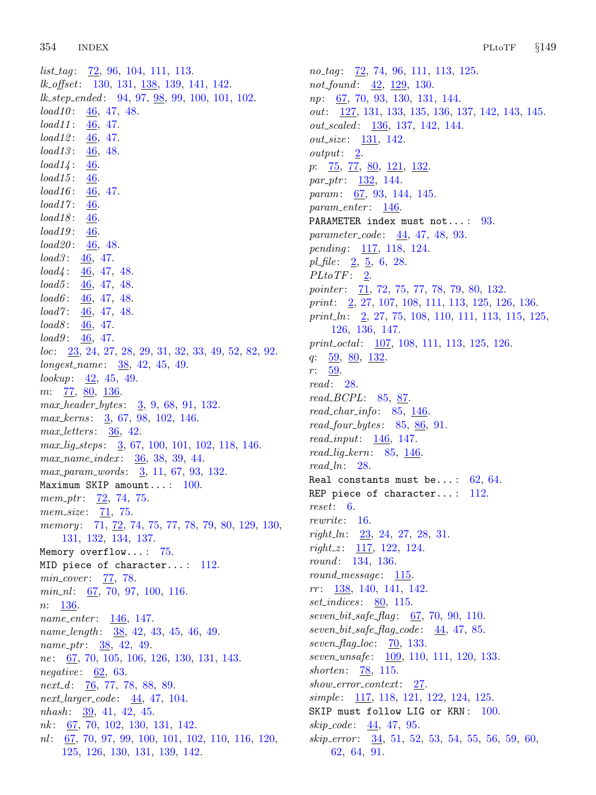$list\_tag: 72, 96, 104, 111, 113.$  $list\_tag: 72, 96, 104, 111, 113.$  $list\_tag: 72, 96, 104, 111, 113.$  $list\_tag: 72, 96, 104, 111, 113.$  $list\_tag: 72, 96, 104, 111, 113.$  $list\_tag: 72, 96, 104, 111, 113.$  $list\_tag: 72, 96, 104, 111, 113.$  $list\_tag: 72, 96, 104, 111, 113.$  $list\_tag: 72, 96, 104, 111, 113.$  $list\_tag: 72, 96, 104, 111, 113.$  $list\_tag: 72, 96, 104, 111, 113.$ lk offset: [130](#page-44-0), [131,](#page-45-0) [138](#page-46-0), [139](#page-47-0), [141,](#page-47-0) [142](#page-48-0). lk step ended : [94](#page-33-0), [97,](#page-34-0) [98](#page-34-0), [99](#page-34-0), [100,](#page-35-0) [101](#page-35-0), [102.](#page-35-0)  $load10: 46, 47, 48.$  $load10: 46, 47, 48.$  $load10: 46, 47, 48.$  $load10: 46, 47, 48.$  $load10: 46, 47, 48.$  $load10: 46, 47, 48.$  $load11: \underline{46}, 47.$  $load11: \underline{46}, 47.$  $load11: \underline{46}, 47.$  $load11: \underline{46}, 47.$  $load11: \underline{46}, 47.$  $load12: \underline{46}$  $load12: \underline{46}$  $load12: \underline{46}$ , [47](#page-18-0).  $load13: \underline{46}$  $load13: \underline{46}$  $load13: \underline{46}$ , [48](#page-19-0).  $load14: 46.$  $load14: 46.$  $load14: 46.$  $load15: \underline{46}.$  $load15: \underline{46}.$  $load15: \underline{46}.$  $load16: \frac{46}{5}, 47.$  $load16: \frac{46}{5}, 47.$  $load16: \frac{46}{5}, 47.$  $load16: \frac{46}{5}, 47.$  $load16: \frac{46}{5}, 47.$  $load17: 46.$  $load17: 46.$  $load17: 46.$ load18: [46](#page-17-0).  $load19: \underline{46}.$  $load19: \underline{46}.$  $load19: \underline{46}.$  $load20: \underline{46}$  $load20: \underline{46}$  $load20: \underline{46}$ , [48](#page-19-0).  $load3: \frac{46}{5}, 47.$  $load3: \frac{46}{5}, 47.$  $load3: \frac{46}{5}, 47.$  $load4: 46, 47, 48.$  $load4: 46, 47, 48.$  $load4: 46, 47, 48.$  $load4: 46, 47, 48.$  $load4: 46, 47, 48.$  $load4: 46, 47, 48.$  $load5: 46, 47, 48.$  $load5: 46, 47, 48.$  $load5: 46, 47, 48.$  $load5: 46, 47, 48.$  $load5: 46, 47, 48.$  $load5: 46, 47, 48.$  $load6: 46, 47, 48.$  $load6: 46, 47, 48.$  $load6: 46, 47, 48.$  $load6: 46, 47, 48.$  $load6: 46, 47, 48.$  $load6: 46, 47, 48.$  $load7: 46, 47, 48.$  $load7: 46, 47, 48.$  $load7: 46, 47, 48.$  $load7: 46, 47, 48.$  $load7: 46, 47, 48.$  $load7: 46, 47, 48.$ load8: [46,](#page-17-0) [47](#page-18-0).  $load9: 46, 47.$  $load9: 46, 47.$  $load9: 46, 47.$  $load9: 46, 47.$  $load9: 46, 47.$  $loc: \quad 23, 24, 27, 28, 29, 31, 32, 33, 49, 52, 82, 92.$  $loc: \quad 23, 24, 27, 28, 29, 31, 32, 33, 49, 52, 82, 92.$  $loc: \quad 23, 24, 27, 28, 29, 31, 32, 33, 49, 52, 82, 92.$  $loc: \quad 23, 24, 27, 28, 29, 31, 32, 33, 49, 52, 82, 92.$  $loc: \quad 23, 24, 27, 28, 29, 31, 32, 33, 49, 52, 82, 92.$  $loc: \quad 23, 24, 27, 28, 29, 31, 32, 33, 49, 52, 82, 92.$  $loc: \quad 23, 24, 27, 28, 29, 31, 32, 33, 49, 52, 82, 92.$  $loc: \quad 23, 24, 27, 28, 29, 31, 32, 33, 49, 52, 82, 92.$  $loc: \quad 23, 24, 27, 28, 29, 31, 32, 33, 49, 52, 82, 92.$  $loc: \quad 23, 24, 27, 28, 29, 31, 32, 33, 49, 52, 82, 92.$  $loc: \quad 23, 24, 27, 28, 29, 31, 32, 33, 49, 52, 82, 92.$  $loc: \quad 23, 24, 27, 28, 29, 31, 32, 33, 49, 52, 82, 92.$  $loc: \quad 23, 24, 27, 28, 29, 31, 32, 33, 49, 52, 82, 92.$  $loc: \quad 23, 24, 27, 28, 29, 31, 32, 33, 49, 52, 82, 92.$  $loc: \quad 23, 24, 27, 28, 29, 31, 32, 33, 49, 52, 82, 92.$  $loc: \quad 23, 24, 27, 28, 29, 31, 32, 33, 49, 52, 82, 92.$  $loc: \quad 23, 24, 27, 28, 29, 31, 32, 33, 49, 52, 82, 92.$  $loc: \quad 23, 24, 27, 28, 29, 31, 32, 33, 49, 52, 82, 92.$  $loc: \quad 23, 24, 27, 28, 29, 31, 32, 33, 49, 52, 82, 92.$  $loc: \quad 23, 24, 27, 28, 29, 31, 32, 33, 49, 52, 82, 92.$  $loc: \quad 23, 24, 27, 28, 29, 31, 32, 33, 49, 52, 82, 92.$  $loc: \quad 23, 24, 27, 28, 29, 31, 32, 33, 49, 52, 82, 92.$  $loc: \quad 23, 24, 27, 28, 29, 31, 32, 33, 49, 52, 82, 92.$  $loc: \quad 23, 24, 27, 28, 29, 31, 32, 33, 49, 52, 82, 92.$  $loc: \quad 23, 24, 27, 28, 29, 31, 32, 33, 49, 52, 82, 92.$  $longest_name: 38, 42, 45, 49.$  $longest_name: 38, 42, 45, 49.$  $longest_name: 38, 42, 45, 49.$  $longest_name: 38, 42, 45, 49.$  $longest_name: 38, 42, 45, 49.$  $longest_name: 38, 42, 45, 49.$  $longest_name: 38, 42, 45, 49.$  $longest_name: 38, 42, 45, 49.$  $longest_name: 38, 42, 45, 49.$ lookup: [42](#page-15-0), [45,](#page-16-0) [49.](#page-19-0) m:  $77, 80, 136$  $77, 80, 136$  $77, 80, 136$  $77, 80, 136$  $77, 80, 136$ .  $max\_header\_bytes: \frac{3}{2}, 9, 68, 91, 132.$  $max\_header\_bytes: \frac{3}{2}, 9, 68, 91, 132.$  $max\_header\_bytes: \frac{3}{2}, 9, 68, 91, 132.$  $max\_header\_bytes: \frac{3}{2}, 9, 68, 91, 132.$  $max\_header\_bytes: \frac{3}{2}, 9, 68, 91, 132.$  $max\_header\_bytes: \frac{3}{2}, 9, 68, 91, 132.$  $max\_header\_bytes: \frac{3}{2}, 9, 68, 91, 132.$  $max\_header\_bytes: \frac{3}{2}, 9, 68, 91, 132.$  $max\_header\_bytes: \frac{3}{2}, 9, 68, 91, 132.$  $max\_terms: \frac{3}{2}, 67, 98, 102, 146.$  $max\_terms: \frac{3}{2}, 67, 98, 102, 146.$  $max\_terms: \frac{3}{2}, 67, 98, 102, 146.$  $max\_terms: \frac{3}{2}, 67, 98, 102, 146.$  $max\_terms: \frac{3}{2}, 67, 98, 102, 146.$  $max\_terms: \frac{3}{2}, 67, 98, 102, 146.$  $max\_terms: \frac{3}{2}, 67, 98, 102, 146.$  $max\_terms: \frac{3}{2}, 67, 98, 102, 146.$  $max\_letters: \frac{36}{50}, 42.$  $max\_letters: \frac{36}{50}, 42.$  $max\_letters: \frac{36}{50}, 42.$  $max\_letters: \frac{36}{50}, 42.$  $max\_lig\_steps: \quad \underline{3}, 67, 100, 101, 102, 118, 146.$  $max\_lig\_steps: \quad \underline{3}, 67, 100, 101, 102, 118, 146.$  $max\_lig\_steps: \quad \underline{3}, 67, 100, 101, 102, 118, 146.$  $max\_lig\_steps: \quad \underline{3}, 67, 100, 101, 102, 118, 146.$  $max\_lig\_steps: \quad \underline{3}, 67, 100, 101, 102, 118, 146.$  $max\_lig\_steps: \quad \underline{3}, 67, 100, 101, 102, 118, 146.$  $max\_lig\_steps: \quad \underline{3}, 67, 100, 101, 102, 118, 146.$  $max\_lig\_steps: \quad \underline{3}, 67, 100, 101, 102, 118, 146.$  $max\_lig\_steps: \quad \underline{3}, 67, 100, 101, 102, 118, 146.$  $max\_lig\_steps: \quad \underline{3}, 67, 100, 101, 102, 118, 146.$  $max\_lig\_steps: \quad \underline{3}, 67, 100, 101, 102, 118, 146.$  $max\_lig\_steps: \quad \underline{3}, 67, 100, 101, 102, 118, 146.$ max\_name\_index: [36,](#page-14-0) [38,](#page-14-0) [39](#page-14-0), [44](#page-16-0). max\_param\_words: [3](#page-1-0), [11](#page-6-0), [67,](#page-25-0) [93,](#page-33-0) [132](#page-45-0). Maximum SKIP amount...: [100.](#page-35-0) mem  $ptr: 72, 74, 75.$  $ptr: 72, 74, 75.$  $ptr: 72, 74, 75.$  $ptr: 72, 74, 75.$  $ptr: 72, 74, 75.$  $ptr: 72, 74, 75.$ mem\_size:  $\overline{71}$  $\overline{71}$  $\overline{71}$ , [75](#page-27-0). memory: [71](#page-26-0), [72,](#page-26-0) [74,](#page-26-0) [75](#page-27-0), [77,](#page-28-0) [78](#page-28-0), [79,](#page-28-0) [80](#page-29-0), [129](#page-44-0), [130,](#page-44-0) [131,](#page-45-0) [132](#page-45-0), [134](#page-45-0), [137.](#page-46-0) Memory overflow...: [75.](#page-27-0) MID piece of character...: [112.](#page-39-0)  $min\_cover: \quad 77, 78.$  $min\_cover: \quad 77, 78.$  $min\_cover: \quad 77, 78.$  $min\_cover: \quad 77, 78.$  $min\_cover: \quad 77, 78.$  $min\_nl$ :  $\underline{67}$ , [70](#page-25-0), [97](#page-34-0), [100](#page-35-0), [116.](#page-39-0) n: [136.](#page-46-0) name\_enter: [146,](#page-49-0) [147](#page-49-0). name\_length:  $38, 42, 43, 45, 46, 49$  $38, 42, 43, 45, 46, 49$  $38, 42, 43, 45, 46, 49$  $38, 42, 43, 45, 46, 49$  $38, 42, 43, 45, 46, 49$  $38, 42, 43, 45, 46, 49$  $38, 42, 43, 45, 46, 49$  $38, 42, 43, 45, 46, 49$  $38, 42, 43, 45, 46, 49$  $38, 42, 43, 45, 46, 49$ . name\_ptr:  $\frac{38}{42}$ , [49](#page-19-0). ne: [67](#page-25-0), [70,](#page-25-0) [105](#page-36-0), [106,](#page-36-0) [126](#page-43-0), [130,](#page-44-0) [131,](#page-45-0) [143](#page-48-0). negative: [62,](#page-23-0) [63.](#page-23-0) next d:  $\frac{76}{70}$  $\frac{76}{70}$  $\frac{76}{70}$ , [77](#page-28-0), [78,](#page-28-0) [88](#page-32-0), [89.](#page-32-0) next\_larger\_code:  $\frac{44}{7}$  $\frac{44}{7}$  $\frac{44}{7}$ , [47,](#page-18-0) [104.](#page-36-0)  $nhash: 39, 41, 42, 45.$  $nhash: 39, 41, 42, 45.$  $nhash: 39, 41, 42, 45.$  $nhash: 39, 41, 42, 45.$  $nhash: 39, 41, 42, 45.$  $nhash: 39, 41, 42, 45.$  $nhash: 39, 41, 42, 45.$  $nhash: 39, 41, 42, 45.$  $nk$ : [67](#page-25-0), [70,](#page-25-0) [102,](#page-35-0) [130,](#page-44-0) [131,](#page-45-0) [142.](#page-48-0)  $nl:$  [67](#page-25-0), [70](#page-25-0), [97,](#page-34-0) [99,](#page-34-0) [100](#page-35-0), [101](#page-35-0), [102,](#page-35-0) [110,](#page-38-0) [116](#page-39-0), [120,](#page-40-0) [125,](#page-42-0) [126,](#page-43-0) [130,](#page-44-0) [131,](#page-45-0) [139,](#page-47-0) [142.](#page-48-0)

 $no\_tag$ :  $\frac{72}{74}$  $\frac{72}{74}$  $\frac{72}{74}$  $\frac{72}{74}$  $\frac{72}{74}$ , 74, [96](#page-34-0), [111](#page-38-0), [113](#page-39-0), [125](#page-42-0). not found:  $42, 129, 130.$  $42, 129, 130.$  $42, 129, 130.$  $42, 129, 130.$  $42, 129, 130.$ np: [67](#page-25-0), [70,](#page-25-0) [93,](#page-33-0) [130,](#page-44-0) [131](#page-45-0), [144](#page-48-0). out: [127,](#page-44-0) [131,](#page-45-0) [133](#page-45-0), [135](#page-45-0), [136](#page-46-0), [137,](#page-46-0) [142,](#page-48-0) [143,](#page-48-0) [145](#page-48-0). out\_scaled: [136,](#page-46-0) [137,](#page-46-0) [142,](#page-48-0) [144.](#page-48-0) out size : [131](#page-45-0), [142.](#page-48-0)  $output: \quad 2.$  $output: \quad 2.$ p: [75,](#page-27-0) [77](#page-28-0), [80,](#page-29-0) [121](#page-41-0), [132.](#page-45-0)  $par_1ptr: 132, 144.$  $par_1ptr: 132, 144.$  $par_1ptr: 132, 144.$  $par_1ptr: 132, 144.$  $par_1ptr: 132, 144.$ param: [67,](#page-25-0) [93,](#page-33-0) [144](#page-48-0), [145.](#page-48-0) param enter : [146.](#page-49-0) PARAMETER index must not...:  $93$ . parameter code : [44](#page-16-0), [47](#page-18-0), [48](#page-19-0), [93](#page-33-0). pending:  $117, 118, 124$  $117, 118, 124$  $117, 118, 124$  $117, 118, 124$  $117, 118, 124$ . pl  $file: \underline{2}, \underline{5}, 6, 28.$  $file: \underline{2}, \underline{5}, 6, 28.$  $file: \underline{2}, \underline{5}, 6, 28.$  $file: \underline{2}, \underline{5}, 6, 28.$  $file: \underline{2}, \underline{5}, 6, 28.$  $PLto TF: 2$ . pointer:  $\overline{71}$ , [72](#page-26-0), [75,](#page-27-0) [77,](#page-28-0) [78](#page-28-0), [79,](#page-28-0) [80](#page-29-0), [132](#page-45-0). print: [2](#page-1-0), [27,](#page-10-0) [107,](#page-37-0) [108](#page-37-0), [111](#page-38-0), [113,](#page-39-0) [125,](#page-42-0) [126](#page-43-0), [136](#page-46-0). print<sub>-</sub>ln: [2](#page-1-0), [27,](#page-10-0) [75](#page-27-0), [108,](#page-37-0) [110](#page-38-0), [111,](#page-38-0) [113,](#page-39-0) [115](#page-39-0), [125,](#page-42-0) [126,](#page-43-0) [136,](#page-46-0) [147.](#page-49-0) print\_octal:  $\frac{107}{108}$  $\frac{107}{108}$  $\frac{107}{108}$ , [108,](#page-37-0) [111](#page-38-0), [113,](#page-39-0) [125](#page-42-0), [126.](#page-43-0) q:  $59, 80, 132$  $59, 80, 132$  $59, 80, 132$  $59, 80, 132$ .  $r: \frac{59}{2}$  $r: \frac{59}{2}$  $r: \frac{59}{2}$ . read: [28](#page-10-0). read\_ $BCPL: 85, 87$  $BCPL: 85, 87$  $BCPL: 85, 87$ . read char info: [85,](#page-31-0) [146](#page-49-0). read four bytes:  $85, 86, 91$  $85, 86, 91$  $85, 86, 91$  $85, 86, 91$  $85, 86, 91$ . read\_input:  $146$ , [147.](#page-49-0) read lig kern: [85](#page-31-0), [146.](#page-49-0)  $read\_ln: 28$ . Real constants must be...:  $62, 64$  $62, 64$  $62, 64$ . REP piece of character...: [112](#page-39-0). reset: [6](#page-2-0). rewrite: [16.](#page-7-0)  $right\_ln:$   $\frac{23}{23}$ , [24](#page-9-0), [27,](#page-10-0) [28,](#page-10-0) [31](#page-12-0).  $right z: \frac{117}{122}, \frac{124}{124}.$  $right z: \frac{117}{122}, \frac{124}{124}.$  $right z: \frac{117}{122}, \frac{124}{124}.$ round: [134,](#page-45-0) [136.](#page-46-0) round\_message:  $115$ .  $rr: \quad 138, \; 140, \; 141, \; 142.$  $rr: \quad 138, \; 140, \; 141, \; 142.$  $rr: \quad 138, \; 140, \; 141, \; 142.$  $rr: \quad 138, \; 140, \; 141, \; 142.$  $rr: \quad 138, \; 140, \; 141, \; 142.$  $rr: \quad 138, \; 140, \; 141, \; 142.$  $rr: \quad 138, \; 140, \; 141, \; 142.$  $rr: \quad 138, \; 140, \; 141, \; 142.$  $rr: \quad 138, \; 140, \; 141, \; 142.$ set\_indices: [80](#page-29-0), [115.](#page-39-0)  $seven\_bit\_safe\_flag: 67, 70, 90, 110.$  $seven\_bit\_safe\_flag: 67, 70, 90, 110.$  $seven\_bit\_safe\_flag: 67, 70, 90, 110.$  $seven\_bit\_safe\_flag: 67, 70, 90, 110.$  $seven\_bit\_safe\_flag: 67, 70, 90, 110.$  $seven\_bit\_safe\_flag: 67, 70, 90, 110.$  $seven\_bit\_safe\_flag: 67, 70, 90, 110.$  $seven\_bit\_safe\_flag: 67, 70, 90, 110.$  $seven\_bit\_safe\_flag: 67, 70, 90, 110.$  $seven\_bit\_safe\_flag\_code: 44, 47, 85.$  $seven\_bit\_safe\_flag\_code: 44, 47, 85.$  $seven\_bit\_safe\_flag\_code: 44, 47, 85.$  $seven\_bit\_safe\_flag\_code: 44, 47, 85.$  $seven\_bit\_safe\_flag\_code: 44, 47, 85.$  $seven\_bit\_safe\_flag\_code: 44, 47, 85.$  $seven\_bit\_safe\_flag\_code: 44, 47, 85.$ seven  $flag\_loc: 70, 133.$  $flag\_loc: 70, 133.$  $flag\_loc: 70, 133.$  $flag\_loc: 70, 133.$  $flag\_loc: 70, 133.$ seven\_unsafe: [109,](#page-38-0) [110](#page-38-0), [111](#page-38-0), [120,](#page-40-0) [133.](#page-45-0) shorten: **78**, [115.](#page-39-0) show\_error\_context: [27.](#page-10-0)  $simple: \underline{117}, 118, 121, 122, 124, 125.$  $simple: \underline{117}, 118, 121, 122, 124, 125.$  $simple: \underline{117}, 118, 121, 122, 124, 125.$  $simple: \underline{117}, 118, 121, 122, 124, 125.$  $simple: \underline{117}, 118, 121, 122, 124, 125.$  $simple: \underline{117}, 118, 121, 122, 124, 125.$  $simple: \underline{117}, 118, 121, 122, 124, 125.$  $simple: \underline{117}, 118, 121, 122, 124, 125.$  $simple: \underline{117}, 118, 121, 122, 124, 125.$  $simple: \underline{117}, 118, 121, 122, 124, 125.$  $simple: \underline{117}, 118, 121, 122, 124, 125.$  $simple: \underline{117}, 118, 121, 122, 124, 125.$  $simple: \underline{117}, 118, 121, 122, 124, 125.$ SKIP must follow LIG or KRN: [100.](#page-35-0)  $skip\_code: 44, 47, 95.$  $skip\_code: 44, 47, 95.$  $skip\_code: 44, 47, 95.$  $skip\_code: 44, 47, 95.$  $skip\_code: 44, 47, 95.$  $skip\_code: 44, 47, 95.$  $skip\_code: 44, 47, 95.$  $skip_error: 34, 51, 52, 53, 54, 55, 56, 59, 60,$  $skip_error: 34, 51, 52, 53, 54, 55, 56, 59, 60,$  $skip_error: 34, 51, 52, 53, 54, 55, 56, 59, 60,$  $skip_error: 34, 51, 52, 53, 54, 55, 56, 59, 60,$  $skip_error: 34, 51, 52, 53, 54, 55, 56, 59, 60,$  $skip_error: 34, 51, 52, 53, 54, 55, 56, 59, 60,$  $skip_error: 34, 51, 52, 53, 54, 55, 56, 59, 60,$  $skip_error: 34, 51, 52, 53, 54, 55, 56, 59, 60,$  $skip_error: 34, 51, 52, 53, 54, 55, 56, 59, 60,$  $skip_error: 34, 51, 52, 53, 54, 55, 56, 59, 60,$  $skip_error: 34, 51, 52, 53, 54, 55, 56, 59, 60,$  $skip_error: 34, 51, 52, 53, 54, 55, 56, 59, 60,$  $skip_error: 34, 51, 52, 53, 54, 55, 56, 59, 60,$  $skip_error: 34, 51, 52, 53, 54, 55, 56, 59, 60,$  $skip_error: 34, 51, 52, 53, 54, 55, 56, 59, 60,$  $skip_error: 34, 51, 52, 53, 54, 55, 56, 59, 60,$  $skip_error: 34, 51, 52, 53, 54, 55, 56, 59, 60,$  $skip_error: 34, 51, 52, 53, 54, 55, 56, 59, 60,$  $skip_error: 34, 51, 52, 53, 54, 55, 56, 59, 60,$ [62,](#page-23-0) [64,](#page-23-0) [91.](#page-32-0)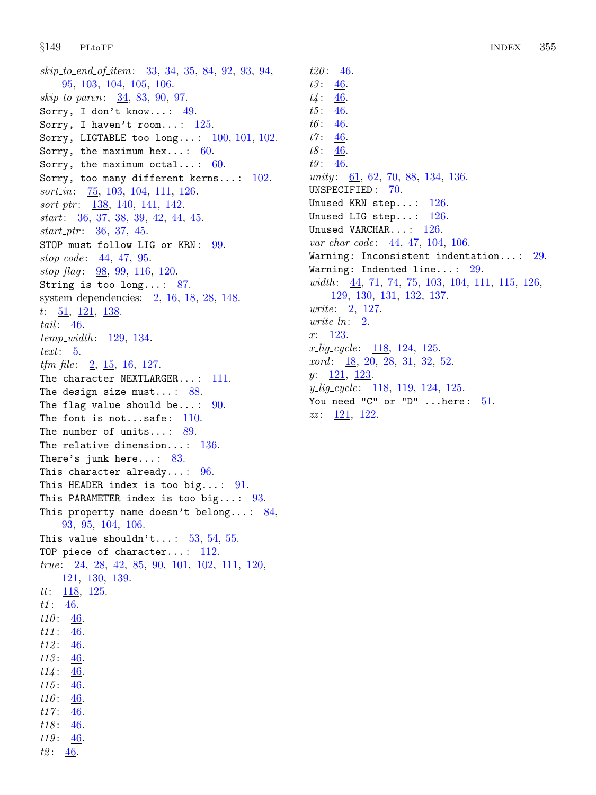$t2: \frac{46}{.}$ 

skip to end of item: [33](#page-13-0), [34](#page-13-0), [35,](#page-13-0) [84,](#page-30-0) [92,](#page-33-0) [93,](#page-33-0) [94,](#page-33-0) [95,](#page-34-0) [103](#page-35-0), [104,](#page-36-0) [105,](#page-36-0) [106](#page-36-0). skip to paren: [34](#page-13-0), [83](#page-30-0), [90](#page-32-0), [97.](#page-34-0) Sorry, I don't know... : [49.](#page-19-0) Sorry, I haven't room...: [125](#page-42-0). Sorry, LIGTABLE too long...:  $100, 101, 102$  $100, 101, 102$  $100, 101, 102$  $100, 101, 102$  $100, 101, 102$ . Sorry, the maximum hex...:  $60$ . Sorry, the maximum octal...:  $60$ . Sorry, too many different kerns...:  $102$ . sort in: [75,](#page-27-0) [103](#page-35-0), [104](#page-36-0), [111](#page-38-0), [126](#page-43-0).  $sort\_ptr$ : [138](#page-46-0), [140](#page-47-0), [141,](#page-47-0) [142.](#page-48-0) start: [36](#page-14-0), [37](#page-14-0), [38](#page-14-0), [39](#page-14-0), [42](#page-15-0), [44](#page-16-0), [45](#page-16-0). start ptr : [36,](#page-14-0) [37](#page-14-0), [45.](#page-16-0) STOP must follow LIG or KRN: [99](#page-34-0). stop\_code:  $44, 47, 95$  $44, 47, 95$  $44, 47, 95$  $44, 47, 95$ .  $stop\_flag: 98, 99, 116, 120.$  $stop\_flag: 98, 99, 116, 120.$  $stop\_flag: 98, 99, 116, 120.$  $stop\_flag: 98, 99, 116, 120.$  $stop\_flag: 98, 99, 116, 120.$  $stop\_flag: 98, 99, 116, 120.$  $stop\_flag: 98, 99, 116, 120.$  $stop\_flag: 98, 99, 116, 120.$ String is too long... : [87.](#page-31-0) system dependencies: [2,](#page-1-0) [16,](#page-7-0) [18](#page-8-0), [28,](#page-10-0) [148](#page-50-0). t:  $\underline{51}$  $\underline{51}$  $\underline{51}$ ,  $\underline{121}$  $\underline{121}$  $\underline{121}$ ,  $\underline{138}$  $\underline{138}$  $\underline{138}$ . tail:  $46.$  $46.$  $temp\_width:$  [129,](#page-44-0) [134.](#page-45-0) text: [5.](#page-2-0) *tfm\_file*:  $2, 15, 16, 127$  $2, 15, 16, 127$  $2, 15, 16, 127$  $2, 15, 16, 127$  $2, 15, 16, 127$  $2, 15, 16, 127$  $2, 15, 16, 127$ . The character NEXTLARGER...: [111.](#page-38-0) The design size must...:  $88$ . The flag value should be...:  $90$ . The font is not...safe:  $110$ . The number of units...: [89.](#page-32-0) The relative dimension...:  $136$ . There's junk here...:  $83$ . This character already...:  $96$ . This HEADER index is too big...:  $91$ . This PARAMETER index is too big...:  $93$ . This property name doesn't belong...:  $84$ , [93,](#page-33-0) [95,](#page-34-0) [104](#page-36-0), [106](#page-36-0). This value shouldn't...:  $53, 54, 55$  $53, 54, 55$  $53, 54, 55$  $53, 54, 55$  $53, 54, 55$ . TOP piece of character...: [112.](#page-39-0) true : [24](#page-9-0), [28](#page-10-0), [42,](#page-15-0) [85](#page-31-0), [90,](#page-32-0) [101,](#page-35-0) [102](#page-35-0), [111,](#page-38-0) [120](#page-40-0), [121,](#page-41-0) [130,](#page-44-0) [139.](#page-47-0) tt: [118,](#page-40-0) [125.](#page-42-0)  $t1: 46.$  $t1: 46.$  $t10: 46.$  $t10: 46.$  $t10: 46.$  $t11: 46.$  $t11: 46.$  $t11: 46.$  $t12: 46.$  $t12: 46.$  $t12: 46.$  $t13: 46.$  $t13: 46.$  $t13: 46.$  $t14: 46.$  $t14: 46.$  $t14: 46.$  $t15: 46.$  $t15: 46.$  $t15: 46.$  $t16: 46.$  $t16: 46.$  $t16: 46.$  $t17: 46.$  $t17: 46.$  $t17: 46.$  $t18: 46.$  $t18: 46.$  $t18: 46.$  $t19: 46.$  $t19: 46.$  $t19: 46.$ 

 $t20: 46.$  $t20: 46.$  $t20: 46.$  $t3: \frac{46}{.}$  $t4: \frac{46}{5}.$  $t5: \frac{46}{.}$  $t6: 46.$  $t6: 46.$  $t7: 46.$  $t7: 46.$  $t8: 46.$  $t8: 46.$  $t9: 46.$  $t9: 46.$ unity:  $\underline{61}$  $\underline{61}$  $\underline{61}$ ,  $62$ ,  $70$ ,  $88$ ,  $134$ ,  $136$ . UNSPECIFIED : [70](#page-25-0). Unused KRN step...: [126.](#page-43-0) Unused LIG step...:  $126$ . Unused VARCHAR...: [126.](#page-43-0) var\_char\_code: [44](#page-16-0), [47](#page-18-0), [104,](#page-36-0) [106.](#page-36-0) Warning: Inconsistent indentation...: [29](#page-11-0). Warning: Indented line...: [29.](#page-11-0) width: [44](#page-16-0), [71](#page-26-0), [74](#page-26-0), [75](#page-27-0), [103](#page-35-0), [104,](#page-36-0) [111,](#page-38-0) [115,](#page-39-0) [126,](#page-43-0) [129,](#page-44-0) [130](#page-44-0), [131](#page-45-0), [132,](#page-45-0) [137](#page-46-0). write: [2,](#page-1-0) [127.](#page-44-0)  $write\_ln: 2$ .  $x: \quad \underline{123}.$  $x: \quad \underline{123}.$  $x: \quad \underline{123}.$  $x_{\text{u}}\cdot \text{u} = x_{\text{u}}\cdot \text{u} = 118, 124, 125.$  $x_{\text{u}}\cdot \text{u} = x_{\text{u}}\cdot \text{u} = 118, 124, 125.$  $x_{\text{u}}\cdot \text{u} = x_{\text{u}}\cdot \text{u} = 118, 124, 125.$  $x_{\text{u}}\cdot \text{u} = x_{\text{u}}\cdot \text{u} = 118, 124, 125.$  $x_{\text{u}}\cdot \text{u} = x_{\text{u}}\cdot \text{u} = 118, 124, 125.$  $x_{\text{u}}\cdot \text{u} = x_{\text{u}}\cdot \text{u} = 118, 124, 125.$ xord: [18,](#page-8-0) [20,](#page-8-0) [28](#page-10-0), [31](#page-12-0), [32,](#page-12-0) [52.](#page-20-0)  $y: \quad \underline{121}, \ \underline{123}.$  $y: \quad \underline{121}, \ \underline{123}.$  $y: \quad \underline{121}, \ \underline{123}.$  $y_{\text{-}}\text{lig\_cycle}:$  [118](#page-40-0), [119](#page-40-0), [124,](#page-42-0) [125.](#page-42-0) You need "C" or "D" ...here: [51.](#page-20-0)  $zz: \quad \underline{121}, \quad 122.$  $zz: \quad \underline{121}, \quad 122.$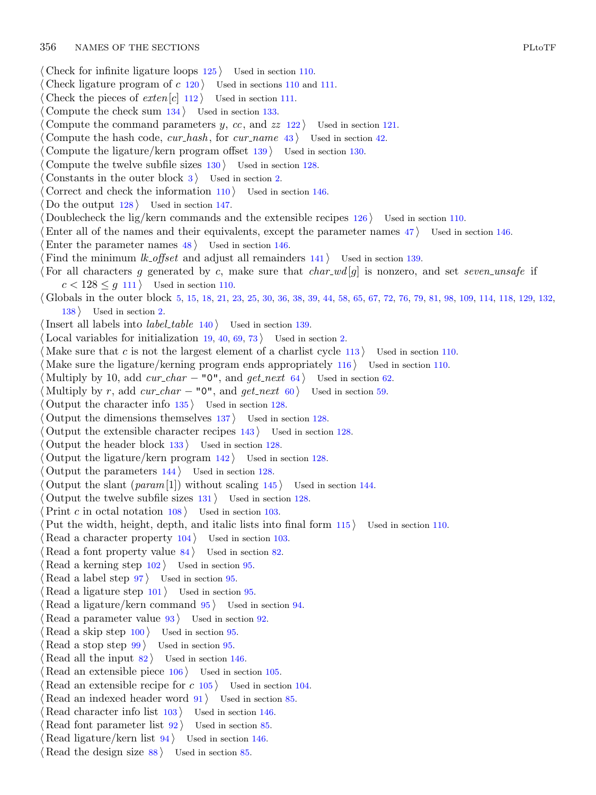- $\langle$  Check for infinite ligature loops  $125$  Used in section [110.](#page-38-0)
- Check ligature program of  $c$  [120](#page-40-0) in sections [110](#page-38-0) and [111](#page-38-0).
- Check the pieces of  $exten[c]$  [112](#page-39-0)) Used in section [111.](#page-38-0)
- Compute the check sum Used in section [133.](#page-45-0)
- Compute the command parameters y, cc, and  $zz$  [122](#page-41-0)) Used in section [121.](#page-41-0)
- Compute the hash code,  $cur\_hash$ , for  $cur\_name$  [43](#page-15-0)) Used in section [42.](#page-15-0)
- Compute the ligature/kern program offset Used in section [130](#page-44-0).
- Compute the twelve subfile sizes Used in section [128](#page-44-0).
- Constants in the outer block Used in section [2.](#page-1-0)
- Correct and check the information Used in section [146.](#page-49-0)
- Do the output Used in section [147](#page-49-0).
- Doublecheck the lig/kern commands and the extensible recipes Used in section [110](#page-38-0).
- Enter all of the names and their equivalents, except the parameter names Used in section [146](#page-49-0).
- Enter the parameter names Used in section [146](#page-49-0).
- Find the minimum *lk offset* and adjust all remainders Used in section [139](#page-47-0).
- For all characters g generated by c, make sure that  $char_wd[g]$  is nonzero, and set seven unsafe if  $c < 128 \leq g$  [111](#page-38-0)) Used in section [110](#page-38-0).
- h Globals in the outer block [5](#page-2-0), [15,](#page-7-0) [18,](#page-8-0) [21](#page-9-0), [23,](#page-9-0) [25,](#page-9-0) [30](#page-12-0), [36](#page-14-0), [38,](#page-14-0) [39,](#page-14-0) [44](#page-16-0), [58,](#page-22-0) [65,](#page-23-0) [67](#page-25-0), [72](#page-26-0), [76,](#page-27-0) [79,](#page-28-0) [81](#page-30-0), [98,](#page-34-0) [109,](#page-38-0) [114,](#page-39-0) [118,](#page-40-0) [129,](#page-44-0) [132,](#page-45-0) Used in section [2](#page-1-0).
- (Insert all labels into *label\_table* ) Used in section [139](#page-47-0).
- Local variables for initialization  $19, 40, 69, 73$  $19, 40, 69, 73$  $19, 40, 69, 73$  $19, 40, 69, 73$  $19, 40, 69, 73$  $19, 40, 69, 73$  $19, 40, 69, 73$  Used in section [2](#page-1-0).
- Make sure that c is not the largest element of a charlist cycle [113](#page-39-0) ised in section [110](#page-38-0).
- Make sure the ligature/kerning program ends appropriately Used in section [110.](#page-38-0)
- Multiply by 10, add  $cur\_char "0",$  and  $get\_next$  [64](#page-23-0)) Used in section [62.](#page-23-0)
- Multiply by r, add cur\_char "0", and get\_next  $60$ ) Used in section [59.](#page-22-0)
- Output the character info Used in section [128](#page-44-0).
- Output the dimensions themselves Used in section [128](#page-44-0).
- Output the extensible character recipes Used in section [128.](#page-44-0)
- Output the header block Used in section [128](#page-44-0).
- Output the ligature/kern program Used in section [128](#page-44-0).
- Output the parameters Used in section [128.](#page-44-0)
- Output the slant (param[1]) without scaling Used in section [144](#page-48-0).
- Output the twelve subfile sizes Used in section [128](#page-44-0).
- Print c in octal notation Used in section [103](#page-35-0).
- Put the width, height, depth, and italic lists into final form Used in section [110.](#page-38-0)
- Read a character property Used in section [103.](#page-35-0)
- Read a font property value Used in section [82.](#page-30-0)
- Read a kerning step Used in section [95.](#page-34-0)
- Read a label step Used in section [95](#page-34-0).
- Read a ligature step Used in section [95.](#page-34-0)
- Read a ligature/kern command Used in section [94.](#page-33-0)
- Read a parameter value Used in section [92](#page-33-0).
- Read a skip step Used in section [95](#page-34-0).
- Read a stop step ised in section [95.](#page-34-0)
- Read all the input Used in section [146](#page-49-0).
- Read an extensible piece Used in section [105](#page-36-0).
- Read an extensible recipe for  $c$  [105](#page-36-0) iused in section [104](#page-36-0).
- Read an indexed header word Used in section [85](#page-31-0).
- Read character info list Used in section [146.](#page-49-0)
- Read font parameter list Used in section [85](#page-31-0).
- Read ligature/kern list Used in section [146.](#page-49-0)
- Read the design size Used in section [85](#page-31-0).